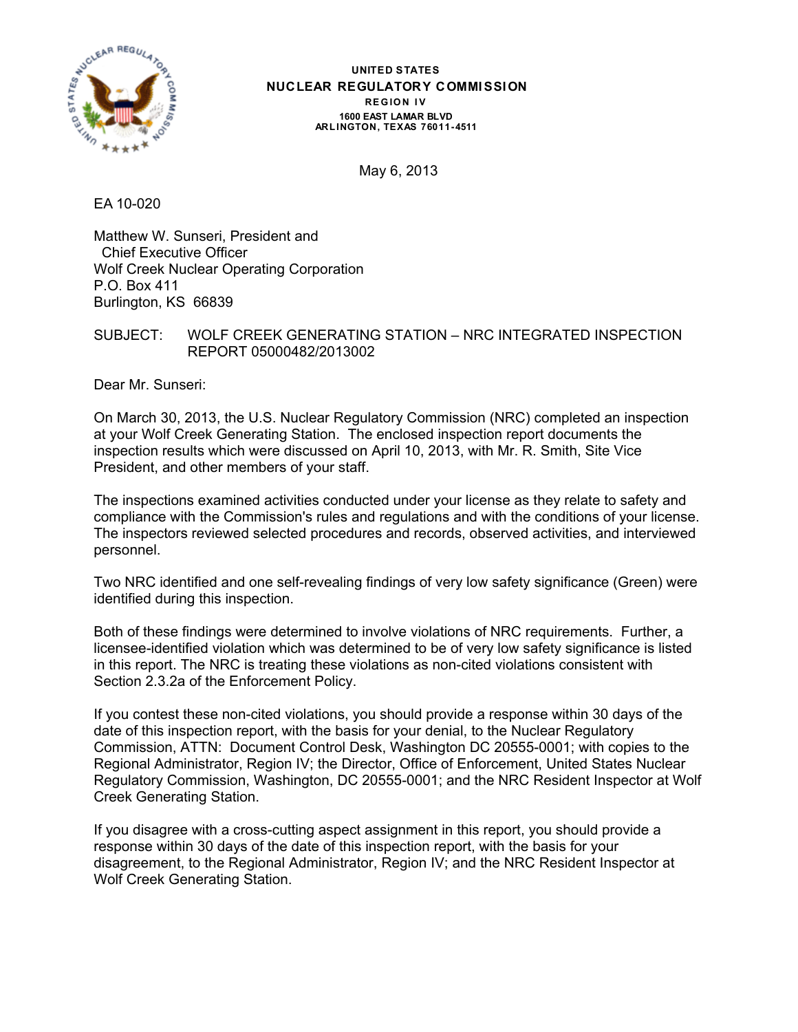

#### **UNITED STATES NUCLEAR REGULATORY COMMISSION REGION IV 1600 EAST LAMAR BLVD ARL INGTON, TEXAS 76011-4511**

May 6, 2013

EA 10-020

Matthew W. Sunseri, President and Chief Executive Officer Wolf Creek Nuclear Operating Corporation P.O. Box 411 Burlington, KS 66839

SUBJECT: WOLF CREEK GENERATING STATION – NRC INTEGRATED INSPECTION REPORT 05000482/2013002

Dear Mr. Sunseri:

On March 30, 2013, the U.S. Nuclear Regulatory Commission (NRC) completed an inspection at your Wolf Creek Generating Station. The enclosed inspection report documents the inspection results which were discussed on April 10, 2013, with Mr. R. Smith, Site Vice President, and other members of your staff.

The inspections examined activities conducted under your license as they relate to safety and compliance with the Commission's rules and regulations and with the conditions of your license. The inspectors reviewed selected procedures and records, observed activities, and interviewed personnel.

Two NRC identified and one self-revealing findings of very low safety significance (Green) were identified during this inspection.

Both of these findings were determined to involve violations of NRC requirements. Further, a licensee-identified violation which was determined to be of very low safety significance is listed in this report. The NRC is treating these violations as non-cited violations consistent with Section 2.3.2a of the Enforcement Policy.

If you contest these non-cited violations, you should provide a response within 30 days of the date of this inspection report, with the basis for your denial, to the Nuclear Regulatory Commission, ATTN: Document Control Desk, Washington DC 20555-0001; with copies to the Regional Administrator, Region IV; the Director, Office of Enforcement, United States Nuclear Regulatory Commission, Washington, DC 20555-0001; and the NRC Resident Inspector at Wolf Creek Generating Station.

If you disagree with a cross-cutting aspect assignment in this report, you should provide a response within 30 days of the date of this inspection report, with the basis for your disagreement, to the Regional Administrator, Region IV; and the NRC Resident Inspector at Wolf Creek Generating Station.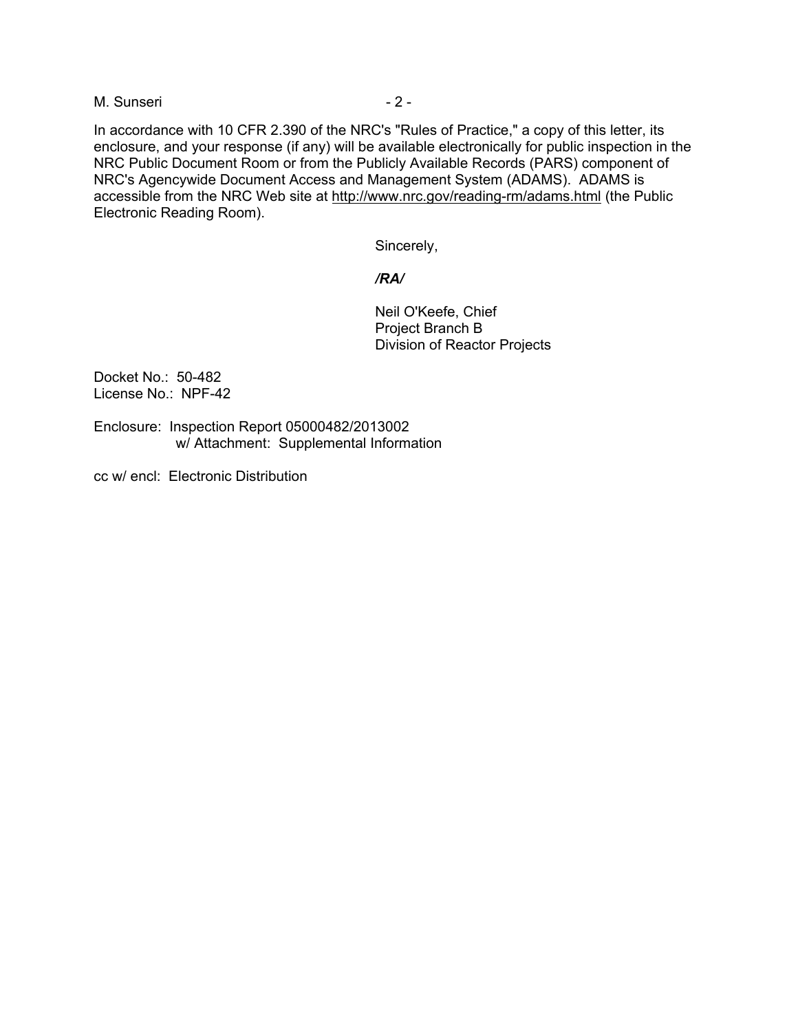#### M. Sunseri - 2 -

In accordance with 10 CFR 2.390 of the NRC's "Rules of Practice," a copy of this letter, its enclosure, and your response (if any) will be available electronically for public inspection in the NRC Public Document Room or from the Publicly Available Records (PARS) component of NRC's Agencywide Document Access and Management System (ADAMS). ADAMS is accessible from the NRC Web site at http://www.nrc.gov/reading-rm/adams.html (the Public Electronic Reading Room).

Sincerely,

#### */RA/*

Neil O'Keefe, Chief Project Branch B Division of Reactor Projects

Docket No.: 50-482 License No.: NPF-42

Enclosure: Inspection Report 05000482/2013002 w/ Attachment: Supplemental Information

cc w/ encl: Electronic Distribution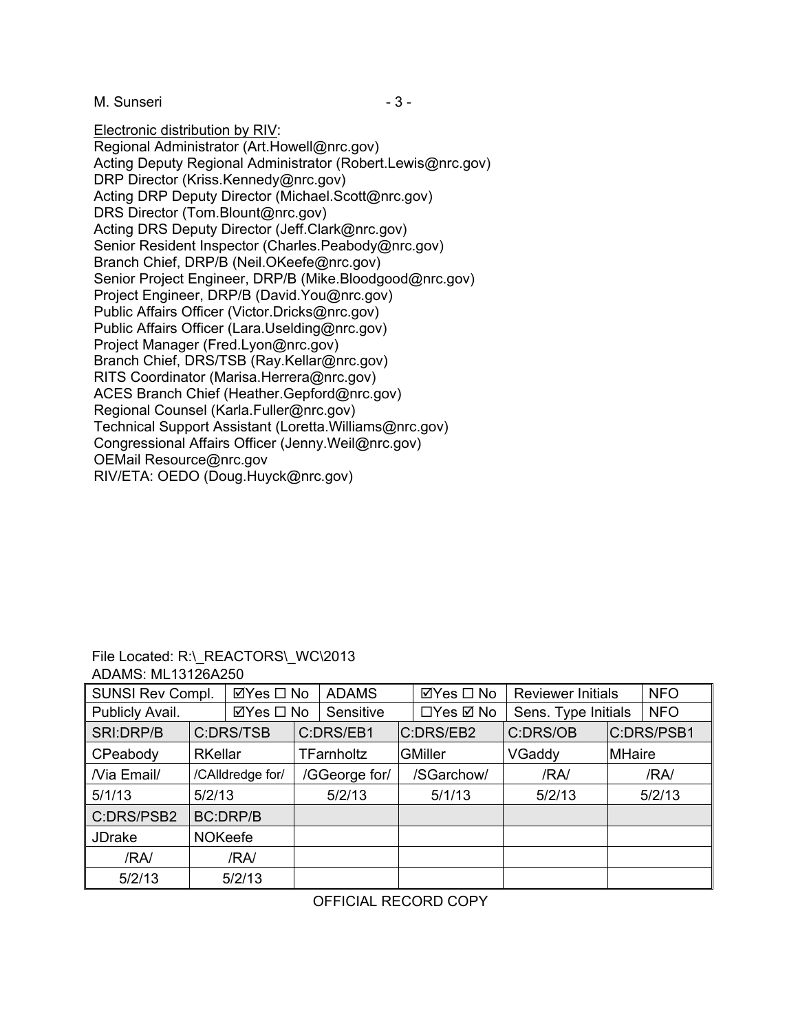M. Sunseri - 3 -

Electronic distribution by RIV:

Regional Administrator (Art.Howell@nrc.gov) Acting Deputy Regional Administrator (Robert.Lewis@nrc.gov) DRP Director (Kriss.Kennedy@nrc.gov) Acting DRP Deputy Director (Michael.Scott@nrc.gov) DRS Director (Tom.Blount@nrc.gov) Acting DRS Deputy Director (Jeff.Clark@nrc.gov) Senior Resident Inspector (Charles.Peabody@nrc.gov) Branch Chief, DRP/B (Neil.OKeefe@nrc.gov) Senior Project Engineer, DRP/B (Mike.Bloodgood@nrc.gov) Project Engineer, DRP/B (David.You@nrc.gov) Public Affairs Officer (Victor.Dricks@nrc.gov) Public Affairs Officer (Lara.Uselding@nrc.gov) Project Manager (Fred.Lyon@nrc.gov) Branch Chief, DRS/TSB (Ray.Kellar@nrc.gov) RITS Coordinator (Marisa.Herrera@nrc.gov) ACES Branch Chief (Heather.Gepford@nrc.gov) Regional Counsel (Karla.Fuller@nrc.gov) Technical Support Assistant (Loretta.Williams@nrc.gov) Congressional Affairs Officer (Jenny.Weil@nrc.gov) OEMail Resource@nrc.gov RIV/ETA: OEDO (Doug.Huyck@nrc.gov)

| File Located: R:\ REACTORS\ WC\2013 |
|-------------------------------------|
| ADAMS: ML13126A250                  |

| <b>SUNSI Rev Compl.</b><br>⊠Yes □ No |                  | <b>ADAMS</b> |                   |           | $\boxtimes$ Yes $\square$ No | <b>Reviewer Initials</b> |                     | <b>NFO</b>    |            |
|--------------------------------------|------------------|--------------|-------------------|-----------|------------------------------|--------------------------|---------------------|---------------|------------|
| Publicly Avail.                      |                  | ⊠Yes □ No    |                   | Sensitive |                              | □Yes ☑ No                | Sens. Type Initials |               | <b>NFO</b> |
| SRI:DRP/B                            | C:DRS/TSB        |              | C:DRS/EB1         |           |                              | C:DRS/EB2                | C:DRS/OB            |               | C:DRS/PSB1 |
| CPeabody                             | <b>RKellar</b>   |              | <b>TFarnholtz</b> |           |                              | <b>GMiller</b>           | VGaddy              | <b>MHaire</b> |            |
| Nia Email/                           | /CAlldredge for/ |              | /GGeorge for/     |           |                              | /SGarchow/               | /RA/                |               | /RA/       |
| 5/1/13                               | 5/2/13           |              |                   | 5/2/13    |                              | 5/1/13                   | 5/2/13              |               | 5/2/13     |
| C:DRS/PSB2                           | <b>BC:DRP/B</b>  |              |                   |           |                              |                          |                     |               |            |
| <b>JDrake</b>                        | <b>NOKeefe</b>   |              |                   |           |                              |                          |                     |               |            |
| /RA/                                 |                  | /RA/         |                   |           |                              |                          |                     |               |            |
| 5/2/13                               |                  | 5/2/13       |                   |           |                              |                          |                     |               |            |

OFFICIAL RECORD COPY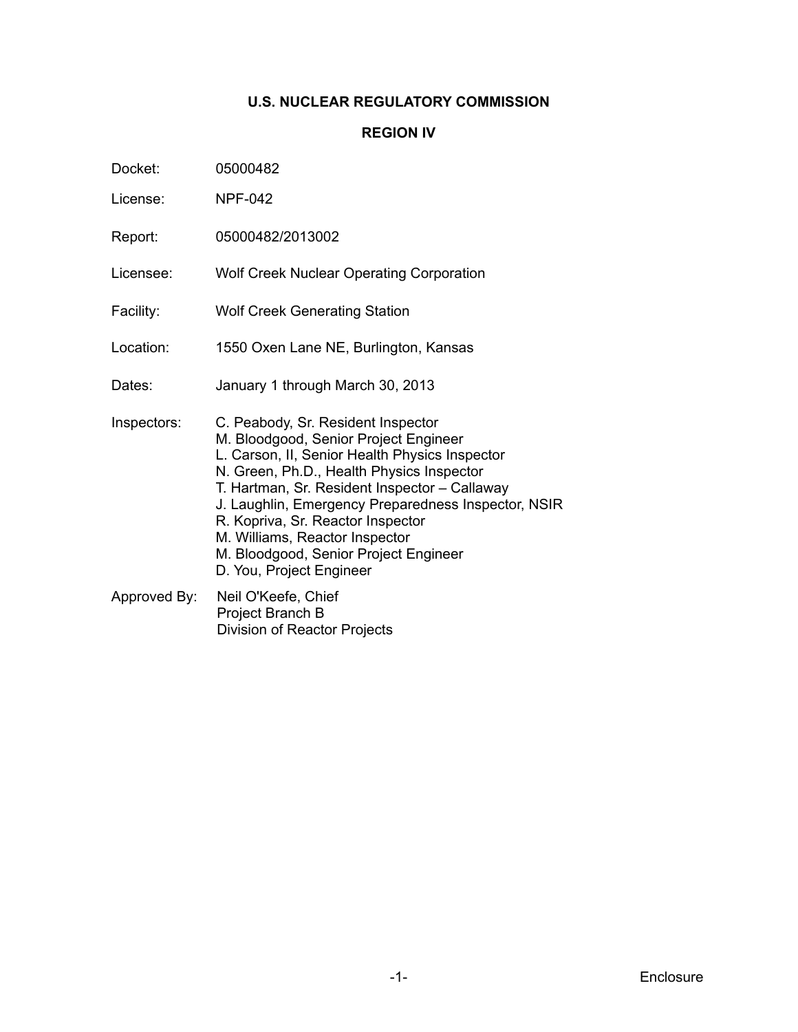## **U.S. NUCLEAR REGULATORY COMMISSION**

## **REGION IV**

| Docket: | 05000482 |
|---------|----------|
|         |          |

- License: NPF-042
- Report: 05000482/2013002
- Licensee: Wolf Creek Nuclear Operating Corporation
- Facility: Wolf Creek Generating Station
- Location: 1550 Oxen Lane NE, Burlington, Kansas
- Dates: January 1 through March 30, 2013
- Inspectors: C. Peabody, Sr. Resident Inspector M. Bloodgood, Senior Project Engineer L. Carson, II, Senior Health Physics Inspector N. Green, Ph.D., Health Physics Inspector T. Hartman, Sr. Resident Inspector – Callaway J. Laughlin, Emergency Preparedness Inspector, NSIR R. Kopriva, Sr. Reactor Inspector M. Williams, Reactor Inspector M. Bloodgood, Senior Project Engineer D. You, Project Engineer
- Approved By: Neil O'Keefe, Chief Project Branch B Division of Reactor Projects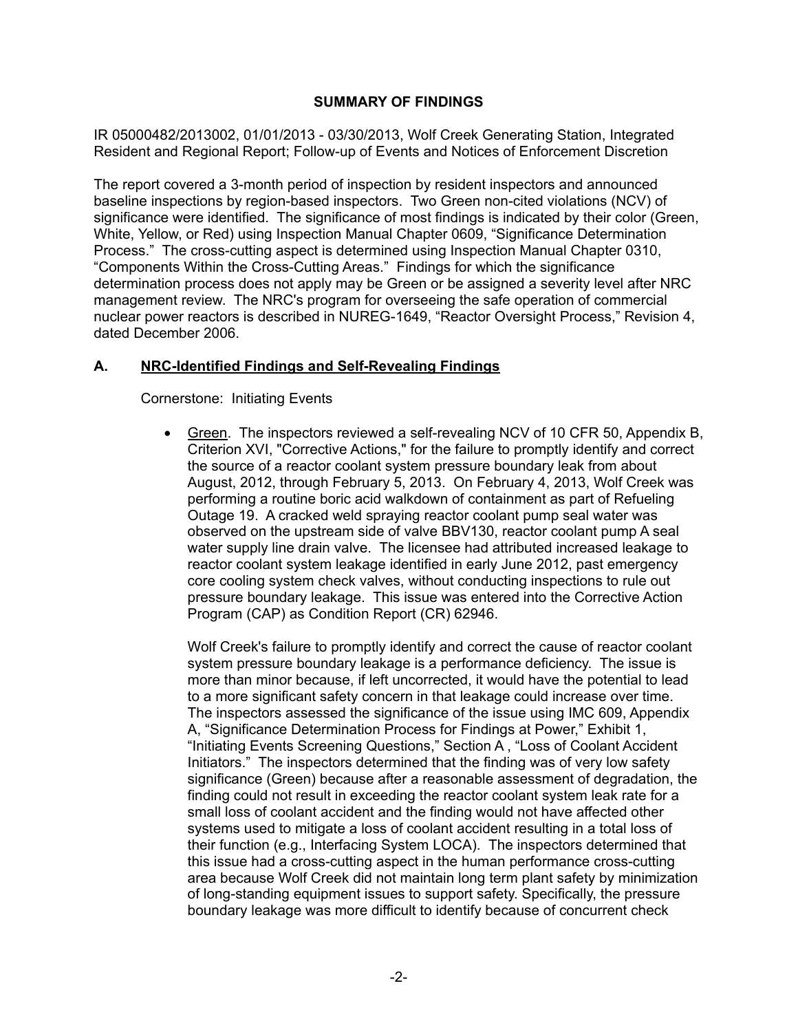## **SUMMARY OF FINDINGS**

IR 05000482/2013002, 01/01/2013 - 03/30/2013, Wolf Creek Generating Station, Integrated Resident and Regional Report; Follow-up of Events and Notices of Enforcement Discretion

The report covered a 3-month period of inspection by resident inspectors and announced baseline inspections by region-based inspectors. Two Green non-cited violations (NCV) of significance were identified. The significance of most findings is indicated by their color (Green, White, Yellow, or Red) using Inspection Manual Chapter 0609, "Significance Determination Process." The cross-cutting aspect is determined using Inspection Manual Chapter 0310, "Components Within the Cross-Cutting Areas." Findings for which the significance determination process does not apply may be Green or be assigned a severity level after NRC management review. The NRC's program for overseeing the safe operation of commercial nuclear power reactors is described in NUREG-1649, "Reactor Oversight Process," Revision 4, dated December 2006.

# **A. NRC-Identified Findings and Self-Revealing Findings**

Cornerstone: Initiating Events

• Green. The inspectors reviewed a self-revealing NCV of 10 CFR 50, Appendix B, Criterion XVI, "Corrective Actions," for the failure to promptly identify and correct the source of a reactor coolant system pressure boundary leak from about August, 2012, through February 5, 2013. On February 4, 2013, Wolf Creek was performing a routine boric acid walkdown of containment as part of Refueling Outage 19. A cracked weld spraying reactor coolant pump seal water was observed on the upstream side of valve BBV130, reactor coolant pump A seal water supply line drain valve. The licensee had attributed increased leakage to reactor coolant system leakage identified in early June 2012, past emergency core cooling system check valves, without conducting inspections to rule out pressure boundary leakage. This issue was entered into the Corrective Action Program (CAP) as Condition Report (CR) 62946.

Wolf Creek's failure to promptly identify and correct the cause of reactor coolant system pressure boundary leakage is a performance deficiency. The issue is more than minor because, if left uncorrected, it would have the potential to lead to a more significant safety concern in that leakage could increase over time. The inspectors assessed the significance of the issue using IMC 609, Appendix A, "Significance Determination Process for Findings at Power," Exhibit 1, "Initiating Events Screening Questions," Section A , "Loss of Coolant Accident Initiators." The inspectors determined that the finding was of very low safety significance (Green) because after a reasonable assessment of degradation, the finding could not result in exceeding the reactor coolant system leak rate for a small loss of coolant accident and the finding would not have affected other systems used to mitigate a loss of coolant accident resulting in a total loss of their function (e.g., Interfacing System LOCA). The inspectors determined that this issue had a cross-cutting aspect in the human performance cross-cutting area because Wolf Creek did not maintain long term plant safety by minimization of long-standing equipment issues to support safety. Specifically, the pressure boundary leakage was more difficult to identify because of concurrent check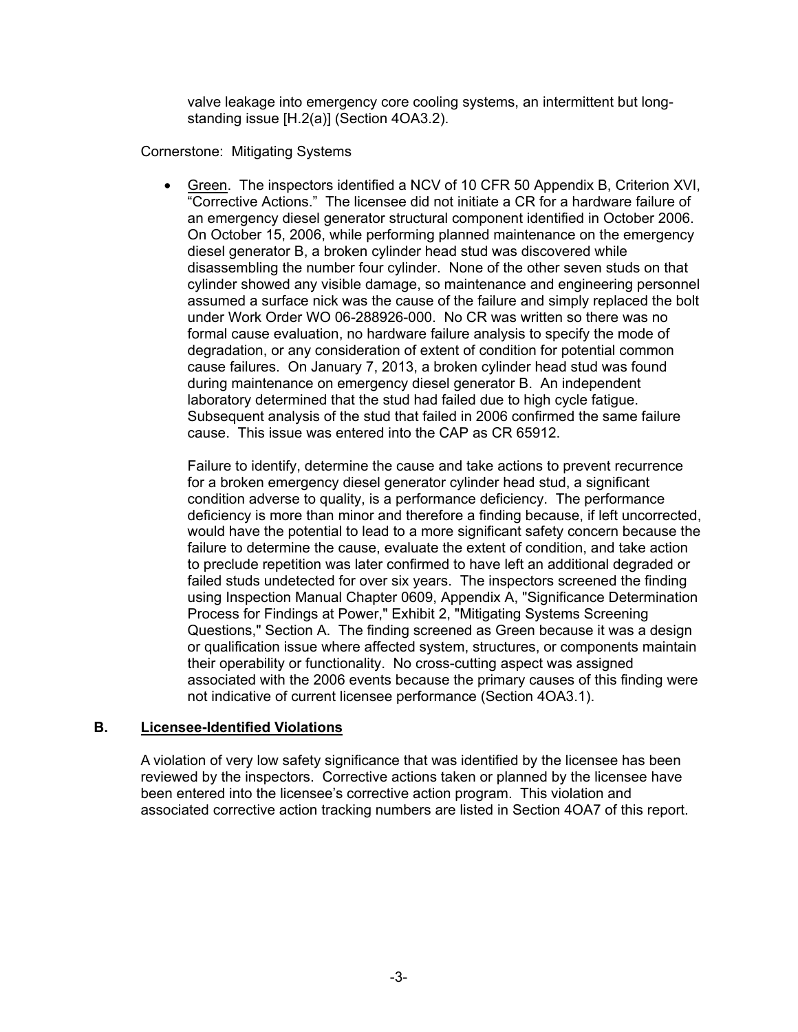valve leakage into emergency core cooling systems, an intermittent but longstanding issue [H.2(a)] (Section 4OA3.2).

Cornerstone: Mitigating Systems

• Green. The inspectors identified a NCV of 10 CFR 50 Appendix B, Criterion XVI, "Corrective Actions." The licensee did not initiate a CR for a hardware failure of an emergency diesel generator structural component identified in October 2006. On October 15, 2006, while performing planned maintenance on the emergency diesel generator B, a broken cylinder head stud was discovered while disassembling the number four cylinder. None of the other seven studs on that cylinder showed any visible damage, so maintenance and engineering personnel assumed a surface nick was the cause of the failure and simply replaced the bolt under Work Order WO 06-288926-000. No CR was written so there was no formal cause evaluation, no hardware failure analysis to specify the mode of degradation, or any consideration of extent of condition for potential common cause failures. On January 7, 2013, a broken cylinder head stud was found during maintenance on emergency diesel generator B. An independent laboratory determined that the stud had failed due to high cycle fatigue. Subsequent analysis of the stud that failed in 2006 confirmed the same failure cause. This issue was entered into the CAP as CR 65912.

Failure to identify, determine the cause and take actions to prevent recurrence for a broken emergency diesel generator cylinder head stud, a significant condition adverse to quality, is a performance deficiency. The performance deficiency is more than minor and therefore a finding because, if left uncorrected, would have the potential to lead to a more significant safety concern because the failure to determine the cause, evaluate the extent of condition, and take action to preclude repetition was later confirmed to have left an additional degraded or failed studs undetected for over six years. The inspectors screened the finding using Inspection Manual Chapter 0609, Appendix A, "Significance Determination Process for Findings at Power," Exhibit 2, "Mitigating Systems Screening Questions," Section A. The finding screened as Green because it was a design or qualification issue where affected system, structures, or components maintain their operability or functionality. No cross-cutting aspect was assigned associated with the 2006 events because the primary causes of this finding were not indicative of current licensee performance (Section 4OA3.1).

## **B. Licensee-Identified Violations**

A violation of very low safety significance that was identified by the licensee has been reviewed by the inspectors. Corrective actions taken or planned by the licensee have been entered into the licensee's corrective action program. This violation and associated corrective action tracking numbers are listed in Section 4OA7 of this report.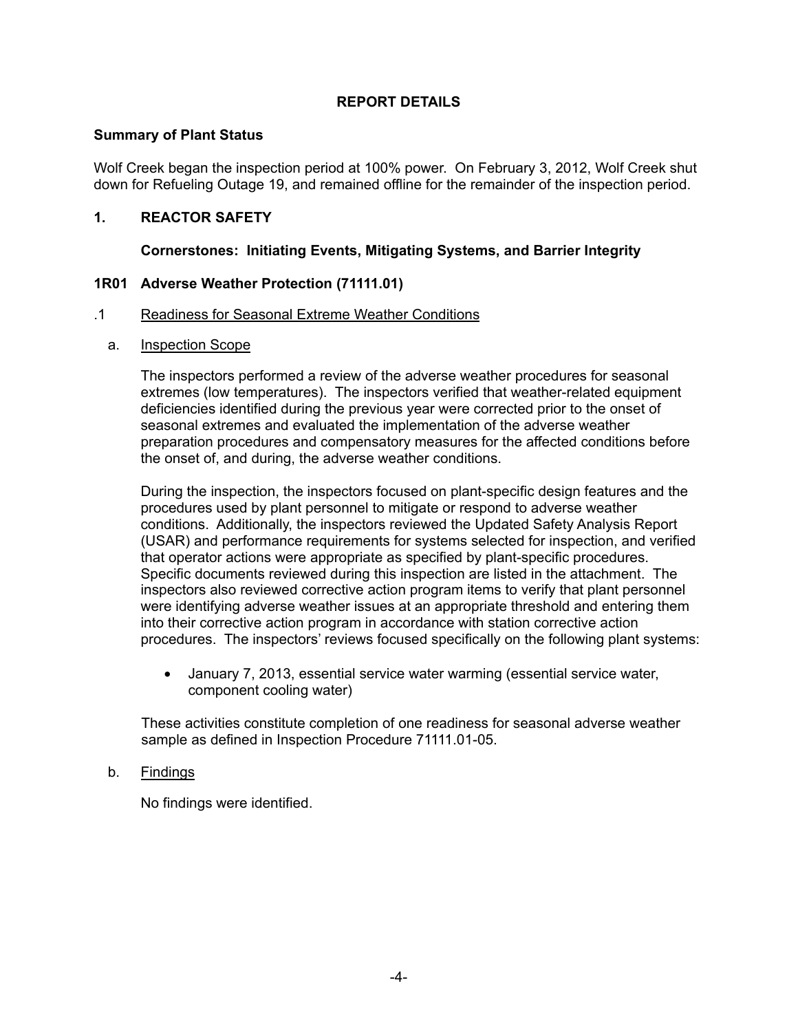## **REPORT DETAILS**

#### **Summary of Plant Status**

Wolf Creek began the inspection period at 100% power. On February 3, 2012, Wolf Creek shut down for Refueling Outage 19, and remained offline for the remainder of the inspection period.

## **1. REACTOR SAFETY**

## **Cornerstones: Initiating Events, Mitigating Systems, and Barrier Integrity**

## **1R01 Adverse Weather Protection (71111.01)**

#### .1 Readiness for Seasonal Extreme Weather Conditions

a. Inspection Scope

The inspectors performed a review of the adverse weather procedures for seasonal extremes (low temperatures). The inspectors verified that weather-related equipment deficiencies identified during the previous year were corrected prior to the onset of seasonal extremes and evaluated the implementation of the adverse weather preparation procedures and compensatory measures for the affected conditions before the onset of, and during, the adverse weather conditions.

During the inspection, the inspectors focused on plant-specific design features and the procedures used by plant personnel to mitigate or respond to adverse weather conditions. Additionally, the inspectors reviewed the Updated Safety Analysis Report (USAR) and performance requirements for systems selected for inspection, and verified that operator actions were appropriate as specified by plant-specific procedures. Specific documents reviewed during this inspection are listed in the attachment. The inspectors also reviewed corrective action program items to verify that plant personnel were identifying adverse weather issues at an appropriate threshold and entering them into their corrective action program in accordance with station corrective action procedures. The inspectors' reviews focused specifically on the following plant systems:

• January 7, 2013, essential service water warming (essential service water, component cooling water)

These activities constitute completion of one readiness for seasonal adverse weather sample as defined in Inspection Procedure 71111.01-05.

#### b. Findings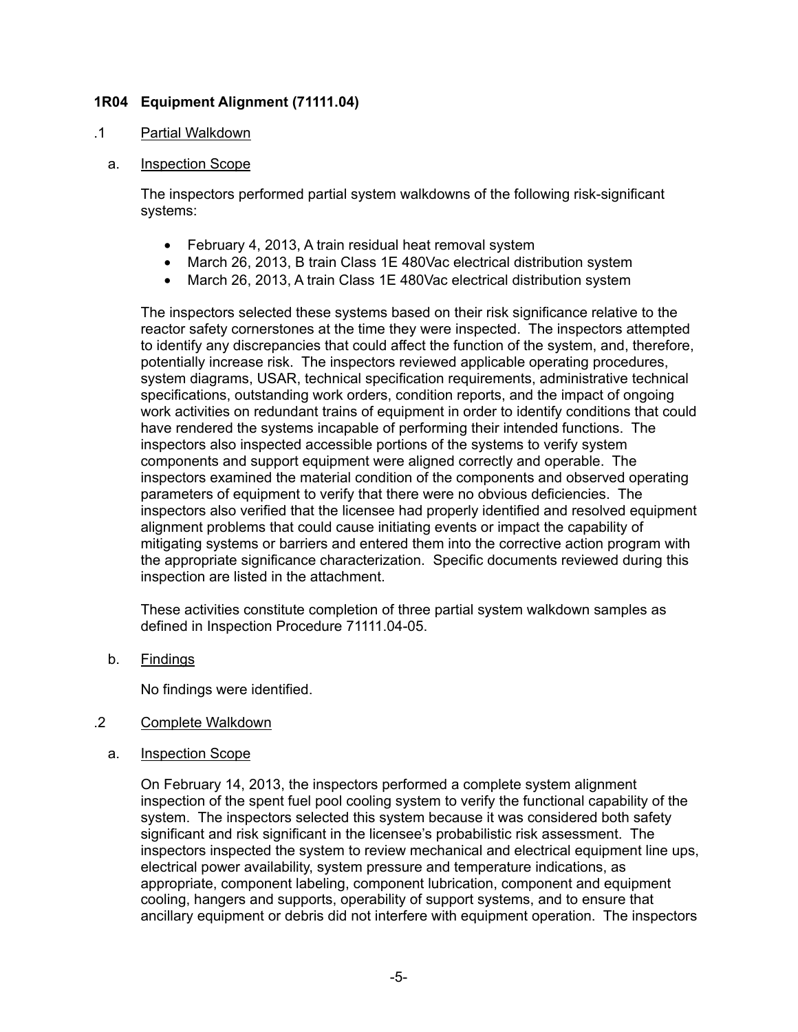## **1R04 Equipment Alignment (71111.04)**

#### .1 Partial Walkdown

#### a. Inspection Scope

The inspectors performed partial system walkdowns of the following risk-significant systems:

- February 4, 2013, A train residual heat removal system
- March 26, 2013, B train Class 1E 480Vac electrical distribution system
- March 26, 2013, A train Class 1E 480Vac electrical distribution system

The inspectors selected these systems based on their risk significance relative to the reactor safety cornerstones at the time they were inspected. The inspectors attempted to identify any discrepancies that could affect the function of the system, and, therefore, potentially increase risk. The inspectors reviewed applicable operating procedures, system diagrams, USAR, technical specification requirements, administrative technical specifications, outstanding work orders, condition reports, and the impact of ongoing work activities on redundant trains of equipment in order to identify conditions that could have rendered the systems incapable of performing their intended functions. The inspectors also inspected accessible portions of the systems to verify system components and support equipment were aligned correctly and operable. The inspectors examined the material condition of the components and observed operating parameters of equipment to verify that there were no obvious deficiencies. The inspectors also verified that the licensee had properly identified and resolved equipment alignment problems that could cause initiating events or impact the capability of mitigating systems or barriers and entered them into the corrective action program with the appropriate significance characterization. Specific documents reviewed during this inspection are listed in the attachment.

These activities constitute completion of three partial system walkdown samples as defined in Inspection Procedure 71111.04-05.

b. Findings

No findings were identified.

- .2 Complete Walkdown
	- a. Inspection Scope

On February 14, 2013, the inspectors performed a complete system alignment inspection of the spent fuel pool cooling system to verify the functional capability of the system. The inspectors selected this system because it was considered both safety significant and risk significant in the licensee's probabilistic risk assessment. The inspectors inspected the system to review mechanical and electrical equipment line ups, electrical power availability, system pressure and temperature indications, as appropriate, component labeling, component lubrication, component and equipment cooling, hangers and supports, operability of support systems, and to ensure that ancillary equipment or debris did not interfere with equipment operation. The inspectors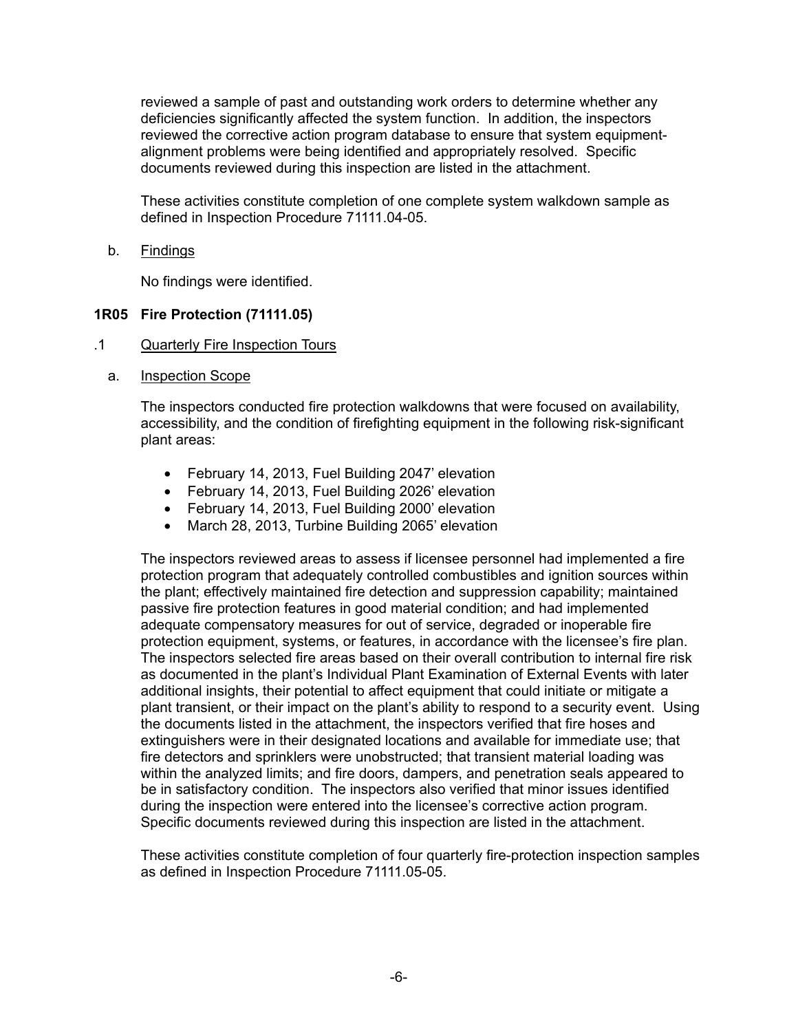reviewed a sample of past and outstanding work orders to determine whether any deficiencies significantly affected the system function. In addition, the inspectors reviewed the corrective action program database to ensure that system equipmentalignment problems were being identified and appropriately resolved. Specific documents reviewed during this inspection are listed in the attachment.

These activities constitute completion of one complete system walkdown sample as defined in Inspection Procedure 71111.04-05.

b. Findings

No findings were identified.

#### **1R05 Fire Protection (71111.05)**

- .1 Quarterly Fire Inspection Tours
	- a. Inspection Scope

The inspectors conducted fire protection walkdowns that were focused on availability, accessibility, and the condition of firefighting equipment in the following risk-significant plant areas:

- February 14, 2013, Fuel Building 2047' elevation
- February 14, 2013, Fuel Building 2026' elevation
- February 14, 2013, Fuel Building 2000' elevation
- March 28, 2013, Turbine Building 2065' elevation

The inspectors reviewed areas to assess if licensee personnel had implemented a fire protection program that adequately controlled combustibles and ignition sources within the plant; effectively maintained fire detection and suppression capability; maintained passive fire protection features in good material condition; and had implemented adequate compensatory measures for out of service, degraded or inoperable fire protection equipment, systems, or features, in accordance with the licensee's fire plan. The inspectors selected fire areas based on their overall contribution to internal fire risk as documented in the plant's Individual Plant Examination of External Events with later additional insights, their potential to affect equipment that could initiate or mitigate a plant transient, or their impact on the plant's ability to respond to a security event. Using the documents listed in the attachment, the inspectors verified that fire hoses and extinguishers were in their designated locations and available for immediate use; that fire detectors and sprinklers were unobstructed; that transient material loading was within the analyzed limits; and fire doors, dampers, and penetration seals appeared to be in satisfactory condition. The inspectors also verified that minor issues identified during the inspection were entered into the licensee's corrective action program. Specific documents reviewed during this inspection are listed in the attachment.

These activities constitute completion of four quarterly fire-protection inspection samples as defined in Inspection Procedure 71111.05-05.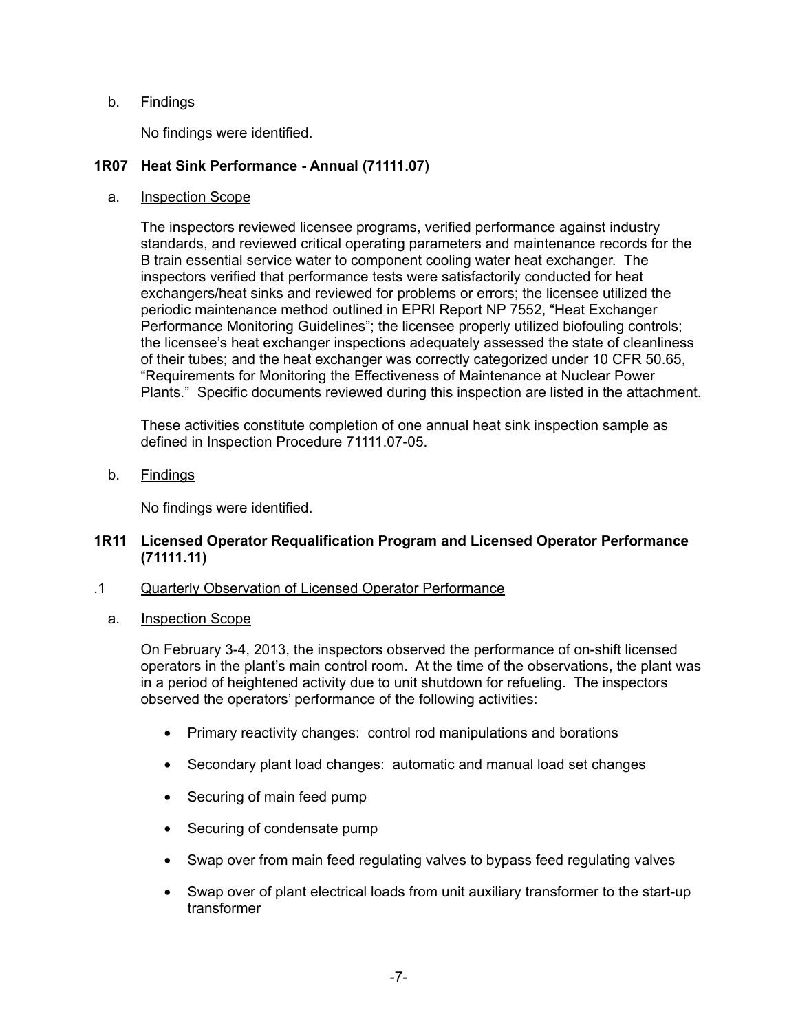# b. Findings

No findings were identified.

## **1R07 Heat Sink Performance - Annual (71111.07)**

#### a. Inspection Scope

The inspectors reviewed licensee programs, verified performance against industry standards, and reviewed critical operating parameters and maintenance records for the B train essential service water to component cooling water heat exchanger. The inspectors verified that performance tests were satisfactorily conducted for heat exchangers/heat sinks and reviewed for problems or errors; the licensee utilized the periodic maintenance method outlined in EPRI Report NP 7552, "Heat Exchanger Performance Monitoring Guidelines"; the licensee properly utilized biofouling controls; the licensee's heat exchanger inspections adequately assessed the state of cleanliness of their tubes; and the heat exchanger was correctly categorized under 10 CFR 50.65, "Requirements for Monitoring the Effectiveness of Maintenance at Nuclear Power Plants." Specific documents reviewed during this inspection are listed in the attachment.

These activities constitute completion of one annual heat sink inspection sample as defined in Inspection Procedure 71111.07-05.

b. Findings

No findings were identified.

#### **1R11 Licensed Operator Requalification Program and Licensed Operator Performance (71111.11)**

- .1 Quarterly Observation of Licensed Operator Performance
	- a. Inspection Scope

On February 3-4, 2013, the inspectors observed the performance of on-shift licensed operators in the plant's main control room. At the time of the observations, the plant was in a period of heightened activity due to unit shutdown for refueling. The inspectors observed the operators' performance of the following activities:

- Primary reactivity changes: control rod manipulations and borations
- Secondary plant load changes: automatic and manual load set changes
- Securing of main feed pump
- Securing of condensate pump
- Swap over from main feed regulating valves to bypass feed regulating valves
- Swap over of plant electrical loads from unit auxiliary transformer to the start-up transformer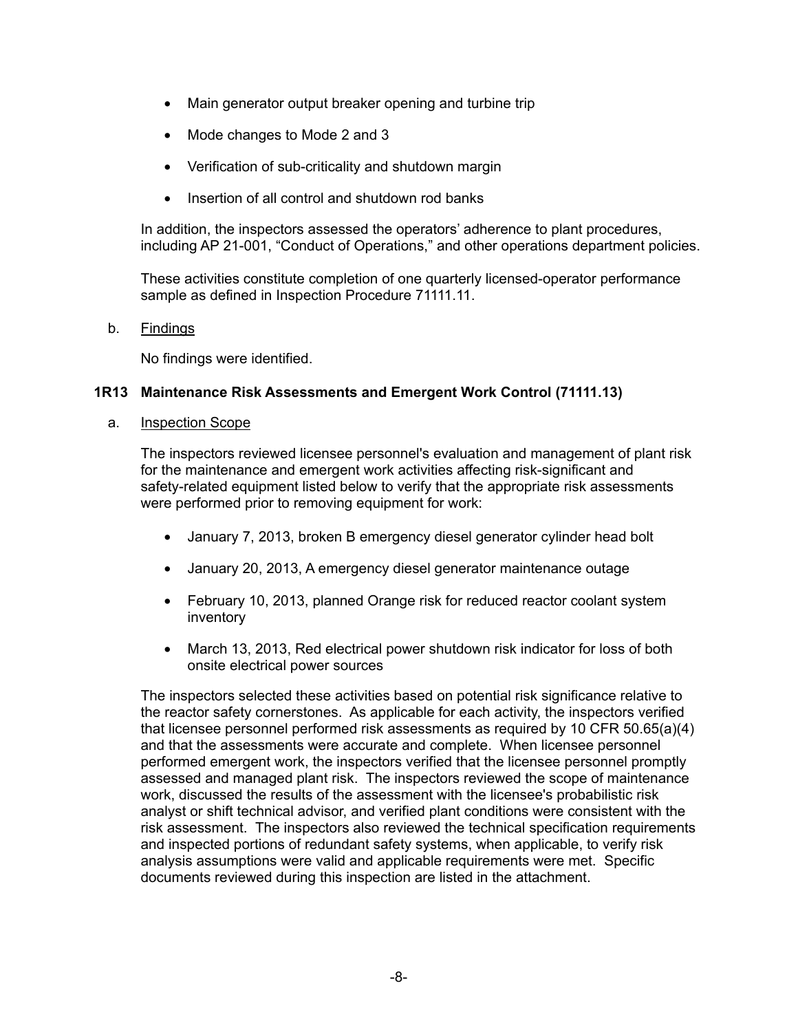- Main generator output breaker opening and turbine trip
- Mode changes to Mode 2 and 3
- Verification of sub-criticality and shutdown margin
- Insertion of all control and shutdown rod banks

In addition, the inspectors assessed the operators' adherence to plant procedures, including AP 21-001, "Conduct of Operations," and other operations department policies.

These activities constitute completion of one quarterly licensed-operator performance sample as defined in Inspection Procedure 71111.11.

#### b. Findings

No findings were identified.

## **1R13 Maintenance Risk Assessments and Emergent Work Control (71111.13)**

#### a. Inspection Scope

The inspectors reviewed licensee personnel's evaluation and management of plant risk for the maintenance and emergent work activities affecting risk-significant and safety-related equipment listed below to verify that the appropriate risk assessments were performed prior to removing equipment for work:

- January 7, 2013, broken B emergency diesel generator cylinder head bolt
- January 20, 2013, A emergency diesel generator maintenance outage
- February 10, 2013, planned Orange risk for reduced reactor coolant system inventory
- March 13, 2013, Red electrical power shutdown risk indicator for loss of both onsite electrical power sources

The inspectors selected these activities based on potential risk significance relative to the reactor safety cornerstones. As applicable for each activity, the inspectors verified that licensee personnel performed risk assessments as required by 10 CFR 50.65(a)(4) and that the assessments were accurate and complete. When licensee personnel performed emergent work, the inspectors verified that the licensee personnel promptly assessed and managed plant risk. The inspectors reviewed the scope of maintenance work, discussed the results of the assessment with the licensee's probabilistic risk analyst or shift technical advisor, and verified plant conditions were consistent with the risk assessment. The inspectors also reviewed the technical specification requirements and inspected portions of redundant safety systems, when applicable, to verify risk analysis assumptions were valid and applicable requirements were met. Specific documents reviewed during this inspection are listed in the attachment.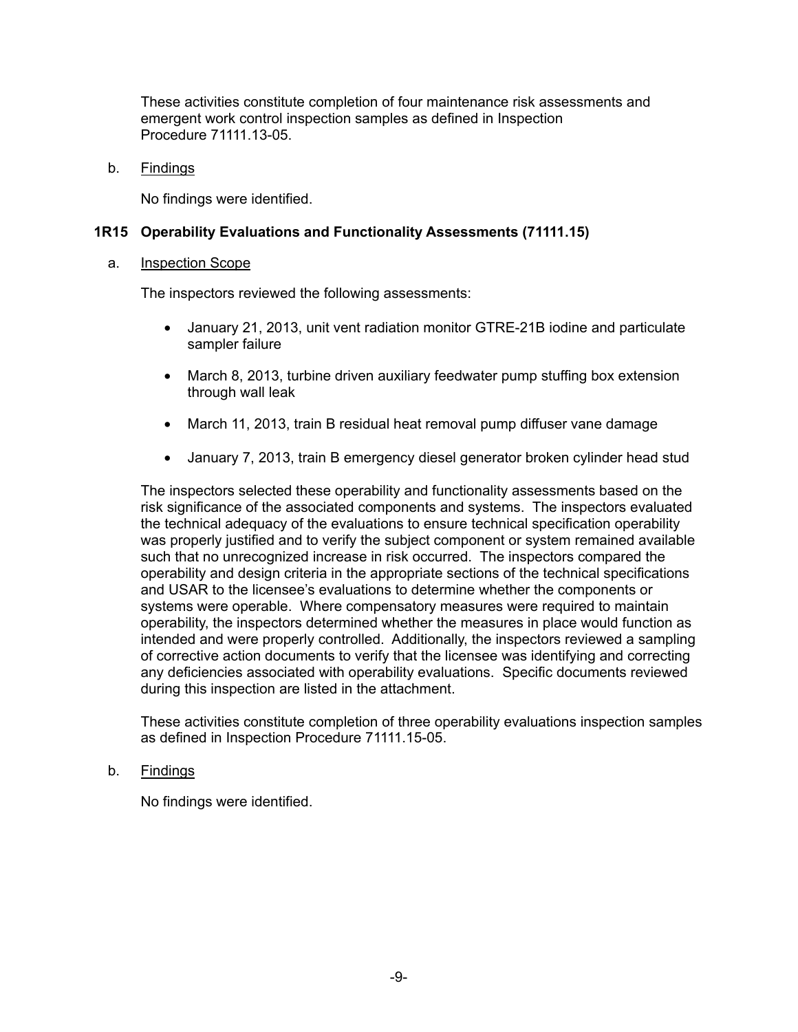These activities constitute completion of four maintenance risk assessments and emergent work control inspection samples as defined in Inspection Procedure 71111.13-05

b. Findings

No findings were identified.

## **1R15 Operability Evaluations and Functionality Assessments (71111.15)**

#### a. Inspection Scope

The inspectors reviewed the following assessments:

- January 21, 2013, unit vent radiation monitor GTRE-21B iodine and particulate sampler failure
- March 8, 2013, turbine driven auxiliary feedwater pump stuffing box extension through wall leak
- March 11, 2013, train B residual heat removal pump diffuser vane damage
- January 7, 2013, train B emergency diesel generator broken cylinder head stud

The inspectors selected these operability and functionality assessments based on the risk significance of the associated components and systems. The inspectors evaluated the technical adequacy of the evaluations to ensure technical specification operability was properly justified and to verify the subject component or system remained available such that no unrecognized increase in risk occurred. The inspectors compared the operability and design criteria in the appropriate sections of the technical specifications and USAR to the licensee's evaluations to determine whether the components or systems were operable. Where compensatory measures were required to maintain operability, the inspectors determined whether the measures in place would function as intended and were properly controlled. Additionally, the inspectors reviewed a sampling of corrective action documents to verify that the licensee was identifying and correcting any deficiencies associated with operability evaluations. Specific documents reviewed during this inspection are listed in the attachment.

These activities constitute completion of three operability evaluations inspection samples as defined in Inspection Procedure 71111.15-05.

#### b. Findings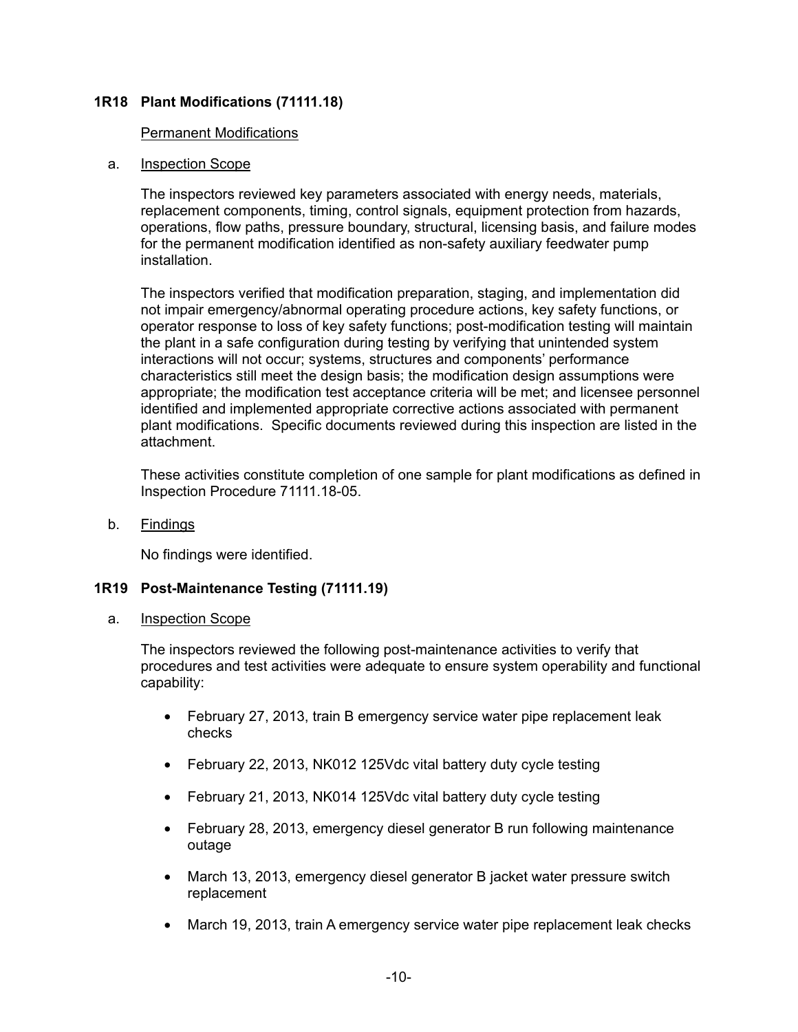## **1R18 Plant Modifications (71111.18)**

#### Permanent Modifications

#### a. Inspection Scope

The inspectors reviewed key parameters associated with energy needs, materials, replacement components, timing, control signals, equipment protection from hazards, operations, flow paths, pressure boundary, structural, licensing basis, and failure modes for the permanent modification identified as non-safety auxiliary feedwater pump installation.

The inspectors verified that modification preparation, staging, and implementation did not impair emergency/abnormal operating procedure actions, key safety functions, or operator response to loss of key safety functions; post-modification testing will maintain the plant in a safe configuration during testing by verifying that unintended system interactions will not occur; systems, structures and components' performance characteristics still meet the design basis; the modification design assumptions were appropriate; the modification test acceptance criteria will be met; and licensee personnel identified and implemented appropriate corrective actions associated with permanent plant modifications. Specific documents reviewed during this inspection are listed in the attachment.

These activities constitute completion of one sample for plant modifications as defined in Inspection Procedure 71111.18-05.

b. Findings

No findings were identified.

## **1R19 Post-Maintenance Testing (71111.19)**

#### a. Inspection Scope

The inspectors reviewed the following post-maintenance activities to verify that procedures and test activities were adequate to ensure system operability and functional capability:

- February 27, 2013, train B emergency service water pipe replacement leak checks
- February 22, 2013, NK012 125Vdc vital battery duty cycle testing
- February 21, 2013, NK014 125Vdc vital battery duty cycle testing
- February 28, 2013, emergency diesel generator B run following maintenance outage
- March 13, 2013, emergency diesel generator B jacket water pressure switch replacement
- March 19, 2013, train A emergency service water pipe replacement leak checks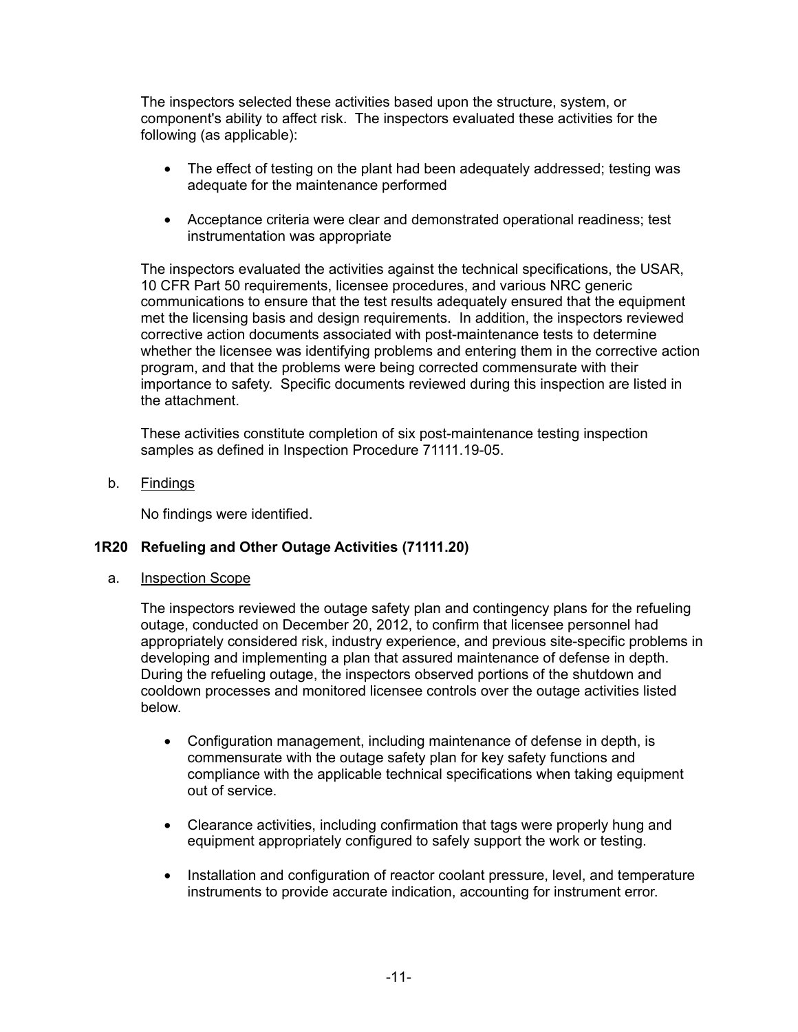The inspectors selected these activities based upon the structure, system, or component's ability to affect risk. The inspectors evaluated these activities for the following (as applicable):

- The effect of testing on the plant had been adequately addressed; testing was adequate for the maintenance performed
- Acceptance criteria were clear and demonstrated operational readiness; test instrumentation was appropriate

The inspectors evaluated the activities against the technical specifications, the USAR, 10 CFR Part 50 requirements, licensee procedures, and various NRC generic communications to ensure that the test results adequately ensured that the equipment met the licensing basis and design requirements. In addition, the inspectors reviewed corrective action documents associated with post-maintenance tests to determine whether the licensee was identifying problems and entering them in the corrective action program, and that the problems were being corrected commensurate with their importance to safety. Specific documents reviewed during this inspection are listed in the attachment.

These activities constitute completion of six post-maintenance testing inspection samples as defined in Inspection Procedure 71111.19-05.

b. Findings

No findings were identified.

## **1R20 Refueling and Other Outage Activities (71111.20)**

a. Inspection Scope

The inspectors reviewed the outage safety plan and contingency plans for the refueling outage, conducted on December 20, 2012, to confirm that licensee personnel had appropriately considered risk, industry experience, and previous site-specific problems in developing and implementing a plan that assured maintenance of defense in depth. During the refueling outage, the inspectors observed portions of the shutdown and cooldown processes and monitored licensee controls over the outage activities listed below.

- Configuration management, including maintenance of defense in depth, is commensurate with the outage safety plan for key safety functions and compliance with the applicable technical specifications when taking equipment out of service.
- Clearance activities, including confirmation that tags were properly hung and equipment appropriately configured to safely support the work or testing.
- Installation and configuration of reactor coolant pressure, level, and temperature instruments to provide accurate indication, accounting for instrument error.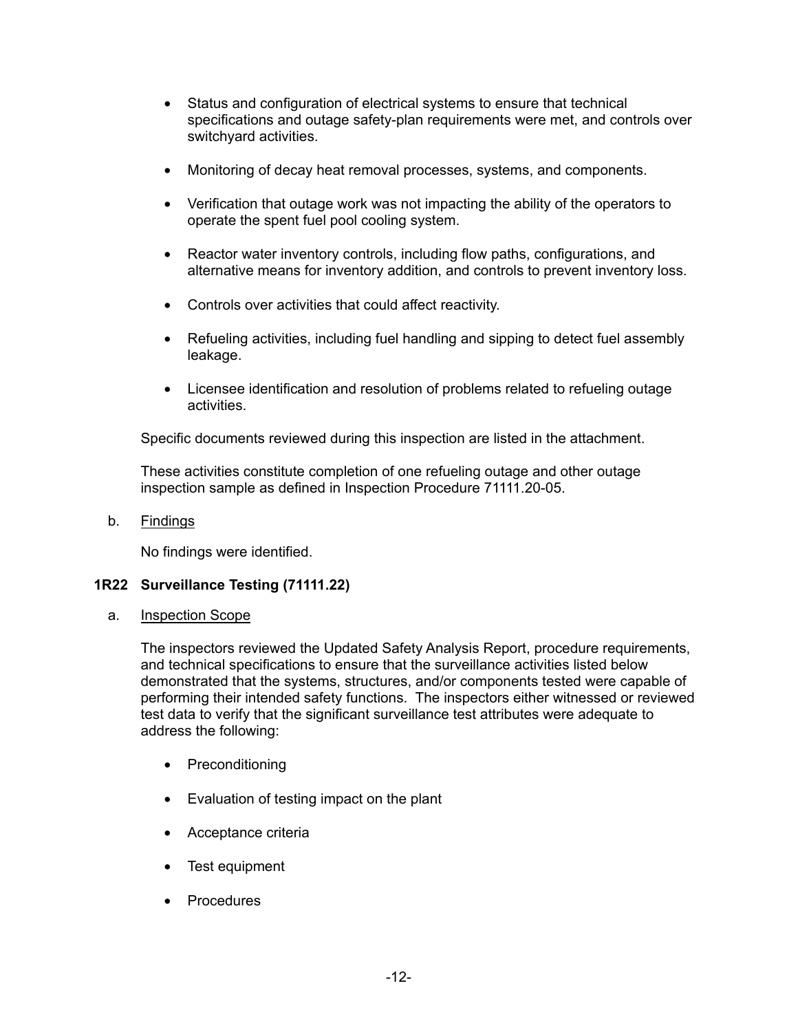- Status and configuration of electrical systems to ensure that technical specifications and outage safety-plan requirements were met, and controls over switchyard activities.
- Monitoring of decay heat removal processes, systems, and components.
- Verification that outage work was not impacting the ability of the operators to operate the spent fuel pool cooling system.
- Reactor water inventory controls, including flow paths, configurations, and alternative means for inventory addition, and controls to prevent inventory loss.
- Controls over activities that could affect reactivity.
- Refueling activities, including fuel handling and sipping to detect fuel assembly leakage.
- Licensee identification and resolution of problems related to refueling outage activities.

Specific documents reviewed during this inspection are listed in the attachment.

These activities constitute completion of one refueling outage and other outage inspection sample as defined in Inspection Procedure 71111.20-05.

b. Findings

No findings were identified.

## **1R22 Surveillance Testing (71111.22)**

a. Inspection Scope

The inspectors reviewed the Updated Safety Analysis Report, procedure requirements, and technical specifications to ensure that the surveillance activities listed below demonstrated that the systems, structures, and/or components tested were capable of performing their intended safety functions. The inspectors either witnessed or reviewed test data to verify that the significant surveillance test attributes were adequate to address the following:

- Preconditioning
- Evaluation of testing impact on the plant
- Acceptance criteria
- Test equipment
- Procedures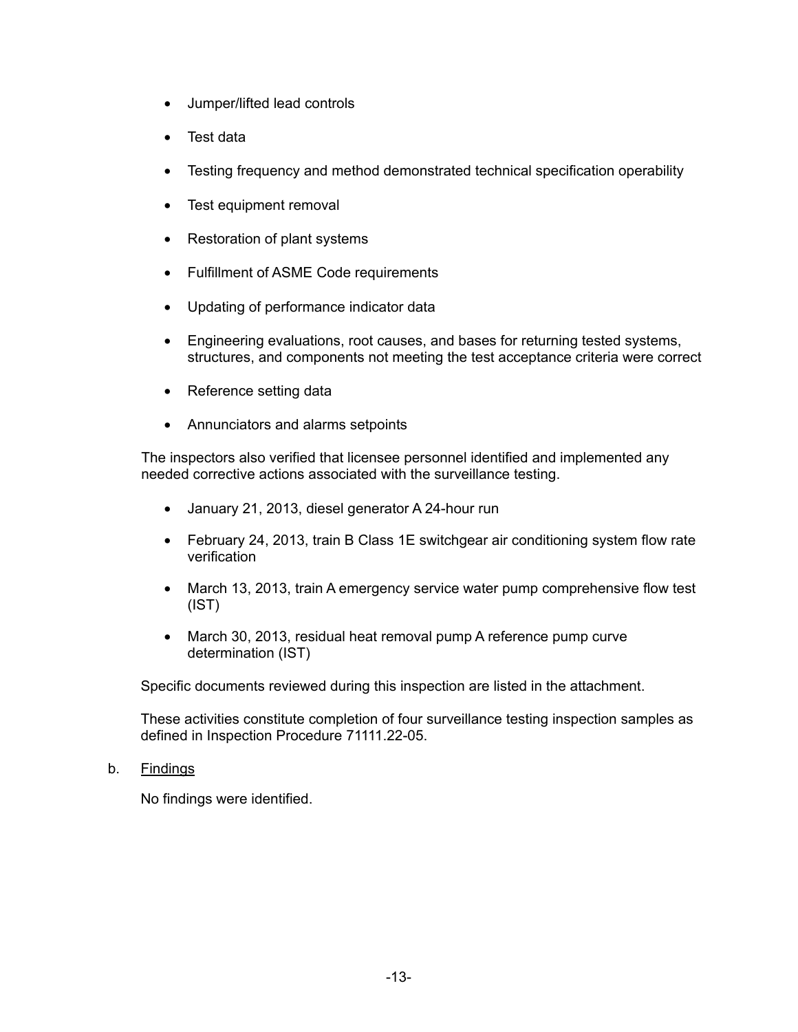- Jumper/lifted lead controls
- Test data
- Testing frequency and method demonstrated technical specification operability
- Test equipment removal
- Restoration of plant systems
- Fulfillment of ASME Code requirements
- Updating of performance indicator data
- Engineering evaluations, root causes, and bases for returning tested systems, structures, and components not meeting the test acceptance criteria were correct
- Reference setting data
- Annunciators and alarms setpoints

The inspectors also verified that licensee personnel identified and implemented any needed corrective actions associated with the surveillance testing.

- January 21, 2013, diesel generator A 24-hour run
- February 24, 2013, train B Class 1E switchgear air conditioning system flow rate verification
- March 13, 2013, train A emergency service water pump comprehensive flow test (IST)
- March 30, 2013, residual heat removal pump A reference pump curve determination (IST)

Specific documents reviewed during this inspection are listed in the attachment.

These activities constitute completion of four surveillance testing inspection samples as defined in Inspection Procedure 71111.22-05.

b. Findings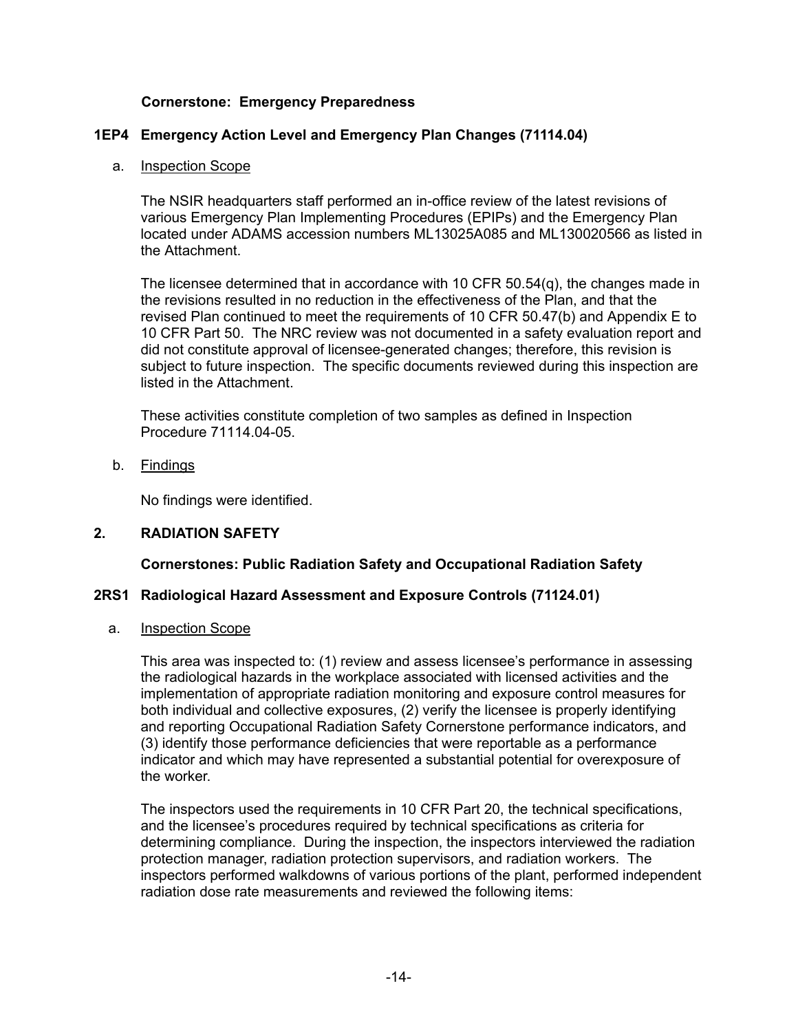## **Cornerstone: Emergency Preparedness**

## **1EP4 Emergency Action Level and Emergency Plan Changes (71114.04)**

#### a. Inspection Scope

The NSIR headquarters staff performed an in-office review of the latest revisions of various Emergency Plan Implementing Procedures (EPIPs) and the Emergency Plan located under ADAMS accession numbers ML13025A085 and ML130020566 as listed in the Attachment.

The licensee determined that in accordance with 10 CFR 50.54(q), the changes made in the revisions resulted in no reduction in the effectiveness of the Plan, and that the revised Plan continued to meet the requirements of 10 CFR 50.47(b) and Appendix E to 10 CFR Part 50. The NRC review was not documented in a safety evaluation report and did not constitute approval of licensee-generated changes; therefore, this revision is subject to future inspection. The specific documents reviewed during this inspection are listed in the Attachment.

These activities constitute completion of two samples as defined in Inspection Procedure 71114.04-05.

b. Findings

No findings were identified.

## **2. RADIATION SAFETY**

## **Cornerstones: Public Radiation Safety and Occupational Radiation Safety**

## **2RS1 Radiological Hazard Assessment and Exposure Controls (71124.01)**

a. Inspection Scope

This area was inspected to: (1) review and assess licensee's performance in assessing the radiological hazards in the workplace associated with licensed activities and the implementation of appropriate radiation monitoring and exposure control measures for both individual and collective exposures, (2) verify the licensee is properly identifying and reporting Occupational Radiation Safety Cornerstone performance indicators, and (3) identify those performance deficiencies that were reportable as a performance indicator and which may have represented a substantial potential for overexposure of the worker.

The inspectors used the requirements in 10 CFR Part 20, the technical specifications, and the licensee's procedures required by technical specifications as criteria for determining compliance. During the inspection, the inspectors interviewed the radiation protection manager, radiation protection supervisors, and radiation workers. The inspectors performed walkdowns of various portions of the plant, performed independent radiation dose rate measurements and reviewed the following items: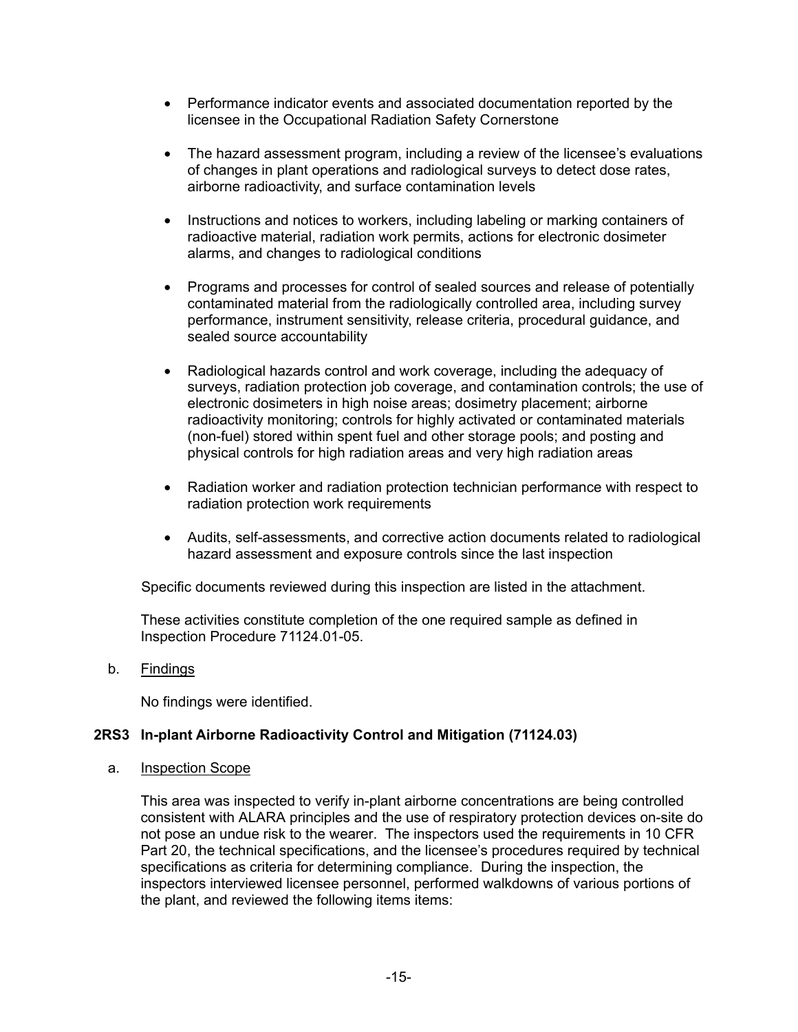- Performance indicator events and associated documentation reported by the licensee in the Occupational Radiation Safety Cornerstone
- The hazard assessment program, including a review of the licensee's evaluations of changes in plant operations and radiological surveys to detect dose rates, airborne radioactivity, and surface contamination levels
- Instructions and notices to workers, including labeling or marking containers of radioactive material, radiation work permits, actions for electronic dosimeter alarms, and changes to radiological conditions
- Programs and processes for control of sealed sources and release of potentially contaminated material from the radiologically controlled area, including survey performance, instrument sensitivity, release criteria, procedural guidance, and sealed source accountability
- Radiological hazards control and work coverage, including the adequacy of surveys, radiation protection job coverage, and contamination controls; the use of electronic dosimeters in high noise areas; dosimetry placement; airborne radioactivity monitoring; controls for highly activated or contaminated materials (non-fuel) stored within spent fuel and other storage pools; and posting and physical controls for high radiation areas and very high radiation areas
- Radiation worker and radiation protection technician performance with respect to radiation protection work requirements
- Audits, self-assessments, and corrective action documents related to radiological hazard assessment and exposure controls since the last inspection

Specific documents reviewed during this inspection are listed in the attachment.

These activities constitute completion of the one required sample as defined in Inspection Procedure 71124.01-05.

b. Findings

No findings were identified.

# **2RS3 In-plant Airborne Radioactivity Control and Mitigation (71124.03)**

a. Inspection Scope

This area was inspected to verify in-plant airborne concentrations are being controlled consistent with ALARA principles and the use of respiratory protection devices on-site do not pose an undue risk to the wearer. The inspectors used the requirements in 10 CFR Part 20, the technical specifications, and the licensee's procedures required by technical specifications as criteria for determining compliance. During the inspection, the inspectors interviewed licensee personnel, performed walkdowns of various portions of the plant, and reviewed the following items items: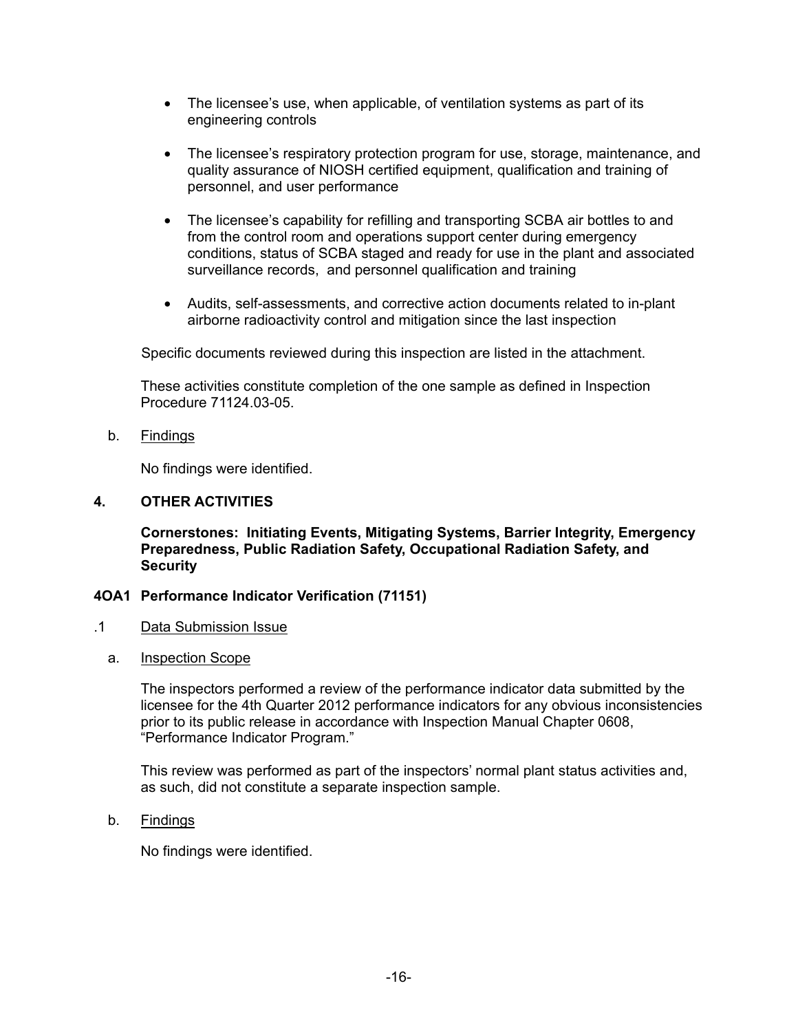- The licensee's use, when applicable, of ventilation systems as part of its engineering controls
- The licensee's respiratory protection program for use, storage, maintenance, and quality assurance of NIOSH certified equipment, qualification and training of personnel, and user performance
- The licensee's capability for refilling and transporting SCBA air bottles to and from the control room and operations support center during emergency conditions, status of SCBA staged and ready for use in the plant and associated surveillance records, and personnel qualification and training
- Audits, self-assessments, and corrective action documents related to in-plant airborne radioactivity control and mitigation since the last inspection

Specific documents reviewed during this inspection are listed in the attachment.

These activities constitute completion of the one sample as defined in Inspection Procedure 71124.03-05.

b. Findings

No findings were identified.

#### **4. OTHER ACTIVITIES**

**Cornerstones: Initiating Events, Mitigating Systems, Barrier Integrity, Emergency Preparedness, Public Radiation Safety, Occupational Radiation Safety, and Security** 

#### **4OA1 Performance Indicator Verification (71151)**

- .1 Data Submission Issue
	- a. Inspection Scope

The inspectors performed a review of the performance indicator data submitted by the licensee for the 4th Quarter 2012 performance indicators for any obvious inconsistencies prior to its public release in accordance with Inspection Manual Chapter 0608, "Performance Indicator Program."

This review was performed as part of the inspectors' normal plant status activities and, as such, did not constitute a separate inspection sample.

b. Findings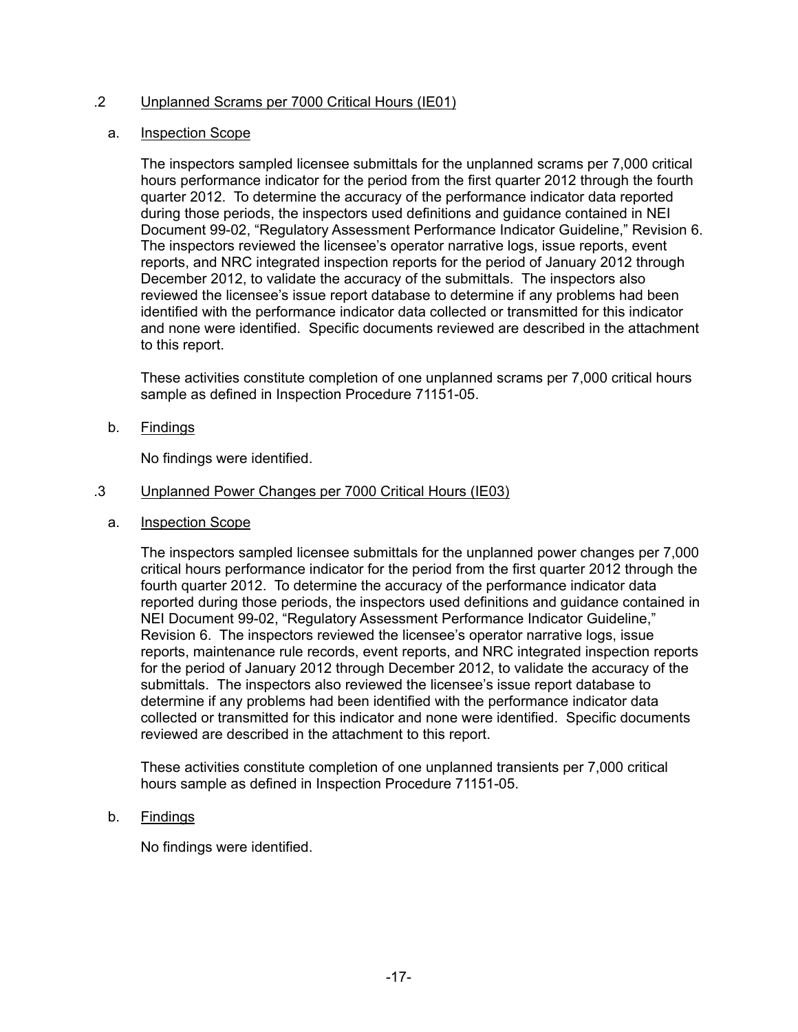## .2 Unplanned Scrams per 7000 Critical Hours (IE01)

#### a. Inspection Scope

The inspectors sampled licensee submittals for the unplanned scrams per 7,000 critical hours performance indicator for the period from the first quarter 2012 through the fourth quarter 2012. To determine the accuracy of the performance indicator data reported during those periods, the inspectors used definitions and guidance contained in NEI Document 99-02, "Regulatory Assessment Performance Indicator Guideline," Revision 6. The inspectors reviewed the licensee's operator narrative logs, issue reports, event reports, and NRC integrated inspection reports for the period of January 2012 through December 2012, to validate the accuracy of the submittals. The inspectors also reviewed the licensee's issue report database to determine if any problems had been identified with the performance indicator data collected or transmitted for this indicator and none were identified. Specific documents reviewed are described in the attachment to this report.

These activities constitute completion of one unplanned scrams per 7,000 critical hours sample as defined in Inspection Procedure 71151-05.

b. Findings

No findings were identified.

- .3 Unplanned Power Changes per 7000 Critical Hours (IE03)
	- a. Inspection Scope

The inspectors sampled licensee submittals for the unplanned power changes per 7,000 critical hours performance indicator for the period from the first quarter 2012 through the fourth quarter 2012. To determine the accuracy of the performance indicator data reported during those periods, the inspectors used definitions and guidance contained in NEI Document 99-02, "Regulatory Assessment Performance Indicator Guideline," Revision 6. The inspectors reviewed the licensee's operator narrative logs, issue reports, maintenance rule records, event reports, and NRC integrated inspection reports for the period of January 2012 through December 2012, to validate the accuracy of the submittals. The inspectors also reviewed the licensee's issue report database to determine if any problems had been identified with the performance indicator data collected or transmitted for this indicator and none were identified. Specific documents reviewed are described in the attachment to this report.

These activities constitute completion of one unplanned transients per 7,000 critical hours sample as defined in Inspection Procedure 71151-05.

b. Findings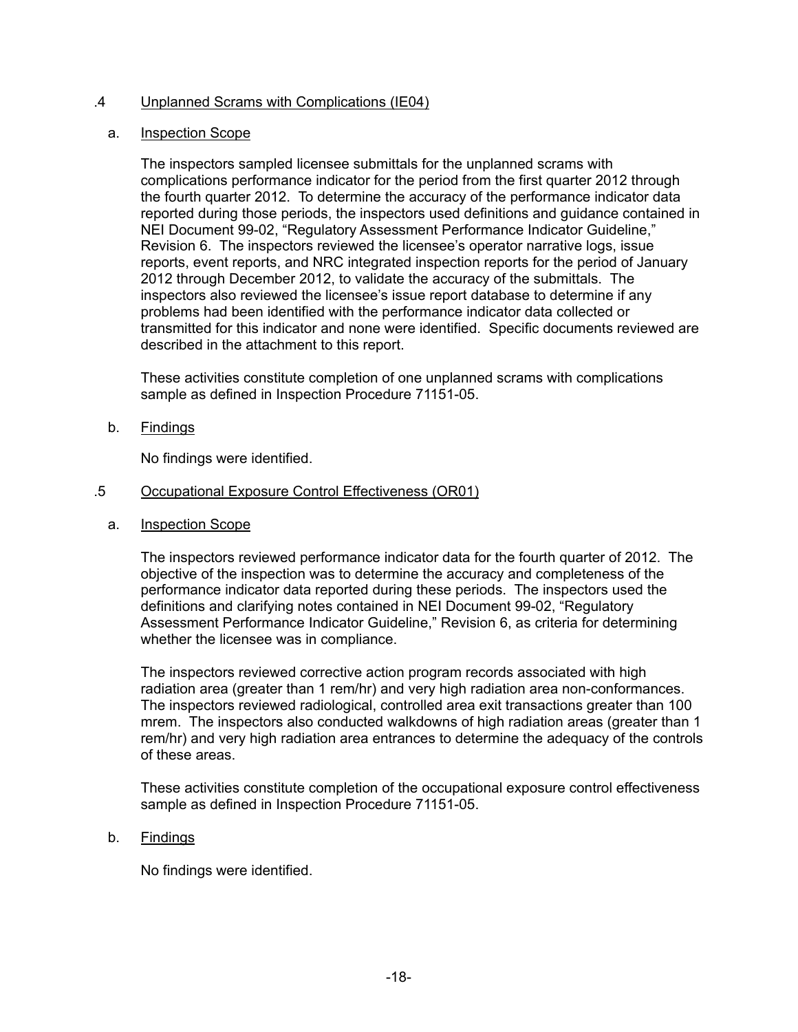## .4 Unplanned Scrams with Complications (IE04)

#### a. Inspection Scope

The inspectors sampled licensee submittals for the unplanned scrams with complications performance indicator for the period from the first quarter 2012 through the fourth quarter 2012. To determine the accuracy of the performance indicator data reported during those periods, the inspectors used definitions and guidance contained in NEI Document 99-02, "Regulatory Assessment Performance Indicator Guideline," Revision 6. The inspectors reviewed the licensee's operator narrative logs, issue reports, event reports, and NRC integrated inspection reports for the period of January 2012 through December 2012, to validate the accuracy of the submittals. The inspectors also reviewed the licensee's issue report database to determine if any problems had been identified with the performance indicator data collected or transmitted for this indicator and none were identified. Specific documents reviewed are described in the attachment to this report.

These activities constitute completion of one unplanned scrams with complications sample as defined in Inspection Procedure 71151-05.

b. Findings

No findings were identified.

- .5 Occupational Exposure Control Effectiveness (OR01)
	- a. Inspection Scope

The inspectors reviewed performance indicator data for the fourth quarter of 2012. The objective of the inspection was to determine the accuracy and completeness of the performance indicator data reported during these periods. The inspectors used the definitions and clarifying notes contained in NEI Document 99-02, "Regulatory Assessment Performance Indicator Guideline," Revision 6, as criteria for determining whether the licensee was in compliance.

The inspectors reviewed corrective action program records associated with high radiation area (greater than 1 rem/hr) and very high radiation area non-conformances. The inspectors reviewed radiological, controlled area exit transactions greater than 100 mrem. The inspectors also conducted walkdowns of high radiation areas (greater than 1 rem/hr) and very high radiation area entrances to determine the adequacy of the controls of these areas.

These activities constitute completion of the occupational exposure control effectiveness sample as defined in Inspection Procedure 71151-05.

b. Findings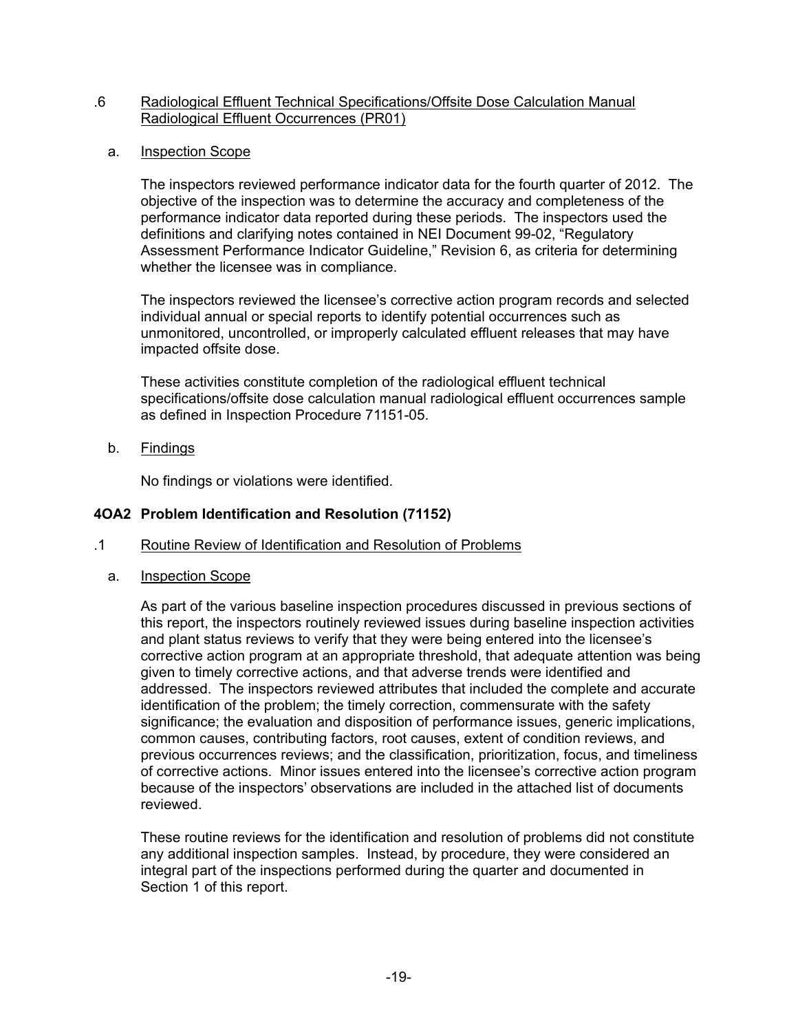#### .6 Radiological Effluent Technical Specifications/Offsite Dose Calculation Manual Radiological Effluent Occurrences (PR01)

a. Inspection Scope

The inspectors reviewed performance indicator data for the fourth quarter of 2012. The objective of the inspection was to determine the accuracy and completeness of the performance indicator data reported during these periods. The inspectors used the definitions and clarifying notes contained in NEI Document 99-02, "Regulatory Assessment Performance Indicator Guideline," Revision 6, as criteria for determining whether the licensee was in compliance.

The inspectors reviewed the licensee's corrective action program records and selected individual annual or special reports to identify potential occurrences such as unmonitored, uncontrolled, or improperly calculated effluent releases that may have impacted offsite dose.

These activities constitute completion of the radiological effluent technical specifications/offsite dose calculation manual radiological effluent occurrences sample as defined in Inspection Procedure 71151-05.

b. Findings

No findings or violations were identified.

#### **4OA2 Problem Identification and Resolution (71152)**

- .1 Routine Review of Identification and Resolution of Problems
	- a. Inspection Scope

As part of the various baseline inspection procedures discussed in previous sections of this report, the inspectors routinely reviewed issues during baseline inspection activities and plant status reviews to verify that they were being entered into the licensee's corrective action program at an appropriate threshold, that adequate attention was being given to timely corrective actions, and that adverse trends were identified and addressed. The inspectors reviewed attributes that included the complete and accurate identification of the problem; the timely correction, commensurate with the safety significance; the evaluation and disposition of performance issues, generic implications, common causes, contributing factors, root causes, extent of condition reviews, and previous occurrences reviews; and the classification, prioritization, focus, and timeliness of corrective actions. Minor issues entered into the licensee's corrective action program because of the inspectors' observations are included in the attached list of documents reviewed.

These routine reviews for the identification and resolution of problems did not constitute any additional inspection samples. Instead, by procedure, they were considered an integral part of the inspections performed during the quarter and documented in Section 1 of this report.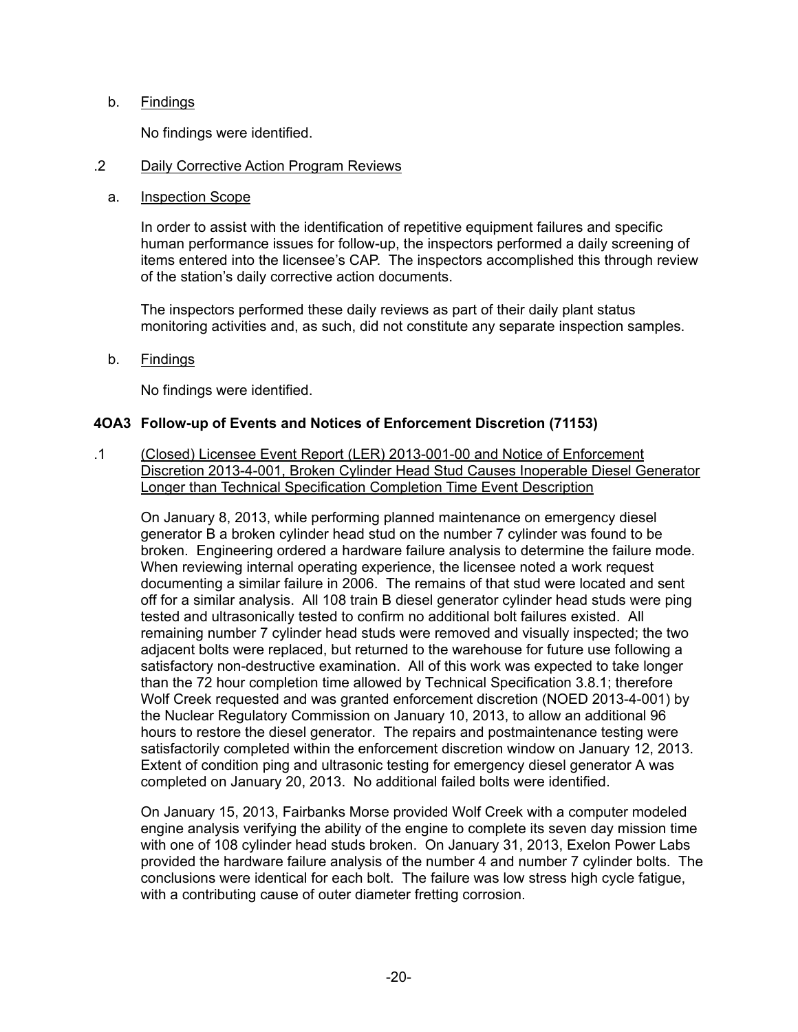#### b. Findings

No findings were identified.

#### .2 Daily Corrective Action Program Reviews

#### a. Inspection Scope

In order to assist with the identification of repetitive equipment failures and specific human performance issues for follow-up, the inspectors performed a daily screening of items entered into the licensee's CAP. The inspectors accomplished this through review of the station's daily corrective action documents.

The inspectors performed these daily reviews as part of their daily plant status monitoring activities and, as such, did not constitute any separate inspection samples.

b. Findings

No findings were identified.

## **4OA3 Follow-up of Events and Notices of Enforcement Discretion (71153)**

.1 (Closed) Licensee Event Report (LER) 2013-001-00 and Notice of Enforcement Discretion 2013-4-001, Broken Cylinder Head Stud Causes Inoperable Diesel Generator Longer than Technical Specification Completion Time Event Description

On January 8, 2013, while performing planned maintenance on emergency diesel generator B a broken cylinder head stud on the number 7 cylinder was found to be broken. Engineering ordered a hardware failure analysis to determine the failure mode. When reviewing internal operating experience, the licensee noted a work request documenting a similar failure in 2006. The remains of that stud were located and sent off for a similar analysis. All 108 train B diesel generator cylinder head studs were ping tested and ultrasonically tested to confirm no additional bolt failures existed. All remaining number 7 cylinder head studs were removed and visually inspected; the two adjacent bolts were replaced, but returned to the warehouse for future use following a satisfactory non-destructive examination. All of this work was expected to take longer than the 72 hour completion time allowed by Technical Specification 3.8.1; therefore Wolf Creek requested and was granted enforcement discretion (NOED 2013-4-001) by the Nuclear Regulatory Commission on January 10, 2013, to allow an additional 96 hours to restore the diesel generator. The repairs and postmaintenance testing were satisfactorily completed within the enforcement discretion window on January 12, 2013. Extent of condition ping and ultrasonic testing for emergency diesel generator A was completed on January 20, 2013. No additional failed bolts were identified.

On January 15, 2013, Fairbanks Morse provided Wolf Creek with a computer modeled engine analysis verifying the ability of the engine to complete its seven day mission time with one of 108 cylinder head studs broken. On January 31, 2013, Exelon Power Labs provided the hardware failure analysis of the number 4 and number 7 cylinder bolts. The conclusions were identical for each bolt. The failure was low stress high cycle fatigue, with a contributing cause of outer diameter fretting corrosion.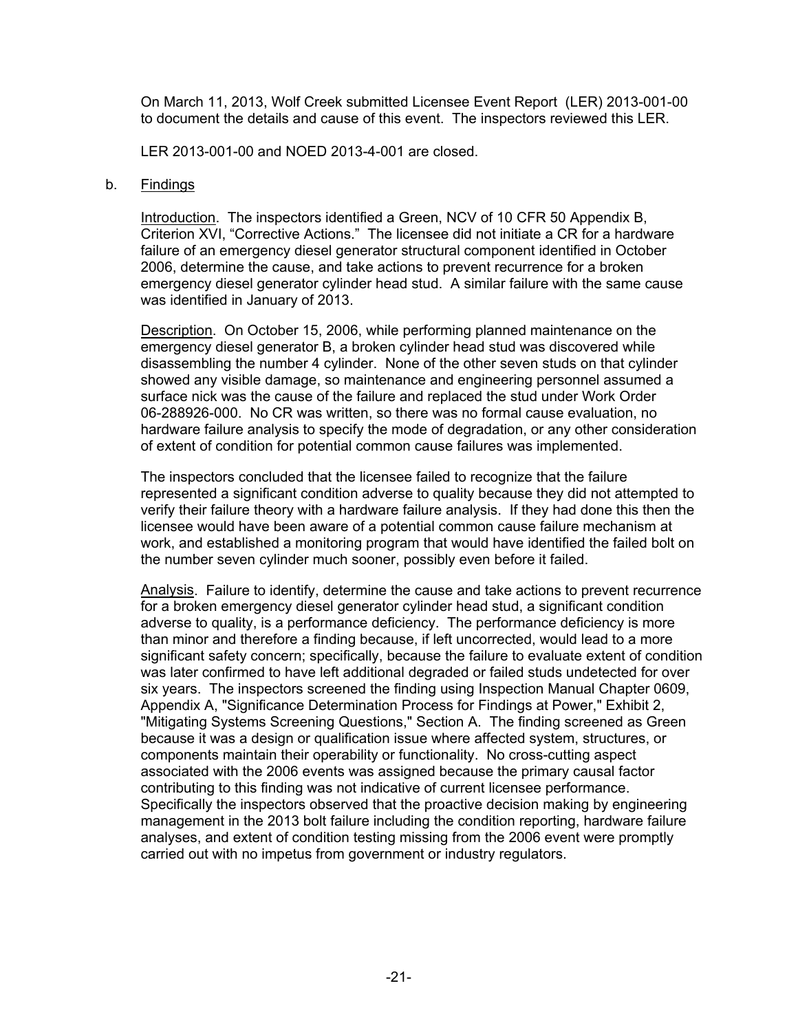On March 11, 2013, Wolf Creek submitted Licensee Event Report (LER) 2013-001-00 to document the details and cause of this event. The inspectors reviewed this LER.

LER 2013-001-00 and NOED 2013-4-001 are closed.

#### b. Findings

Introduction. The inspectors identified a Green, NCV of 10 CFR 50 Appendix B, Criterion XVI, "Corrective Actions." The licensee did not initiate a CR for a hardware failure of an emergency diesel generator structural component identified in October 2006, determine the cause, and take actions to prevent recurrence for a broken emergency diesel generator cylinder head stud. A similar failure with the same cause was identified in January of 2013.

Description. On October 15, 2006, while performing planned maintenance on the emergency diesel generator B, a broken cylinder head stud was discovered while disassembling the number 4 cylinder. None of the other seven studs on that cylinder showed any visible damage, so maintenance and engineering personnel assumed a surface nick was the cause of the failure and replaced the stud under Work Order 06-288926-000. No CR was written, so there was no formal cause evaluation, no hardware failure analysis to specify the mode of degradation, or any other consideration of extent of condition for potential common cause failures was implemented.

The inspectors concluded that the licensee failed to recognize that the failure represented a significant condition adverse to quality because they did not attempted to verify their failure theory with a hardware failure analysis. If they had done this then the licensee would have been aware of a potential common cause failure mechanism at work, and established a monitoring program that would have identified the failed bolt on the number seven cylinder much sooner, possibly even before it failed.

Analysis. Failure to identify, determine the cause and take actions to prevent recurrence for a broken emergency diesel generator cylinder head stud, a significant condition adverse to quality, is a performance deficiency. The performance deficiency is more than minor and therefore a finding because, if left uncorrected, would lead to a more significant safety concern; specifically, because the failure to evaluate extent of condition was later confirmed to have left additional degraded or failed studs undetected for over six years. The inspectors screened the finding using Inspection Manual Chapter 0609, Appendix A, "Significance Determination Process for Findings at Power," Exhibit 2, "Mitigating Systems Screening Questions," Section A. The finding screened as Green because it was a design or qualification issue where affected system, structures, or components maintain their operability or functionality. No cross-cutting aspect associated with the 2006 events was assigned because the primary causal factor contributing to this finding was not indicative of current licensee performance. Specifically the inspectors observed that the proactive decision making by engineering management in the 2013 bolt failure including the condition reporting, hardware failure analyses, and extent of condition testing missing from the 2006 event were promptly carried out with no impetus from government or industry regulators.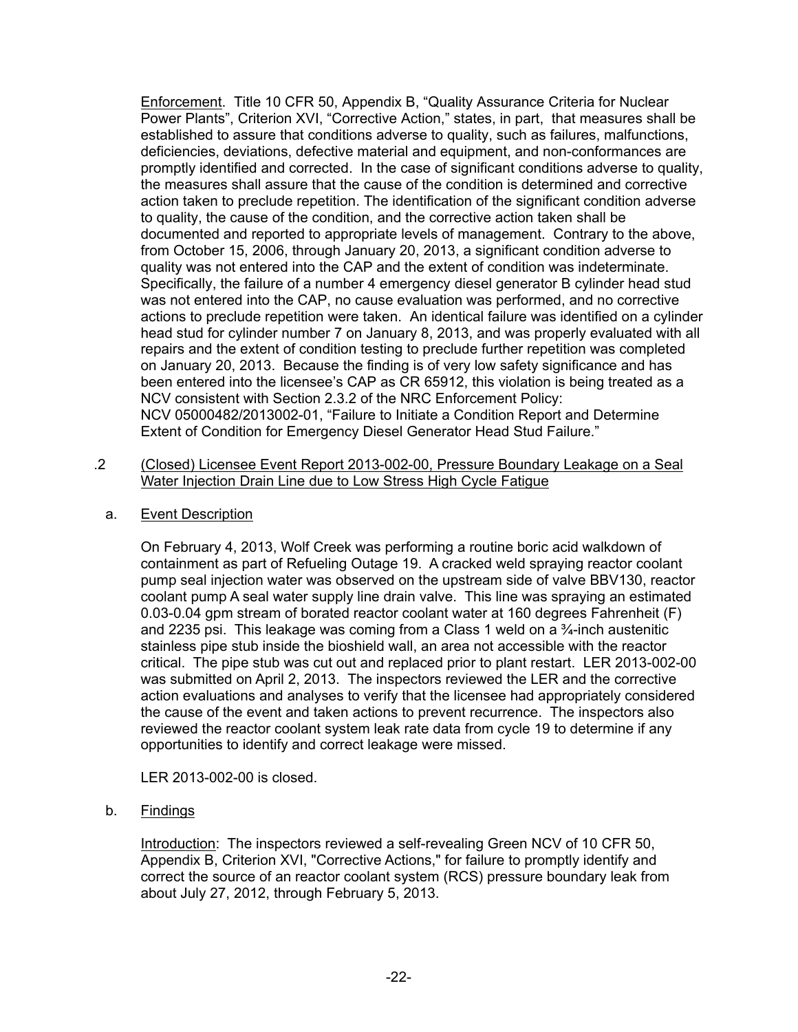Enforcement. Title 10 CFR 50, Appendix B, "Quality Assurance Criteria for Nuclear Power Plants", Criterion XVI, "Corrective Action," states, in part, that measures shall be established to assure that conditions adverse to quality, such as failures, malfunctions, deficiencies, deviations, defective material and equipment, and non-conformances are promptly identified and corrected. In the case of significant conditions adverse to quality, the measures shall assure that the cause of the condition is determined and corrective action taken to preclude repetition. The identification of the significant condition adverse to quality, the cause of the condition, and the corrective action taken shall be documented and reported to appropriate levels of management. Contrary to the above, from October 15, 2006, through January 20, 2013, a significant condition adverse to quality was not entered into the CAP and the extent of condition was indeterminate. Specifically, the failure of a number 4 emergency diesel generator B cylinder head stud was not entered into the CAP, no cause evaluation was performed, and no corrective actions to preclude repetition were taken. An identical failure was identified on a cylinder head stud for cylinder number 7 on January 8, 2013, and was properly evaluated with all repairs and the extent of condition testing to preclude further repetition was completed on January 20, 2013. Because the finding is of very low safety significance and has been entered into the licensee's CAP as CR 65912, this violation is being treated as a NCV consistent with Section 2.3.2 of the NRC Enforcement Policy: NCV 05000482/2013002-01, "Failure to Initiate a Condition Report and Determine Extent of Condition for Emergency Diesel Generator Head Stud Failure."

- .2 (Closed) Licensee Event Report 2013-002-00, Pressure Boundary Leakage on a Seal Water Injection Drain Line due to Low Stress High Cycle Fatigue
	- a. Event Description

On February 4, 2013, Wolf Creek was performing a routine boric acid walkdown of containment as part of Refueling Outage 19. A cracked weld spraying reactor coolant pump seal injection water was observed on the upstream side of valve BBV130, reactor coolant pump A seal water supply line drain valve. This line was spraying an estimated 0.03-0.04 gpm stream of borated reactor coolant water at 160 degrees Fahrenheit (F) and 2235 psi. This leakage was coming from a Class 1 weld on a ¾-inch austenitic stainless pipe stub inside the bioshield wall, an area not accessible with the reactor critical. The pipe stub was cut out and replaced prior to plant restart. LER 2013-002-00 was submitted on April 2, 2013. The inspectors reviewed the LER and the corrective action evaluations and analyses to verify that the licensee had appropriately considered the cause of the event and taken actions to prevent recurrence. The inspectors also reviewed the reactor coolant system leak rate data from cycle 19 to determine if any opportunities to identify and correct leakage were missed.

LER 2013-002-00 is closed.

b. Findings

Introduction: The inspectors reviewed a self-revealing Green NCV of 10 CFR 50, Appendix B, Criterion XVI, "Corrective Actions," for failure to promptly identify and correct the source of an reactor coolant system (RCS) pressure boundary leak from about July 27, 2012, through February 5, 2013.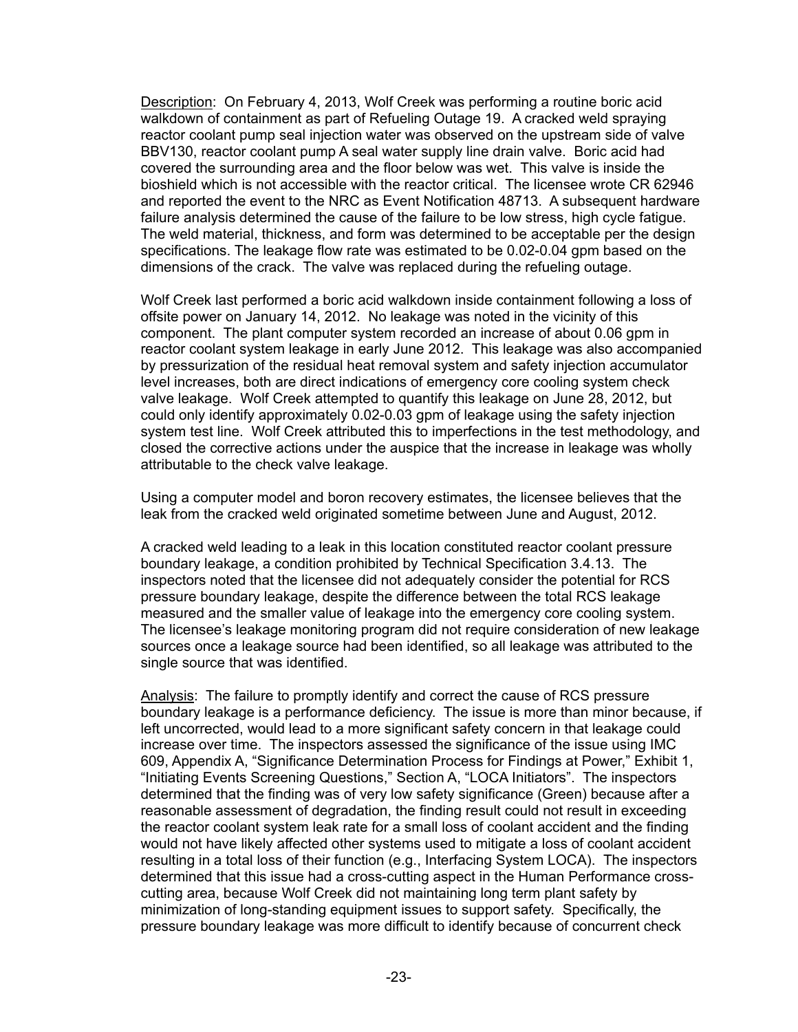Description: On February 4, 2013, Wolf Creek was performing a routine boric acid walkdown of containment as part of Refueling Outage 19. A cracked weld spraying reactor coolant pump seal injection water was observed on the upstream side of valve BBV130, reactor coolant pump A seal water supply line drain valve. Boric acid had covered the surrounding area and the floor below was wet. This valve is inside the bioshield which is not accessible with the reactor critical. The licensee wrote CR 62946 and reported the event to the NRC as Event Notification 48713. A subsequent hardware failure analysis determined the cause of the failure to be low stress, high cycle fatigue. The weld material, thickness, and form was determined to be acceptable per the design specifications. The leakage flow rate was estimated to be 0.02-0.04 gpm based on the dimensions of the crack. The valve was replaced during the refueling outage.

Wolf Creek last performed a boric acid walkdown inside containment following a loss of offsite power on January 14, 2012. No leakage was noted in the vicinity of this component. The plant computer system recorded an increase of about 0.06 gpm in reactor coolant system leakage in early June 2012. This leakage was also accompanied by pressurization of the residual heat removal system and safety injection accumulator level increases, both are direct indications of emergency core cooling system check valve leakage. Wolf Creek attempted to quantify this leakage on June 28, 2012, but could only identify approximately 0.02-0.03 gpm of leakage using the safety injection system test line. Wolf Creek attributed this to imperfections in the test methodology, and closed the corrective actions under the auspice that the increase in leakage was wholly attributable to the check valve leakage.

Using a computer model and boron recovery estimates, the licensee believes that the leak from the cracked weld originated sometime between June and August, 2012.

A cracked weld leading to a leak in this location constituted reactor coolant pressure boundary leakage, a condition prohibited by Technical Specification 3.4.13. The inspectors noted that the licensee did not adequately consider the potential for RCS pressure boundary leakage, despite the difference between the total RCS leakage measured and the smaller value of leakage into the emergency core cooling system. The licensee's leakage monitoring program did not require consideration of new leakage sources once a leakage source had been identified, so all leakage was attributed to the single source that was identified.

Analysis: The failure to promptly identify and correct the cause of RCS pressure boundary leakage is a performance deficiency. The issue is more than minor because, if left uncorrected, would lead to a more significant safety concern in that leakage could increase over time. The inspectors assessed the significance of the issue using IMC 609, Appendix A, "Significance Determination Process for Findings at Power," Exhibit 1, "Initiating Events Screening Questions," Section A, "LOCA Initiators". The inspectors determined that the finding was of very low safety significance (Green) because after a reasonable assessment of degradation, the finding result could not result in exceeding the reactor coolant system leak rate for a small loss of coolant accident and the finding would not have likely affected other systems used to mitigate a loss of coolant accident resulting in a total loss of their function (e.g., Interfacing System LOCA). The inspectors determined that this issue had a cross-cutting aspect in the Human Performance crosscutting area, because Wolf Creek did not maintaining long term plant safety by minimization of long-standing equipment issues to support safety. Specifically, the pressure boundary leakage was more difficult to identify because of concurrent check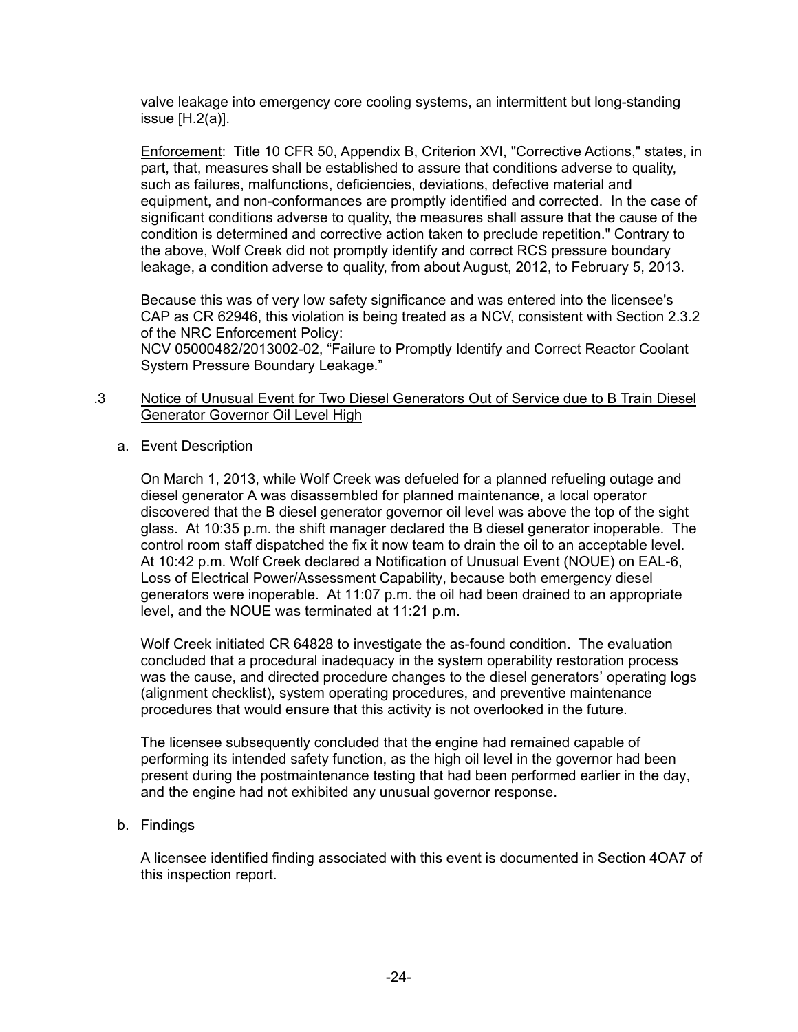valve leakage into emergency core cooling systems, an intermittent but long-standing issue [H.2(a)].

Enforcement: Title 10 CFR 50, Appendix B, Criterion XVI, "Corrective Actions," states, in part, that, measures shall be established to assure that conditions adverse to quality, such as failures, malfunctions, deficiencies, deviations, defective material and equipment, and non-conformances are promptly identified and corrected. In the case of significant conditions adverse to quality, the measures shall assure that the cause of the condition is determined and corrective action taken to preclude repetition." Contrary to the above, Wolf Creek did not promptly identify and correct RCS pressure boundary leakage, a condition adverse to quality, from about August, 2012, to February 5, 2013.

Because this was of very low safety significance and was entered into the licensee's CAP as CR 62946, this violation is being treated as a NCV, consistent with Section 2.3.2 of the NRC Enforcement Policy:

NCV 05000482/2013002-02, "Failure to Promptly Identify and Correct Reactor Coolant System Pressure Boundary Leakage."

#### .3 Notice of Unusual Event for Two Diesel Generators Out of Service due to B Train Diesel Generator Governor Oil Level High

## a. Event Description

On March 1, 2013, while Wolf Creek was defueled for a planned refueling outage and diesel generator A was disassembled for planned maintenance, a local operator discovered that the B diesel generator governor oil level was above the top of the sight glass. At 10:35 p.m. the shift manager declared the B diesel generator inoperable. The control room staff dispatched the fix it now team to drain the oil to an acceptable level. At 10:42 p.m. Wolf Creek declared a Notification of Unusual Event (NOUE) on EAL-6, Loss of Electrical Power/Assessment Capability, because both emergency diesel generators were inoperable. At 11:07 p.m. the oil had been drained to an appropriate level, and the NOUE was terminated at 11:21 p.m.

Wolf Creek initiated CR 64828 to investigate the as-found condition. The evaluation concluded that a procedural inadequacy in the system operability restoration process was the cause, and directed procedure changes to the diesel generators' operating logs (alignment checklist), system operating procedures, and preventive maintenance procedures that would ensure that this activity is not overlooked in the future.

The licensee subsequently concluded that the engine had remained capable of performing its intended safety function, as the high oil level in the governor had been present during the postmaintenance testing that had been performed earlier in the day, and the engine had not exhibited any unusual governor response.

## b. Findings

A licensee identified finding associated with this event is documented in Section 4OA7 of this inspection report.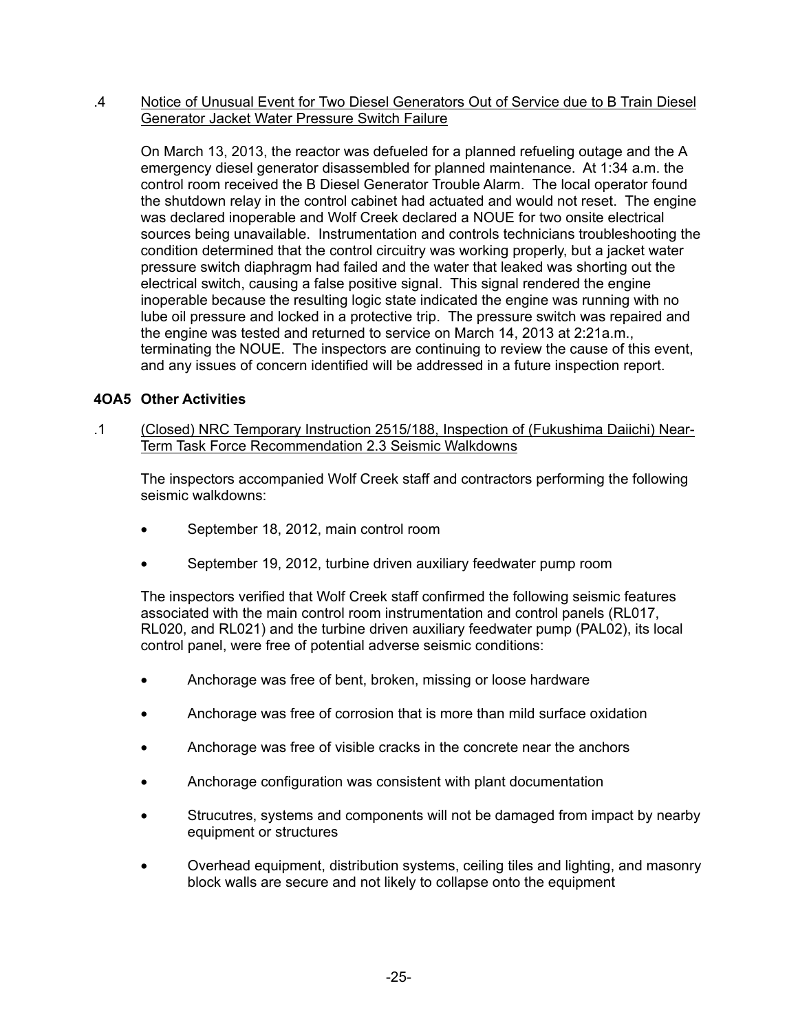#### .4 Notice of Unusual Event for Two Diesel Generators Out of Service due to B Train Diesel Generator Jacket Water Pressure Switch Failure

On March 13, 2013, the reactor was defueled for a planned refueling outage and the A emergency diesel generator disassembled for planned maintenance. At 1:34 a.m. the control room received the B Diesel Generator Trouble Alarm. The local operator found the shutdown relay in the control cabinet had actuated and would not reset. The engine was declared inoperable and Wolf Creek declared a NOUE for two onsite electrical sources being unavailable. Instrumentation and controls technicians troubleshooting the condition determined that the control circuitry was working properly, but a jacket water pressure switch diaphragm had failed and the water that leaked was shorting out the electrical switch, causing a false positive signal. This signal rendered the engine inoperable because the resulting logic state indicated the engine was running with no lube oil pressure and locked in a protective trip. The pressure switch was repaired and the engine was tested and returned to service on March 14, 2013 at 2:21a.m., terminating the NOUE. The inspectors are continuing to review the cause of this event, and any issues of concern identified will be addressed in a future inspection report.

# **4OA5 Other Activities**

.1 (Closed) NRC Temporary Instruction 2515/188, Inspection of (Fukushima Daiichi) Near-Term Task Force Recommendation 2.3 Seismic Walkdowns

The inspectors accompanied Wolf Creek staff and contractors performing the following seismic walkdowns:

- September 18, 2012, main control room
- September 19, 2012, turbine driven auxiliary feedwater pump room

The inspectors verified that Wolf Creek staff confirmed the following seismic features associated with the main control room instrumentation and control panels (RL017, RL020, and RL021) and the turbine driven auxiliary feedwater pump (PAL02), its local control panel, were free of potential adverse seismic conditions:

- Anchorage was free of bent, broken, missing or loose hardware
- Anchorage was free of corrosion that is more than mild surface oxidation
- Anchorage was free of visible cracks in the concrete near the anchors
- Anchorage configuration was consistent with plant documentation
- Strucutres, systems and components will not be damaged from impact by nearby equipment or structures
- Overhead equipment, distribution systems, ceiling tiles and lighting, and masonry block walls are secure and not likely to collapse onto the equipment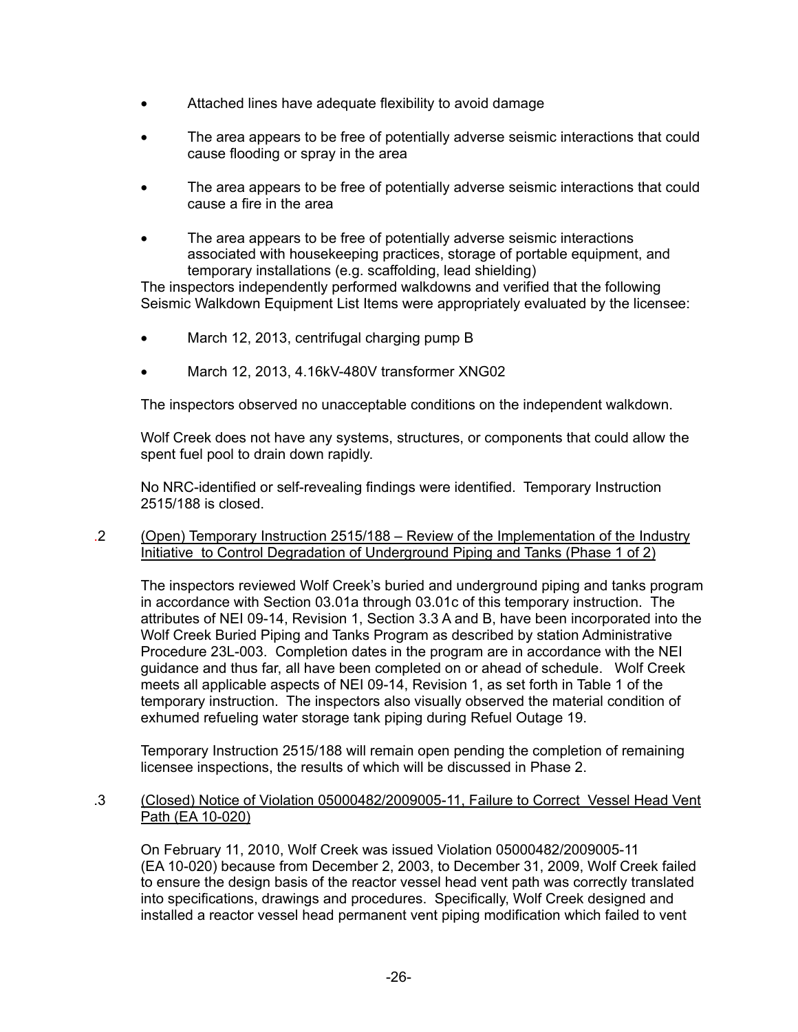- Attached lines have adequate flexibility to avoid damage
- The area appears to be free of potentially adverse seismic interactions that could cause flooding or spray in the area
- The area appears to be free of potentially adverse seismic interactions that could cause a fire in the area
- The area appears to be free of potentially adverse seismic interactions associated with housekeeping practices, storage of portable equipment, and temporary installations (e.g. scaffolding, lead shielding)

The inspectors independently performed walkdowns and verified that the following Seismic Walkdown Equipment List Items were appropriately evaluated by the licensee:

- March 12, 2013, centrifugal charging pump B
- March 12, 2013, 4.16kV-480V transformer XNG02

The inspectors observed no unacceptable conditions on the independent walkdown.

Wolf Creek does not have any systems, structures, or components that could allow the spent fuel pool to drain down rapidly.

No NRC-identified or self-revealing findings were identified. Temporary Instruction 2515/188 is closed.

.2 (Open) Temporary Instruction 2515/188 – Review of the Implementation of the Industry Initiative to Control Degradation of Underground Piping and Tanks (Phase 1 of 2)

The inspectors reviewed Wolf Creek's buried and underground piping and tanks program in accordance with Section 03.01a through 03.01c of this temporary instruction. The attributes of NEI 09-14, Revision 1, Section 3.3 A and B, have been incorporated into the Wolf Creek Buried Piping and Tanks Program as described by station Administrative Procedure 23L-003. Completion dates in the program are in accordance with the NEI guidance and thus far, all have been completed on or ahead of schedule. Wolf Creek meets all applicable aspects of NEI 09-14, Revision 1, as set forth in Table 1 of the temporary instruction. The inspectors also visually observed the material condition of exhumed refueling water storage tank piping during Refuel Outage 19.

Temporary Instruction 2515/188 will remain open pending the completion of remaining licensee inspections, the results of which will be discussed in Phase 2.

.3 (Closed) Notice of Violation 05000482/2009005-11, Failure to Correct Vessel Head Vent Path (EA 10-020)

On February 11, 2010, Wolf Creek was issued Violation 05000482/2009005-11 (EA 10-020) because from December 2, 2003, to December 31, 2009, Wolf Creek failed to ensure the design basis of the reactor vessel head vent path was correctly translated into specifications, drawings and procedures. Specifically, Wolf Creek designed and installed a reactor vessel head permanent vent piping modification which failed to vent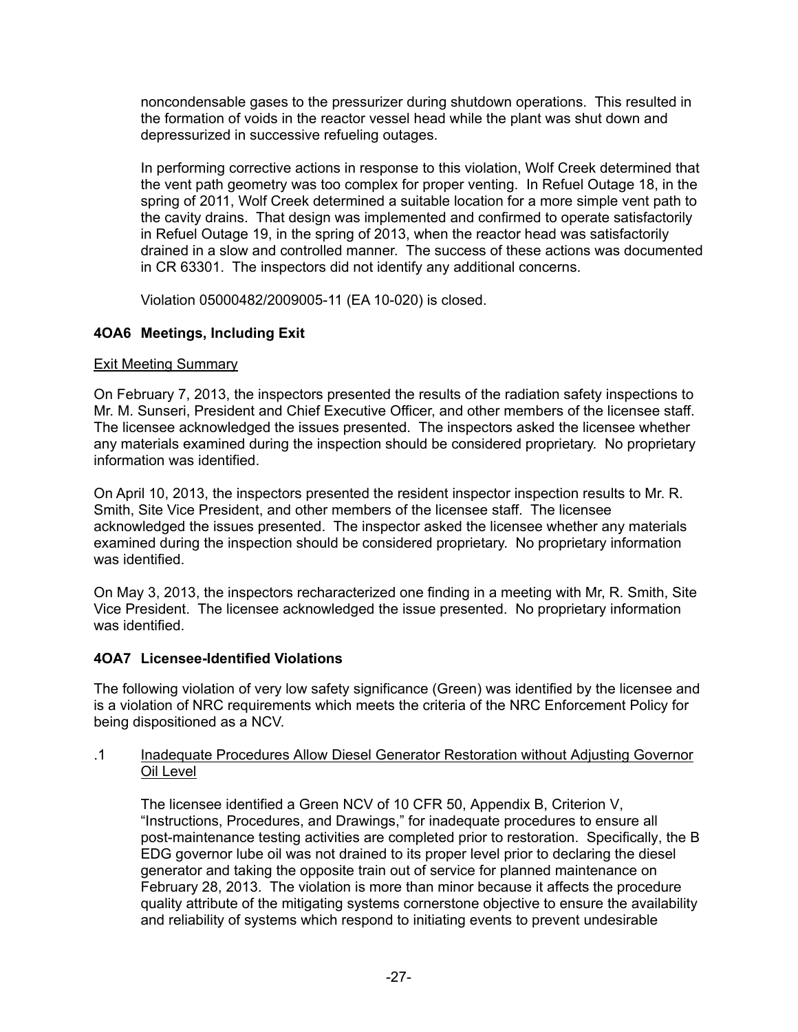noncondensable gases to the pressurizer during shutdown operations. This resulted in the formation of voids in the reactor vessel head while the plant was shut down and depressurized in successive refueling outages.

In performing corrective actions in response to this violation, Wolf Creek determined that the vent path geometry was too complex for proper venting. In Refuel Outage 18, in the spring of 2011, Wolf Creek determined a suitable location for a more simple vent path to the cavity drains. That design was implemented and confirmed to operate satisfactorily in Refuel Outage 19, in the spring of 2013, when the reactor head was satisfactorily drained in a slow and controlled manner. The success of these actions was documented in CR 63301. The inspectors did not identify any additional concerns.

Violation 05000482/2009005-11 (EA 10-020) is closed.

# **4OA6 Meetings, Including Exit**

# Exit Meeting Summary

On February 7, 2013, the inspectors presented the results of the radiation safety inspections to Mr. M. Sunseri, President and Chief Executive Officer, and other members of the licensee staff. The licensee acknowledged the issues presented. The inspectors asked the licensee whether any materials examined during the inspection should be considered proprietary. No proprietary information was identified.

On April 10, 2013, the inspectors presented the resident inspector inspection results to Mr. R. Smith, Site Vice President, and other members of the licensee staff. The licensee acknowledged the issues presented. The inspector asked the licensee whether any materials examined during the inspection should be considered proprietary. No proprietary information was identified.

On May 3, 2013, the inspectors recharacterized one finding in a meeting with Mr, R. Smith, Site Vice President. The licensee acknowledged the issue presented. No proprietary information was identified.

# **4OA7 Licensee-Identified Violations**

The following violation of very low safety significance (Green) was identified by the licensee and is a violation of NRC requirements which meets the criteria of the NRC Enforcement Policy for being dispositioned as a NCV.

## .1 Inadequate Procedures Allow Diesel Generator Restoration without Adjusting Governor Oil Level

The licensee identified a Green NCV of 10 CFR 50, Appendix B, Criterion V, "Instructions, Procedures, and Drawings," for inadequate procedures to ensure all post-maintenance testing activities are completed prior to restoration. Specifically, the B EDG governor lube oil was not drained to its proper level prior to declaring the diesel generator and taking the opposite train out of service for planned maintenance on February 28, 2013. The violation is more than minor because it affects the procedure quality attribute of the mitigating systems cornerstone objective to ensure the availability and reliability of systems which respond to initiating events to prevent undesirable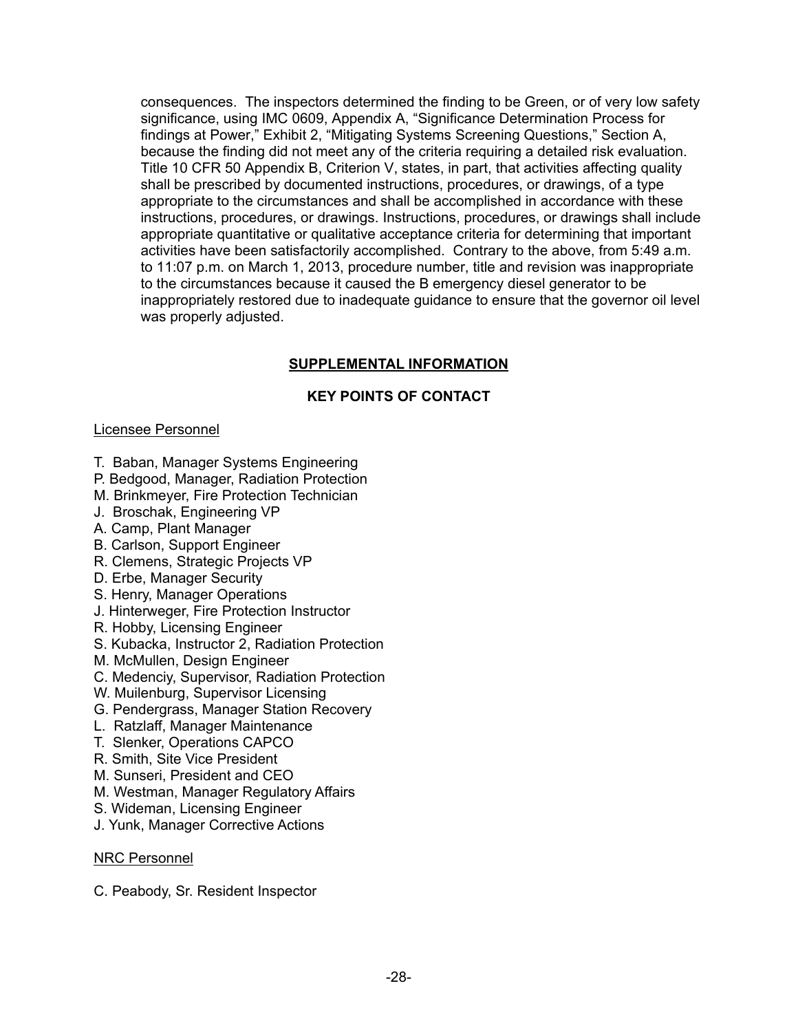consequences. The inspectors determined the finding to be Green, or of very low safety significance, using IMC 0609, Appendix A, "Significance Determination Process for findings at Power," Exhibit 2, "Mitigating Systems Screening Questions," Section A, because the finding did not meet any of the criteria requiring a detailed risk evaluation. Title 10 CFR 50 Appendix B, Criterion V, states, in part, that activities affecting quality shall be prescribed by documented instructions, procedures, or drawings, of a type appropriate to the circumstances and shall be accomplished in accordance with these instructions, procedures, or drawings. Instructions, procedures, or drawings shall include appropriate quantitative or qualitative acceptance criteria for determining that important activities have been satisfactorily accomplished. Contrary to the above, from 5:49 a.m. to 11:07 p.m. on March 1, 2013, procedure number, title and revision was inappropriate to the circumstances because it caused the B emergency diesel generator to be inappropriately restored due to inadequate guidance to ensure that the governor oil level was properly adjusted.

# **SUPPLEMENTAL INFORMATION**

# **KEY POINTS OF CONTACT**

# Licensee Personnel

- T. Baban, Manager Systems Engineering
- P. Bedgood, Manager, Radiation Protection
- M. Brinkmeyer, Fire Protection Technician
- J. Broschak, Engineering VP
- A. Camp, Plant Manager
- B. Carlson, Support Engineer
- R. Clemens, Strategic Projects VP
- D. Erbe, Manager Security
- S. Henry, Manager Operations
- J. Hinterweger, Fire Protection Instructor
- R. Hobby, Licensing Engineer
- S. Kubacka, Instructor 2, Radiation Protection
- M. McMullen, Design Engineer
- C. Medenciy, Supervisor, Radiation Protection
- W. Muilenburg, Supervisor Licensing
- G. Pendergrass, Manager Station Recovery
- L. Ratzlaff, Manager Maintenance
- T. Slenker, Operations CAPCO
- R. Smith, Site Vice President
- M. Sunseri, President and CEO
- M. Westman, Manager Regulatory Affairs
- S. Wideman, Licensing Engineer
- J. Yunk, Manager Corrective Actions

## NRC Personnel

C. Peabody, Sr. Resident Inspector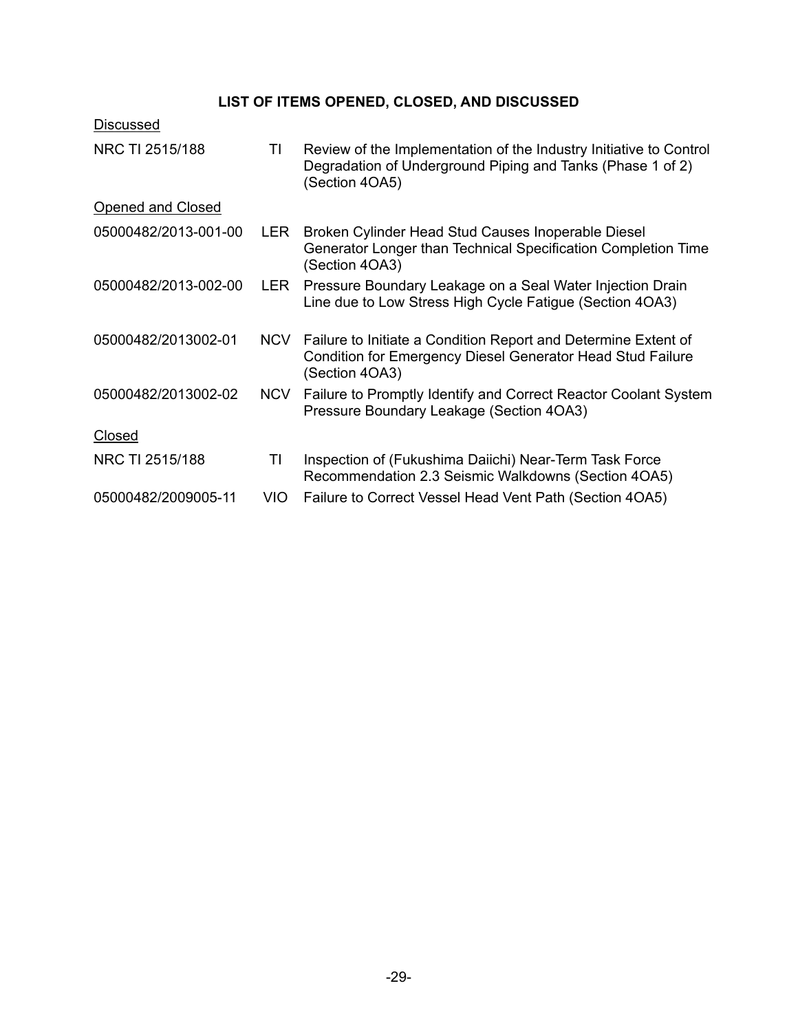# **LIST OF ITEMS OPENED, CLOSED, AND DISCUSSED**

| <b>Discussed</b>     |            |                                                                                                                                                       |
|----------------------|------------|-------------------------------------------------------------------------------------------------------------------------------------------------------|
| NRC TI 2515/188      | ΤI         | Review of the Implementation of the Industry Initiative to Control<br>Degradation of Underground Piping and Tanks (Phase 1 of 2)<br>(Section 4OA5)    |
| Opened and Closed    |            |                                                                                                                                                       |
| 05000482/2013-001-00 | <b>LER</b> | Broken Cylinder Head Stud Causes Inoperable Diesel<br>Generator Longer than Technical Specification Completion Time<br>(Section 4OA3)                 |
| 05000482/2013-002-00 | <b>LER</b> | Pressure Boundary Leakage on a Seal Water Injection Drain<br>Line due to Low Stress High Cycle Fatigue (Section 4OA3)                                 |
| 05000482/2013002-01  | <b>NCV</b> | Failure to Initiate a Condition Report and Determine Extent of<br><b>Condition for Emergency Diesel Generator Head Stud Failure</b><br>(Section 4OA3) |
| 05000482/2013002-02  | <b>NCV</b> | Failure to Promptly Identify and Correct Reactor Coolant System<br>Pressure Boundary Leakage (Section 4OA3)                                           |
| <b>Closed</b>        |            |                                                                                                                                                       |
| NRC TI 2515/188      | ΤI         | Inspection of (Fukushima Daiichi) Near-Term Task Force<br>Recommendation 2.3 Seismic Walkdowns (Section 4OA5)                                         |
| 05000482/2009005-11  | VIO        | Failure to Correct Vessel Head Vent Path (Section 40A5)                                                                                               |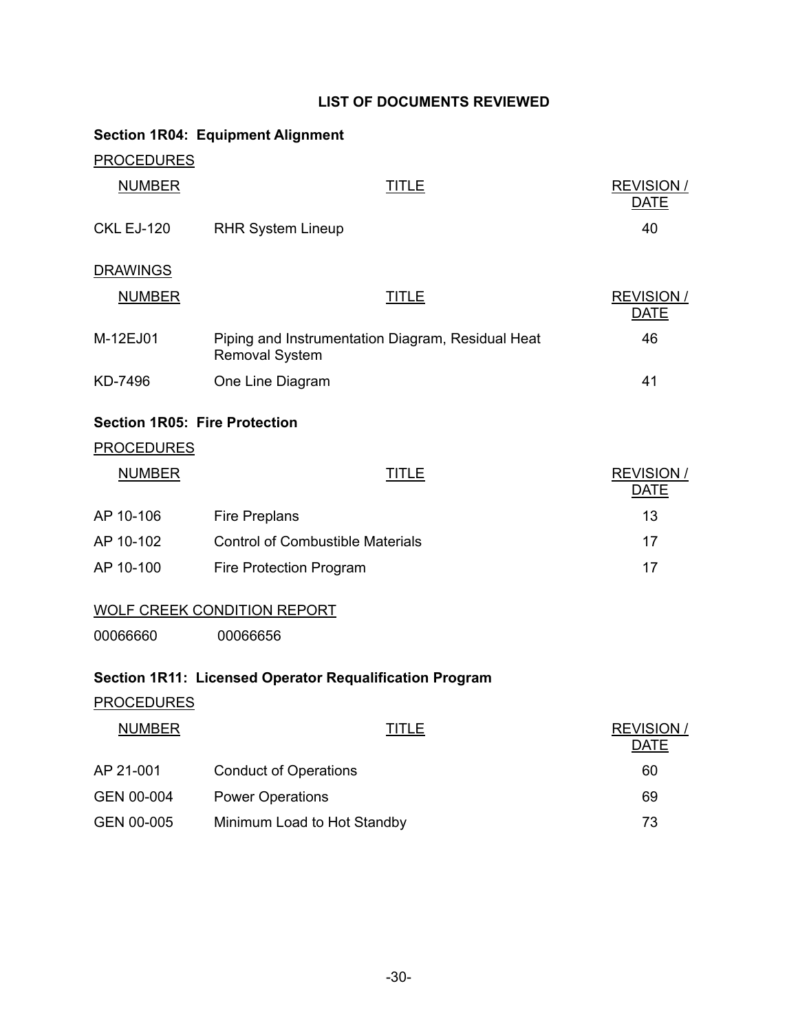# **LIST OF DOCUMENTS REVIEWED**

|                                      | <b>Section 1R04: Equipment Alignment</b>                                   |              |                                  |
|--------------------------------------|----------------------------------------------------------------------------|--------------|----------------------------------|
| <b>PROCEDURES</b>                    |                                                                            |              |                                  |
| <b>NUMBER</b>                        |                                                                            | <b>TITLE</b> | <b>REVISION /</b><br><b>DATE</b> |
| <b>CKL EJ-120</b>                    | <b>RHR System Lineup</b>                                                   |              | 40                               |
| <b>DRAWINGS</b>                      |                                                                            |              |                                  |
| <b>NUMBER</b>                        |                                                                            | <b>TITLE</b> | <b>REVISION /</b><br><b>DATE</b> |
| M-12EJ01                             | Piping and Instrumentation Diagram, Residual Heat<br><b>Removal System</b> |              | 46                               |
| KD-7496                              | One Line Diagram                                                           |              | 41                               |
| <b>Section 1R05: Fire Protection</b> |                                                                            |              |                                  |
| <b>PROCEDURES</b>                    |                                                                            |              |                                  |
| <b>NUMBER</b>                        |                                                                            | <b>TITLE</b> | <b>REVISION /</b><br><b>DATE</b> |
| AP 10-106                            | <b>Fire Preplans</b>                                                       |              | 13                               |
| AP 10-102                            | <b>Control of Combustible Materials</b>                                    |              | 17                               |
| AP 10-100                            | Fire Protection Program                                                    |              | 17                               |
|                                      | <b>WOLF CREEK CONDITION REPORT</b>                                         |              |                                  |
| 00066660                             | 00066656                                                                   |              |                                  |
|                                      | Section 1R11: Licensed Operator Requalification Program                    |              |                                  |
| <b>PROCEDURES</b>                    |                                                                            |              |                                  |
| <b>NUMBER</b>                        |                                                                            | <b>TITLE</b> | <b>REVISION /</b><br><b>DATE</b> |
| AP 21-001                            | <b>Conduct of Operations</b>                                               |              | 60                               |
| GEN 00-004                           | <b>Power Operations</b>                                                    |              | 69                               |
| GEN 00-005                           | Minimum Load to Hot Standby                                                |              | 73                               |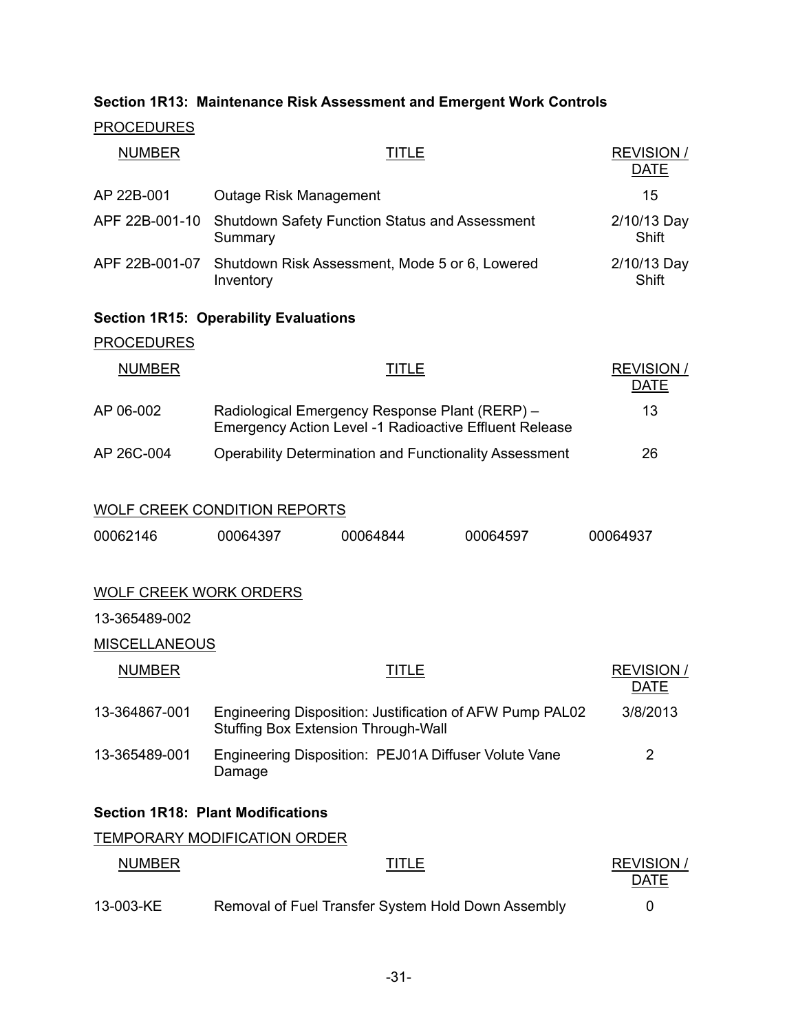# **Section 1R13: Maintenance Risk Assessment and Emergent Work Controls**

# **PROCEDURES**

| <b>NUMBER</b>                 |                                                                                                                 | <b>REVISION /</b><br><b>DATE</b> |          |                                  |
|-------------------------------|-----------------------------------------------------------------------------------------------------------------|----------------------------------|----------|----------------------------------|
| AP 22B-001                    | <b>Outage Risk Management</b>                                                                                   | 15                               |          |                                  |
| APF 22B-001-10                | Shutdown Safety Function Status and Assessment<br>Summary                                                       | 2/10/13 Day<br>Shift             |          |                                  |
| APF 22B-001-07                | Shutdown Risk Assessment, Mode 5 or 6, Lowered<br>Inventory                                                     | 2/10/13 Day<br>Shift             |          |                                  |
|                               | <b>Section 1R15: Operability Evaluations</b>                                                                    |                                  |          |                                  |
| <b>PROCEDURES</b>             |                                                                                                                 |                                  |          |                                  |
| <b>NUMBER</b>                 |                                                                                                                 | <b>TITLE</b>                     |          | <b>REVISION /</b><br><b>DATE</b> |
| AP 06-002                     | Radiological Emergency Response Plant (RERP) -<br><b>Emergency Action Level -1 Radioactive Effluent Release</b> | 13                               |          |                                  |
| AP 26C-004                    | <b>Operability Determination and Functionality Assessment</b>                                                   |                                  |          | 26                               |
| 00062146                      | <b>WOLF CREEK CONDITION REPORTS</b><br>00064397                                                                 | 00064844                         | 00064597 | 00064937                         |
| <b>WOLF CREEK WORK ORDERS</b> |                                                                                                                 |                                  |          |                                  |
| 13-365489-002                 |                                                                                                                 |                                  |          |                                  |
| <b>MISCELLANEOUS</b>          |                                                                                                                 |                                  |          |                                  |
| <b>NUMBER</b>                 |                                                                                                                 | <b>TITLE</b>                     |          | <b>REVISION /</b><br><b>DATE</b> |
| 13-364867-001                 | Engineering Disposition: Justification of AFW Pump PAL02<br><b>Stuffing Box Extension Through-Wall</b>          | 3/8/2013                         |          |                                  |
| 13-365489-001                 | Engineering Disposition: PEJ01A Diffuser Volute Vane<br>Damage                                                  | $\overline{2}$                   |          |                                  |
|                               | <b>Section 1R18: Plant Modifications</b>                                                                        |                                  |          |                                  |
|                               | <b>TEMPORARY MODIFICATION ORDER</b>                                                                             |                                  |          |                                  |
| <b>NUMBER</b>                 |                                                                                                                 | <u>TITLE</u>                     |          | <b>REVISION /</b><br><b>DATE</b> |
| 13-003-KE                     | Removal of Fuel Transfer System Hold Down Assembly                                                              |                                  |          | 0                                |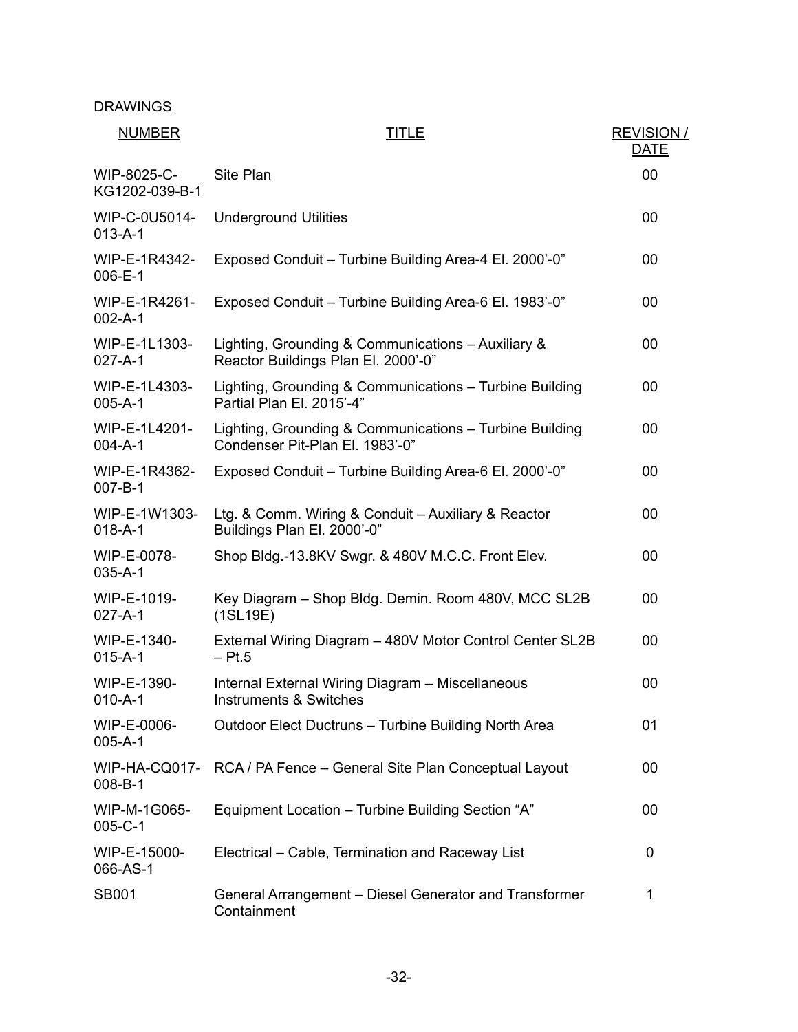| <b>NUMBER</b>                  | TITLE                                                                                      | <b>REVISION /</b><br><b>DATE</b> |
|--------------------------------|--------------------------------------------------------------------------------------------|----------------------------------|
| WIP-8025-C-<br>KG1202-039-B-1  | Site Plan                                                                                  | 00                               |
| WIP-C-0U5014-<br>$013 - A - 1$ | <b>Underground Utilities</b>                                                               | 00                               |
| WIP-E-1R4342-<br>006-E-1       | Exposed Conduit - Turbine Building Area-4 El. 2000'-0"                                     | 00                               |
| WIP-E-1R4261-<br>$002 - A - 1$ | Exposed Conduit - Turbine Building Area-6 El. 1983'-0"                                     | 00                               |
| WIP-E-1L1303-<br>$027 - A - 1$ | Lighting, Grounding & Communications - Auxiliary &<br>Reactor Buildings Plan El. 2000'-0"  | 00                               |
| WIP-E-1L4303-<br>$005 - A - 1$ | Lighting, Grounding & Communications - Turbine Building<br>Partial Plan El. 2015'-4"       | 00                               |
| WIP-E-1L4201-<br>$004 - A - 1$ | Lighting, Grounding & Communications - Turbine Building<br>Condenser Pit-Plan El. 1983'-0" | 00                               |
| WIP-E-1R4362-<br>$007 - B - 1$ | Exposed Conduit - Turbine Building Area-6 El. 2000'-0"                                     | 00                               |
| WIP-E-1W1303-<br>$018 - A - 1$ | Ltg. & Comm. Wiring & Conduit - Auxiliary & Reactor<br>Buildings Plan El. 2000'-0"         | 00                               |
| WIP-E-0078-<br>$035 - A - 1$   | Shop Bldg.-13.8KV Swgr. & 480V M.C.C. Front Elev.                                          | 00                               |
| WIP-E-1019-<br>$027 - A - 1$   | Key Diagram - Shop Bldg. Demin. Room 480V, MCC SL2B<br>(1SL19E)                            | 00                               |
| WIP-E-1340-<br>$015 - A - 1$   | External Wiring Diagram - 480V Motor Control Center SL2B<br>$-$ Pt.5                       | 00                               |
| WIP-E-1390-<br>$010 - A - 1$   | Internal External Wiring Diagram - Miscellaneous<br><b>Instruments &amp; Switches</b>      | 00                               |
| WIP-E-0006-<br>$005 - A - 1$   | Outdoor Elect Ductruns - Turbine Building North Area                                       | 01                               |
| WIP-HA-CQ017-<br>$008 - B - 1$ | RCA / PA Fence - General Site Plan Conceptual Layout                                       | 00                               |
| WIP-M-1G065-<br>$005 - C - 1$  | Equipment Location - Turbine Building Section "A"                                          | 00                               |
| WIP-E-15000-<br>066-AS-1       | Electrical - Cable, Termination and Raceway List                                           | 0                                |
| <b>SB001</b>                   | General Arrangement – Diesel Generator and Transformer<br>Containment                      | 1                                |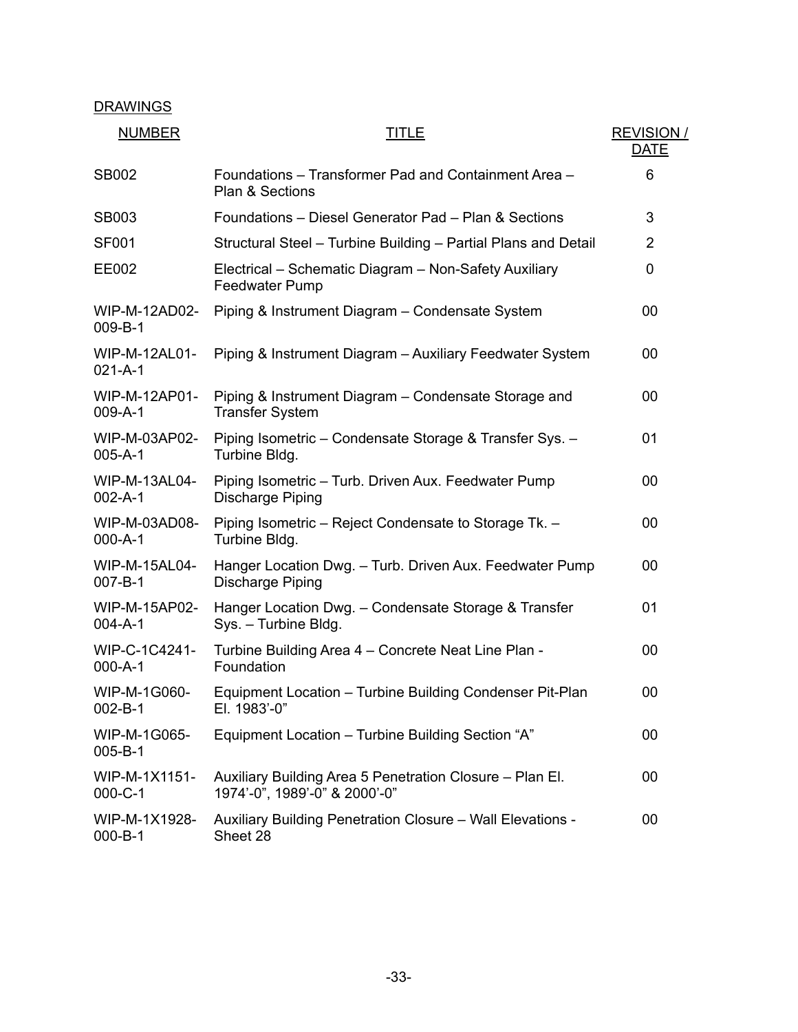# **DRAWINGS**

| <b>NUMBER</b>                         | <u>TITLE</u>                                                                              | <b>REVISION/</b><br><b>DATE</b> |
|---------------------------------------|-------------------------------------------------------------------------------------------|---------------------------------|
| <b>SB002</b>                          | Foundations - Transformer Pad and Containment Area -<br><b>Plan &amp; Sections</b>        | 6                               |
| <b>SB003</b>                          | Foundations - Diesel Generator Pad - Plan & Sections                                      | 3                               |
| <b>SF001</b>                          | Structural Steel - Turbine Building - Partial Plans and Detail                            | $\overline{2}$                  |
| EE002                                 | Electrical – Schematic Diagram – Non-Safety Auxiliary<br><b>Feedwater Pump</b>            | 0                               |
| WIP-M-12AD02-<br>$009 - B - 1$        | Piping & Instrument Diagram - Condensate System                                           | 00                              |
| WIP-M-12AL01-<br>$021 - A - 1$        | Piping & Instrument Diagram - Auxiliary Feedwater System                                  | 00                              |
| WIP-M-12AP01-<br>$009 - A - 1$        | Piping & Instrument Diagram – Condensate Storage and<br><b>Transfer System</b>            | 00                              |
| WIP-M-03AP02-<br>$005 - A - 1$        | Piping Isometric - Condensate Storage & Transfer Sys. -<br>Turbine Bldg.                  | 01                              |
| <b>WIP-M-13AL04-</b><br>$002 - A - 1$ | Piping Isometric - Turb. Driven Aux. Feedwater Pump<br><b>Discharge Piping</b>            | 00                              |
| WIP-M-03AD08-<br>$000 - A - 1$        | Piping Isometric - Reject Condensate to Storage Tk. -<br>Turbine Bldg.                    | 00                              |
| WIP-M-15AL04-<br>$007 - B - 1$        | Hanger Location Dwg. - Turb. Driven Aux. Feedwater Pump<br><b>Discharge Piping</b>        | 00                              |
| WIP-M-15AP02-<br>$004 - A - 1$        | Hanger Location Dwg. - Condensate Storage & Transfer<br>Sys. - Turbine Bldg.              | 01                              |
| WIP-C-1C4241-<br>$000 - A - 1$        | Turbine Building Area 4 – Concrete Neat Line Plan -<br>Foundation                         | 00                              |
| WIP-M-1G060-<br>$002 - B - 1$         | Equipment Location - Turbine Building Condenser Pit-Plan<br>EI. $1983 - 0$                | 00                              |
| WIP-M-1G065-<br>$005 - B - 1$         | Equipment Location - Turbine Building Section "A"                                         | 00                              |
| WIP-M-1X1151-<br>$000 - C - 1$        | Auxiliary Building Area 5 Penetration Closure – Plan El.<br>1974'-0", 1989'-0" & 2000'-0" | 00                              |
| WIP-M-1X1928-<br>$000 - B - 1$        | Auxiliary Building Penetration Closure - Wall Elevations -<br>Sheet 28                    | 00                              |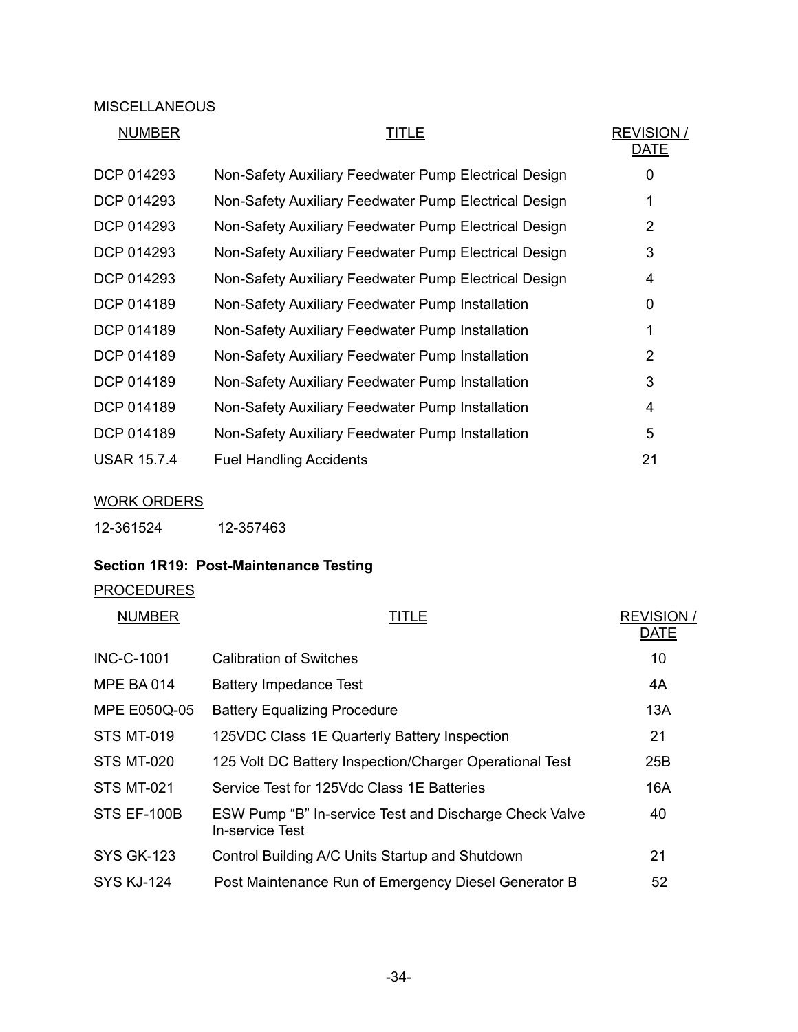# **MISCELLANEOUS**

# NUMBER TITLE

| REVISION / |
|------------|
| DATE       |
| O          |
| ◢          |

| DCP 014293         | Non-Safety Auxiliary Feedwater Pump Electrical Design |                |
|--------------------|-------------------------------------------------------|----------------|
| DCP 014293         | Non-Safety Auxiliary Feedwater Pump Electrical Design |                |
| DCP 014293         | Non-Safety Auxiliary Feedwater Pump Electrical Design | $\overline{2}$ |
| DCP 014293         | Non-Safety Auxiliary Feedwater Pump Electrical Design | 3              |
| DCP 014293         | Non-Safety Auxiliary Feedwater Pump Electrical Design | 4              |
| DCP 014189         | Non-Safety Auxiliary Feedwater Pump Installation      | 0              |
| DCP 014189         | Non-Safety Auxiliary Feedwater Pump Installation      |                |
| DCP 014189         | Non-Safety Auxiliary Feedwater Pump Installation      | $\overline{2}$ |
| DCP 014189         | Non-Safety Auxiliary Feedwater Pump Installation      | 3              |
| DCP 014189         | Non-Safety Auxiliary Feedwater Pump Installation      | 4              |
| DCP 014189         | Non-Safety Auxiliary Feedwater Pump Installation      | 5              |
| <b>USAR 15.7.4</b> | <b>Fuel Handling Accidents</b>                        | 21             |

# WORK ORDERS

# **Section 1R19: Post-Maintenance Testing**

# PROCEDURES

| <b>NUMBER</b>       | <b>TITLE</b>                                                                     | <b>REVISION/</b><br><b>DATE</b> |
|---------------------|----------------------------------------------------------------------------------|---------------------------------|
| <b>INC-C-1001</b>   | <b>Calibration of Switches</b>                                                   | 10                              |
| <b>MPE BA014</b>    | <b>Battery Impedance Test</b>                                                    | 4A                              |
| <b>MPE E050Q-05</b> | <b>Battery Equalizing Procedure</b>                                              | 13A                             |
| <b>STS MT-019</b>   | 125VDC Class 1E Quarterly Battery Inspection                                     | 21                              |
| STS MT-020          | 125 Volt DC Battery Inspection/Charger Operational Test                          | 25B                             |
| <b>STS MT-021</b>   | Service Test for 125Vdc Class 1E Batteries                                       | 16A                             |
| STS EF-100B         | ESW Pump "B" In-service Test and Discharge Check Valve<br><b>In-service Test</b> | 40                              |
| <b>SYS GK-123</b>   | Control Building A/C Units Startup and Shutdown                                  | 21                              |
| <b>SYS KJ-124</b>   | Post Maintenance Run of Emergency Diesel Generator B                             | 52                              |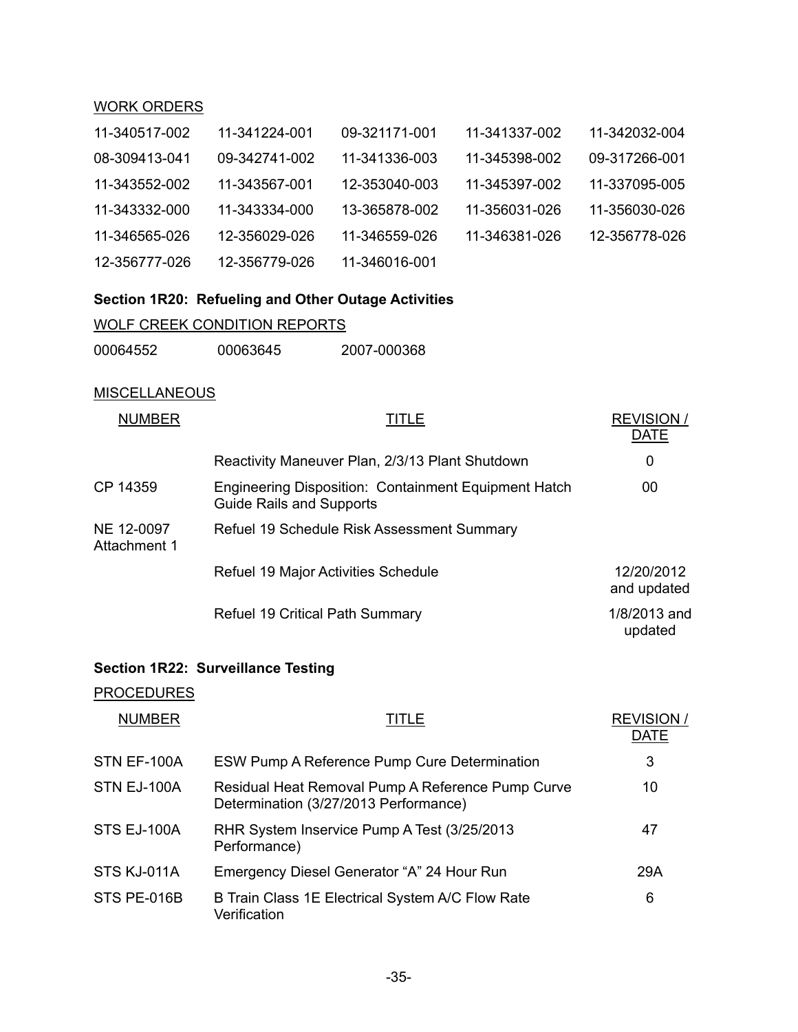# WORK ORDERS

| 11-340517-002 | 11-341224-001 | 09-321171-001 | 11-341337-002 | 11-342032-004 |
|---------------|---------------|---------------|---------------|---------------|
| 08-309413-041 | 09-342741-002 | 11-341336-003 | 11-345398-002 | 09-317266-001 |
| 11-343552-002 | 11-343567-001 | 12-353040-003 | 11-345397-002 | 11-337095-005 |
| 11-343332-000 | 11-343334-000 | 13-365878-002 | 11-356031-026 | 11-356030-026 |
| 11-346565-026 | 12-356029-026 | 11-346559-026 | 11-346381-026 | 12-356778-026 |
| 12-356777-026 | 12-356779-026 | 11-346016-001 |               |               |

# **Section 1R20: Refueling and Other Outage Activities**

# WOLF CREEK CONDITION REPORTS

| 00064552<br>00063645 | 2007-000368 |
|----------------------|-------------|
|----------------------|-------------|

#### **MISCELLANEOUS**

| <b>NUMBER</b>              | TITLE                                                                                   | <b>REVISION/</b><br>DATE  |
|----------------------------|-----------------------------------------------------------------------------------------|---------------------------|
|                            | Reactivity Maneuver Plan, 2/3/13 Plant Shutdown                                         | 0                         |
| CP 14359                   | Engineering Disposition: Containment Equipment Hatch<br><b>Guide Rails and Supports</b> | 00                        |
| NE 12-0097<br>Attachment 1 | Refuel 19 Schedule Risk Assessment Summary                                              |                           |
|                            | Refuel 19 Major Activities Schedule                                                     | 12/20/2012<br>and updated |
|                            | <b>Refuel 19 Critical Path Summary</b>                                                  | 1/8/2013 and<br>updated   |

# **Section 1R22: Surveillance Testing**

# PROCEDURES

| <b>NUMBER</b> | TITLE                                                                                      | <b>REVISION/</b><br><b>DATE</b> |
|---------------|--------------------------------------------------------------------------------------------|---------------------------------|
| STN EF-100A   | ESW Pump A Reference Pump Cure Determination                                               | 3                               |
| STN EJ-100A   | Residual Heat Removal Pump A Reference Pump Curve<br>Determination (3/27/2013 Performance) | 10                              |
| STS EJ-100A   | RHR System Inservice Pump A Test (3/25/2013)<br>Performance)                               | 47                              |
| STS KJ-011A   | Emergency Diesel Generator "A" 24 Hour Run                                                 | 29A                             |
| STS PE-016B   | B Train Class 1E Electrical System A/C Flow Rate<br>Verification                           | 6                               |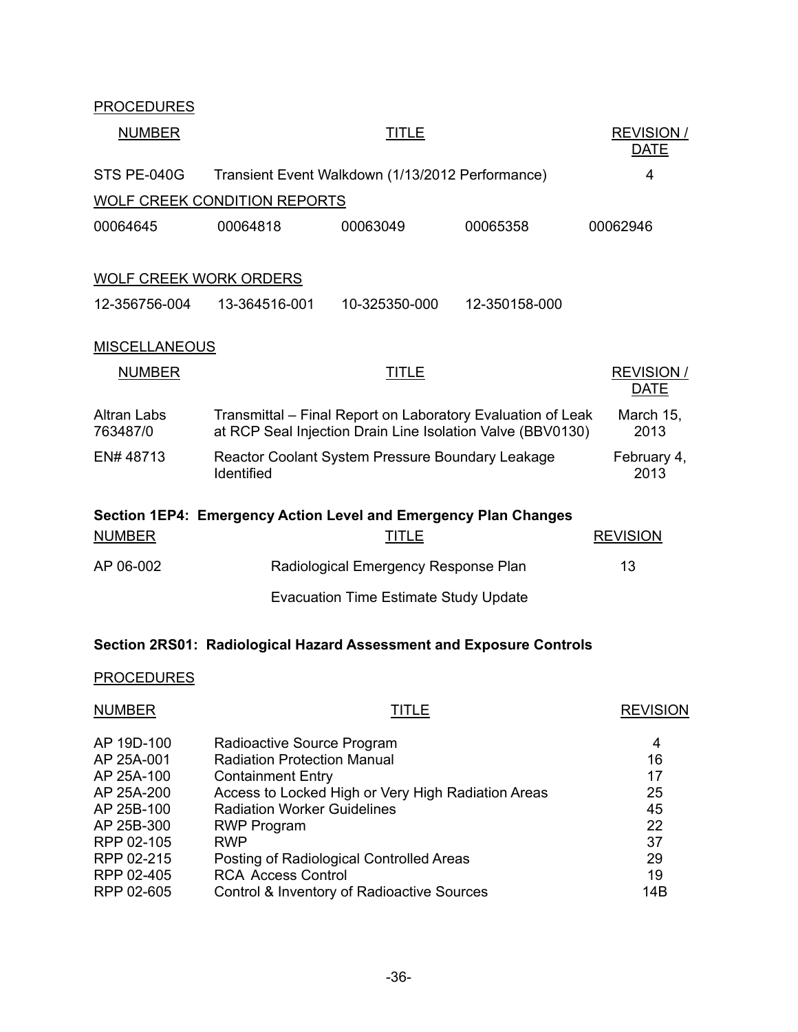| <b>PROCEDURES</b>              |                                     |                                                                                 |                                                                                                                           |                                  |
|--------------------------------|-------------------------------------|---------------------------------------------------------------------------------|---------------------------------------------------------------------------------------------------------------------------|----------------------------------|
| <b>NUMBER</b>                  |                                     | <b>TITLE</b>                                                                    |                                                                                                                           | <b>REVISION /</b><br><b>DATE</b> |
| STS PE-040G                    |                                     | Transient Event Walkdown (1/13/2012 Performance)                                |                                                                                                                           | 4                                |
|                                | <b>WOLF CREEK CONDITION REPORTS</b> |                                                                                 |                                                                                                                           |                                  |
| 00064645                       | 00064818                            | 00063049                                                                        | 00065358                                                                                                                  | 00062946                         |
| <b>WOLF CREEK WORK ORDERS</b>  |                                     |                                                                                 |                                                                                                                           |                                  |
| 12-356756-004                  | 13-364516-001                       | 10-325350-000                                                                   | 12-350158-000                                                                                                             |                                  |
| <b>MISCELLANEOUS</b>           |                                     |                                                                                 |                                                                                                                           |                                  |
| <b>NUMBER</b>                  |                                     | TITLE                                                                           |                                                                                                                           | <b>REVISION /</b><br><b>DATE</b> |
| <b>Altran Labs</b><br>763487/0 |                                     |                                                                                 | Transmittal – Final Report on Laboratory Evaluation of Leak<br>at RCP Seal Injection Drain Line Isolation Valve (BBV0130) | March 15,<br>2013                |
| EN#48713                       | Identified                          | Reactor Coolant System Pressure Boundary Leakage                                |                                                                                                                           | February 4,<br>2013              |
| <b>NUMBER</b>                  |                                     | Section 1EP4: Emergency Action Level and Emergency Plan Changes<br><b>TITLE</b> |                                                                                                                           | <b>REVISION</b>                  |
| AP 06-002                      |                                     | Radiological Emergency Response Plan                                            |                                                                                                                           | 13                               |
|                                |                                     | <b>Evacuation Time Estimate Study Update</b>                                    |                                                                                                                           |                                  |
|                                |                                     |                                                                                 | Section 2RS01: Radiological Hazard Assessment and Exposure Controls                                                       |                                  |
| <b>PROCEDURES</b>              |                                     |                                                                                 |                                                                                                                           |                                  |
| <b>NUMBER</b>                  |                                     | <b>TITLE</b>                                                                    |                                                                                                                           | <b>REVISION</b>                  |

| AP 19D-100 | Radioactive Source Program                         | 4   |
|------------|----------------------------------------------------|-----|
| AP 25A-001 | <b>Radiation Protection Manual</b>                 | 16  |
| AP 25A-100 | <b>Containment Entry</b>                           | 17  |
| AP 25A-200 | Access to Locked High or Very High Radiation Areas | 25  |
| AP 25B-100 | <b>Radiation Worker Guidelines</b>                 | 45  |
| AP 25B-300 | <b>RWP Program</b>                                 | 22  |
| RPP 02-105 | <b>RWP</b>                                         | 37  |
| RPP 02-215 | Posting of Radiological Controlled Areas           | 29  |
| RPP 02-405 | <b>RCA Access Control</b>                          | 19  |
| RPP 02-605 | Control & Inventory of Radioactive Sources         | 14B |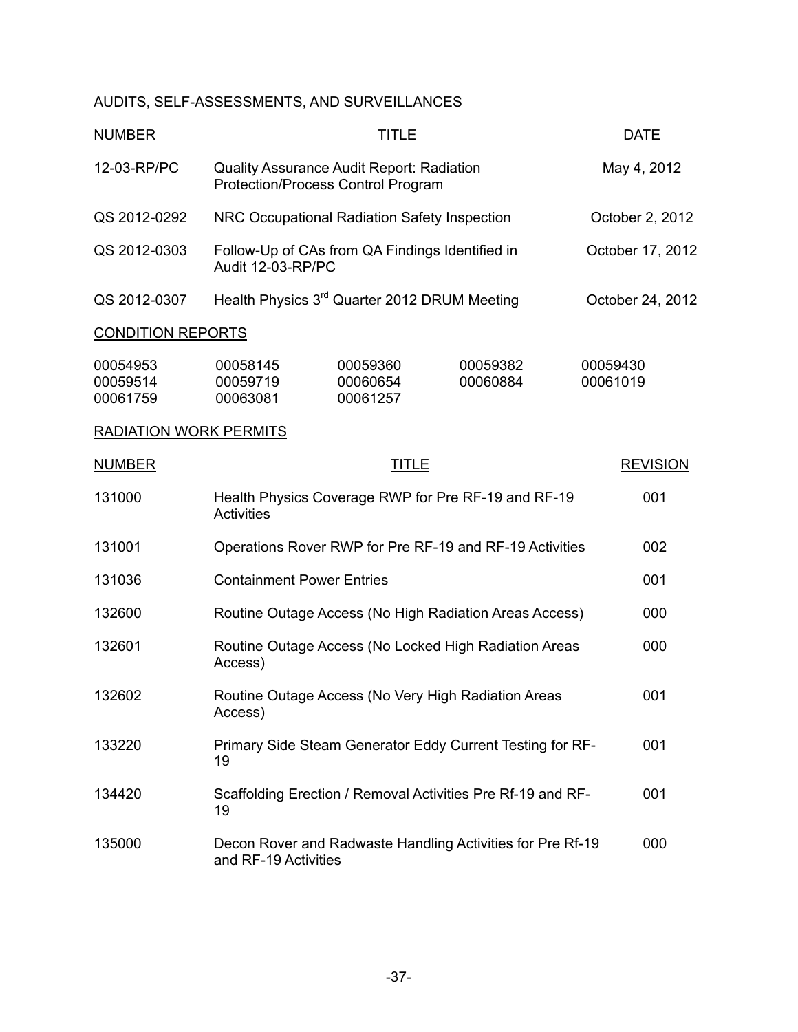# AUDITS, SELF-ASSESSMENTS, AND SURVEILLANCES

| <b>NUMBER</b>                    |                                                                                        | TITLE                            |                                                             | <b>DATE</b>          |
|----------------------------------|----------------------------------------------------------------------------------------|----------------------------------|-------------------------------------------------------------|----------------------|
| 12-03-RP/PC                      | Quality Assurance Audit Report: Radiation<br><b>Protection/Process Control Program</b> |                                  |                                                             | May 4, 2012          |
| QS 2012-0292                     | NRC Occupational Radiation Safety Inspection                                           |                                  |                                                             | October 2, 2012      |
| QS 2012-0303                     | Follow-Up of CAs from QA Findings Identified in<br>Audit 12-03-RP/PC                   |                                  |                                                             | October 17, 2012     |
| QS 2012-0307                     | Health Physics 3 <sup>rd</sup> Quarter 2012 DRUM Meeting                               |                                  |                                                             | October 24, 2012     |
| <b>CONDITION REPORTS</b>         |                                                                                        |                                  |                                                             |                      |
| 00054953<br>00059514<br>00061759 | 00058145<br>00059719<br>00063081                                                       | 00059360<br>00060654<br>00061257 | 00059382<br>00060884                                        | 00059430<br>00061019 |
| <b>RADIATION WORK PERMITS</b>    |                                                                                        |                                  |                                                             |                      |
| <b>NUMBER</b>                    |                                                                                        | <b>TITLE</b>                     |                                                             | <b>REVISION</b>      |
| 131000                           | <b>Activities</b>                                                                      |                                  | Health Physics Coverage RWP for Pre RF-19 and RF-19         | 001                  |
| 131001                           | Operations Rover RWP for Pre RF-19 and RF-19 Activities                                |                                  |                                                             | 002                  |
| 131036                           | <b>Containment Power Entries</b>                                                       |                                  |                                                             | 001                  |
| 132600                           | Routine Outage Access (No High Radiation Areas Access)                                 |                                  |                                                             | 000                  |
| 132601                           | Routine Outage Access (No Locked High Radiation Areas<br>Access)                       |                                  |                                                             | 000                  |
| 132602                           | Access)                                                                                |                                  | Routine Outage Access (No Very High Radiation Areas         | 001                  |
| 133220                           | 19                                                                                     |                                  | Primary Side Steam Generator Eddy Current Testing for RF-   | 001                  |
| 134420                           | 19                                                                                     |                                  | Scaffolding Erection / Removal Activities Pre Rf-19 and RF- | 001                  |
| 135000                           | and RF-19 Activities                                                                   |                                  | Decon Rover and Radwaste Handling Activities for Pre Rf-19  | 000                  |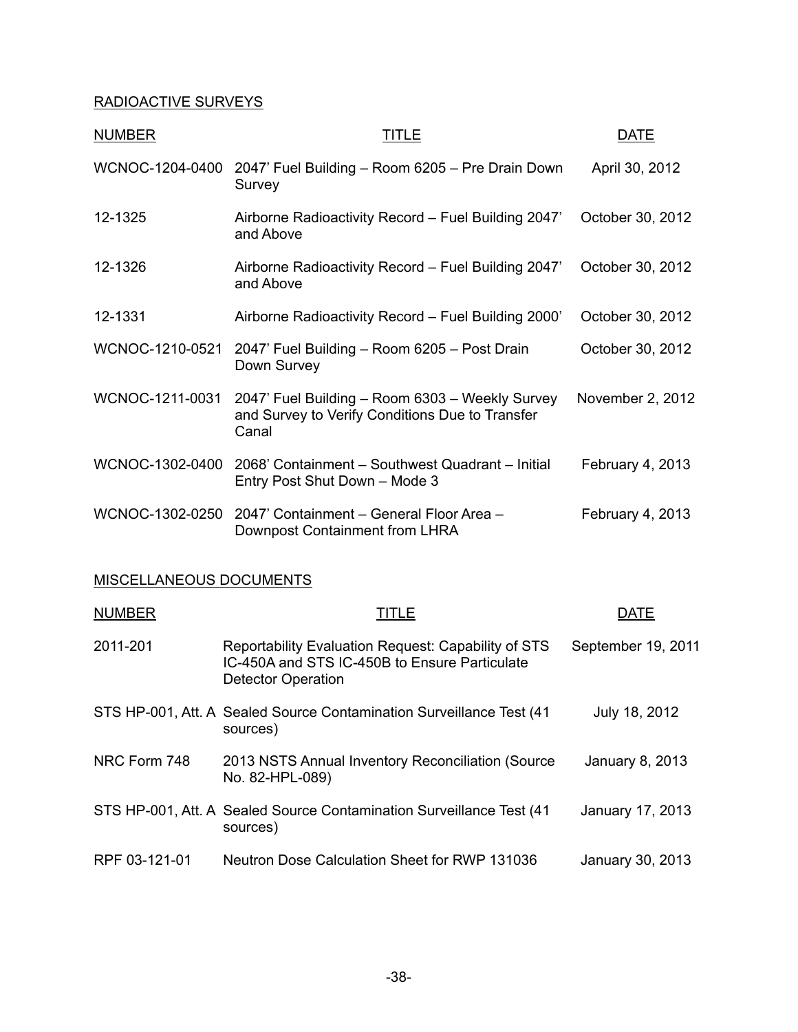# RADIOACTIVE SURVEYS

| <b>NUMBER</b>   | TITLE                                                                                                       | DATE             |
|-----------------|-------------------------------------------------------------------------------------------------------------|------------------|
| WCNOC-1204-0400 | 2047' Fuel Building - Room 6205 - Pre Drain Down<br>Survey                                                  | April 30, 2012   |
| 12-1325         | Airborne Radioactivity Record - Fuel Building 2047'<br>and Above                                            | October 30, 2012 |
| 12-1326         | Airborne Radioactivity Record – Fuel Building 2047'<br>and Above                                            | October 30, 2012 |
| 12-1331         | Airborne Radioactivity Record - Fuel Building 2000'                                                         | October 30, 2012 |
| WCNOC-1210-0521 | 2047' Fuel Building - Room 6205 - Post Drain<br>Down Survey                                                 | October 30, 2012 |
| WCNOC-1211-0031 | 2047' Fuel Building - Room 6303 - Weekly Survey<br>and Survey to Verify Conditions Due to Transfer<br>Canal | November 2, 2012 |
| WCNOC-1302-0400 | 2068' Containment - Southwest Quadrant - Initial<br>Entry Post Shut Down - Mode 3                           | February 4, 2013 |
| WCNOC-1302-0250 | 2047' Containment - General Floor Area -<br>Downpost Containment from LHRA                                  | February 4, 2013 |

# MISCELLANEOUS DOCUMENTS

| <b>NUMBER</b> | TITLE                                                                                                                             | DATE               |
|---------------|-----------------------------------------------------------------------------------------------------------------------------------|--------------------|
| 2011-201      | Reportability Evaluation Request: Capability of STS<br>IC-450A and STS IC-450B to Ensure Particulate<br><b>Detector Operation</b> | September 19, 2011 |
|               | STS HP-001, Att. A Sealed Source Contamination Surveillance Test (41)<br>sources)                                                 | July 18, 2012      |
| NRC Form 748  | 2013 NSTS Annual Inventory Reconciliation (Source<br>No. 82-HPL-089)                                                              | January 8, 2013    |
|               | STS HP-001, Att. A Sealed Source Contamination Surveillance Test (41)<br>sources)                                                 | January 17, 2013   |
| RPF 03-121-01 | Neutron Dose Calculation Sheet for RWP 131036                                                                                     | January 30, 2013   |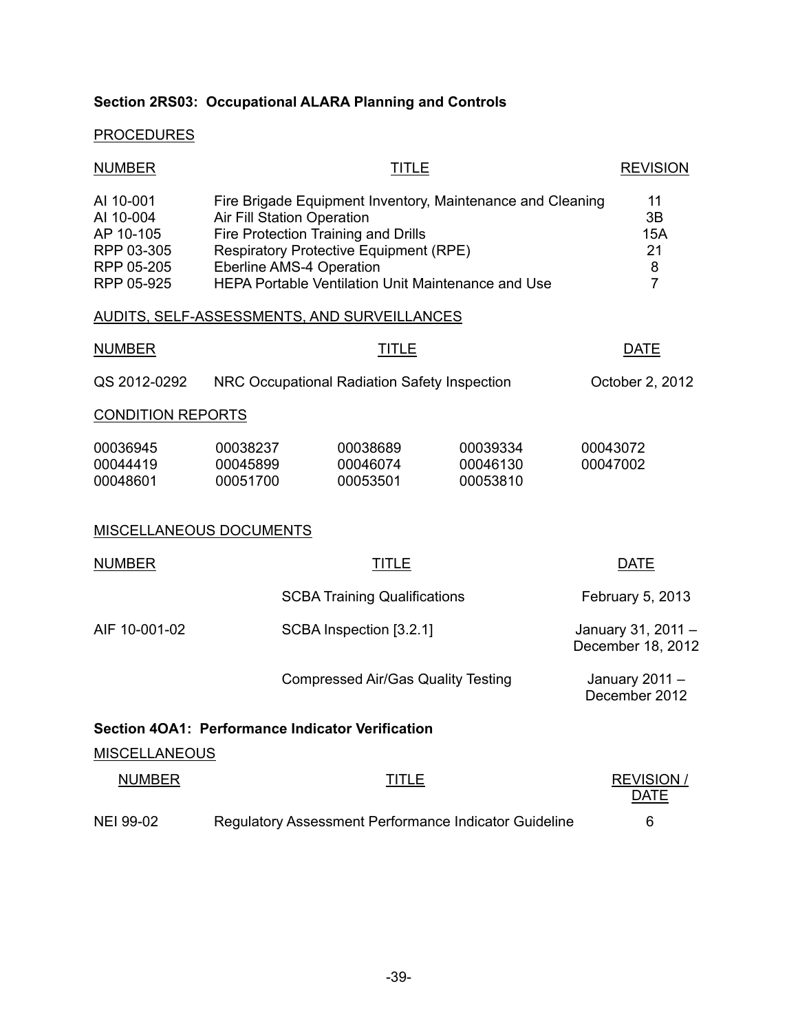# **Section 2RS03: Occupational ALARA Planning and Controls**

# **PROCEDURES**

| <b>NUMBER</b>                                                                 |                                                                                                                                                                                                                                                                           | <b>REVISION</b>                                  |                                                       |                                              |
|-------------------------------------------------------------------------------|---------------------------------------------------------------------------------------------------------------------------------------------------------------------------------------------------------------------------------------------------------------------------|--------------------------------------------------|-------------------------------------------------------|----------------------------------------------|
| AI 10-001<br>AI 10-004<br>AP 10-105<br>RPP 03-305<br>RPP 05-205<br>RPP 05-925 | Fire Brigade Equipment Inventory, Maintenance and Cleaning<br><b>Air Fill Station Operation</b><br>Fire Protection Training and Drills<br><b>Respiratory Protective Equipment (RPE)</b><br>Eberline AMS-4 Operation<br>HEPA Portable Ventilation Unit Maintenance and Use |                                                  |                                                       | 11<br>3B<br>15A<br>21<br>8<br>$\overline{7}$ |
|                                                                               |                                                                                                                                                                                                                                                                           | AUDITS, SELF-ASSESSMENTS, AND SURVEILLANCES      |                                                       |                                              |
| <b>NUMBER</b>                                                                 |                                                                                                                                                                                                                                                                           | <b>TITLE</b>                                     |                                                       | <b>DATE</b>                                  |
| QS 2012-0292                                                                  |                                                                                                                                                                                                                                                                           | NRC Occupational Radiation Safety Inspection     |                                                       | October 2, 2012                              |
| <b>CONDITION REPORTS</b>                                                      |                                                                                                                                                                                                                                                                           |                                                  |                                                       |                                              |
| 00036945<br>00044419<br>00048601                                              | 00038237<br>00045899<br>00051700                                                                                                                                                                                                                                          | 00038689<br>00046074<br>00053501                 | 00039334<br>00046130<br>00053810                      | 00043072<br>00047002                         |
| <b>MISCELLANEOUS DOCUMENTS</b>                                                |                                                                                                                                                                                                                                                                           |                                                  |                                                       |                                              |
| <b>NUMBER</b>                                                                 |                                                                                                                                                                                                                                                                           | <b>TITLE</b>                                     |                                                       | <b>DATE</b>                                  |
|                                                                               |                                                                                                                                                                                                                                                                           | <b>SCBA Training Qualifications</b>              |                                                       | February 5, 2013                             |
| AIF 10-001-02                                                                 |                                                                                                                                                                                                                                                                           | SCBA Inspection [3.2.1]                          |                                                       | January 31, 2011 -<br>December 18, 2012      |
|                                                                               |                                                                                                                                                                                                                                                                           | <b>Compressed Air/Gas Quality Testing</b>        |                                                       | January 2011 -<br>December 2012              |
|                                                                               |                                                                                                                                                                                                                                                                           | Section 4OA1: Performance Indicator Verification |                                                       |                                              |
| <b>MISCELLANEOUS</b>                                                          |                                                                                                                                                                                                                                                                           |                                                  |                                                       |                                              |
| <b>NUMBER</b>                                                                 |                                                                                                                                                                                                                                                                           | <b>TITLE</b>                                     |                                                       | <b>REVISION/</b><br><b>DATE</b>              |
| NEI 99-02                                                                     |                                                                                                                                                                                                                                                                           |                                                  | Regulatory Assessment Performance Indicator Guideline | 6                                            |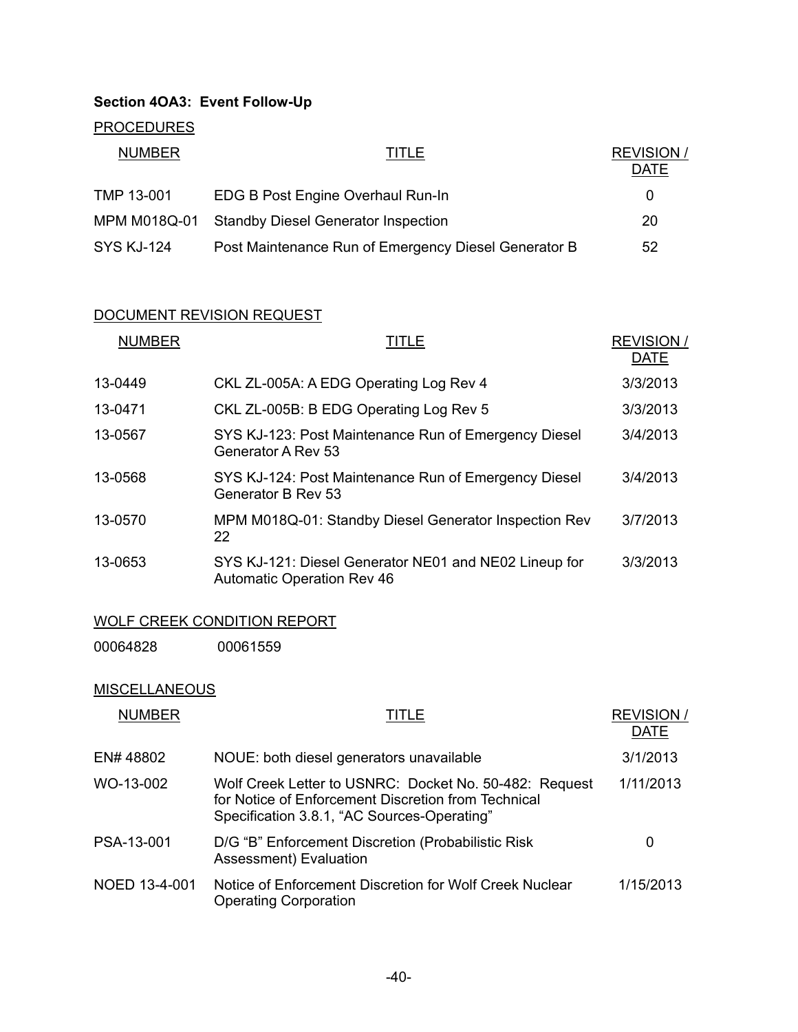# **Section 4OA3: Event Follow-Up**

# **PROCEDURES**

| <b>NUMBER</b>     | TITLE                                                | <b>REVISION /</b><br><b>DATE</b> |
|-------------------|------------------------------------------------------|----------------------------------|
| TMP 13-001        | EDG B Post Engine Overhaul Run-In                    | 0                                |
| MPM M018Q-01      | <b>Standby Diesel Generator Inspection</b>           | 20                               |
| <b>SYS KJ-124</b> | Post Maintenance Run of Emergency Diesel Generator B | 52                               |

# DOCUMENT REVISION REQUEST

| <b>NUMBER</b> | TITLE                                                                                      | <b>REVISION/</b><br><b>DATE</b> |
|---------------|--------------------------------------------------------------------------------------------|---------------------------------|
| 13-0449       | CKL ZL-005A: A EDG Operating Log Rev 4                                                     | 3/3/2013                        |
| 13-0471       | CKL ZL-005B: B EDG Operating Log Rev 5                                                     | 3/3/2013                        |
| 13-0567       | SYS KJ-123: Post Maintenance Run of Emergency Diesel<br>Generator A Rev 53                 | 3/4/2013                        |
| 13-0568       | SYS KJ-124: Post Maintenance Run of Emergency Diesel<br>Generator B Rev 53                 | 3/4/2013                        |
| 13-0570       | MPM M018Q-01: Standby Diesel Generator Inspection Rev<br>22                                | 3/7/2013                        |
| 13-0653       | SYS KJ-121: Diesel Generator NE01 and NE02 Lineup for<br><b>Automatic Operation Rev 46</b> | 3/3/2013                        |

# WOLF CREEK CONDITION REPORT

00064828 00061559

# **MISCELLANEOUS**

| <b>NUMBER</b> | TITLE                                                                                                                                                        | <b>REVISION/</b><br><b>DATE</b> |
|---------------|--------------------------------------------------------------------------------------------------------------------------------------------------------------|---------------------------------|
| EN# 48802     | NOUE: both diesel generators unavailable                                                                                                                     | 3/1/2013                        |
| WO-13-002     | Wolf Creek Letter to USNRC: Docket No. 50-482: Request<br>for Notice of Enforcement Discretion from Technical<br>Specification 3.8.1, "AC Sources-Operating" | 1/11/2013                       |
| PSA-13-001    | D/G "B" Enforcement Discretion (Probabilistic Risk<br>Assessment) Evaluation                                                                                 | 0                               |
| NOED 13-4-001 | Notice of Enforcement Discretion for Wolf Creek Nuclear<br><b>Operating Corporation</b>                                                                      | 1/15/2013                       |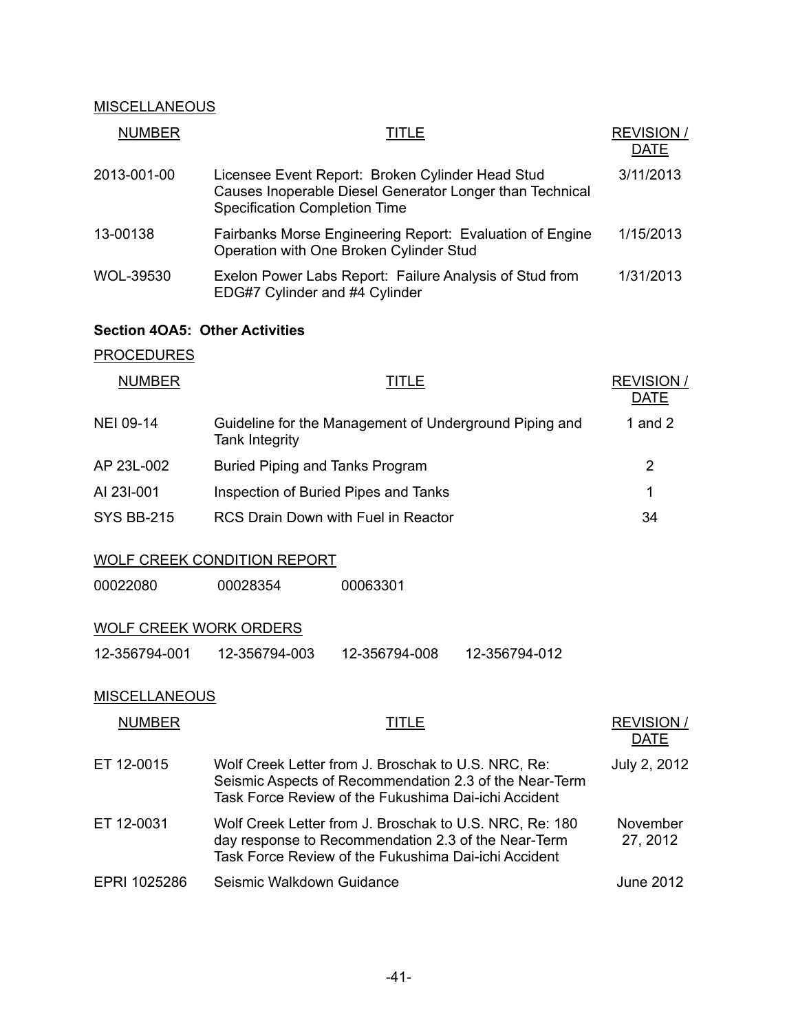# **MISCELLANEOUS**

| <b>NUMBER</b> | TITLE                                                                                                                                                | <b>REVISION /</b><br><b>DATE</b> |
|---------------|------------------------------------------------------------------------------------------------------------------------------------------------------|----------------------------------|
| 2013-001-00   | Licensee Event Report: Broken Cylinder Head Stud<br>Causes Inoperable Diesel Generator Longer than Technical<br><b>Specification Completion Time</b> | 3/11/2013                        |
| 13-00138      | Fairbanks Morse Engineering Report: Evaluation of Engine<br>Operation with One Broken Cylinder Stud                                                  | 1/15/2013                        |
| WOL-39530     | Exelon Power Labs Report: Failure Analysis of Stud from<br>EDG#7 Cylinder and #4 Cylinder                                                            | 1/31/2013                        |

# **Section 4OA5: Other Activities**

# **PROCEDURES**

| <b>NUMBER</b>     | TITLE                                                                    | <b>REVISION/</b><br><b>DATE</b> |
|-------------------|--------------------------------------------------------------------------|---------------------------------|
| NEI 09-14         | Guideline for the Management of Underground Piping and<br>Tank Integrity | 1 and 2                         |
| AP 23L-002        | Buried Piping and Tanks Program                                          | 2                               |
| AI 23I-001        | Inspection of Buried Pipes and Tanks                                     | 1                               |
| <b>SYS BB-215</b> | RCS Drain Down with Fuel in Reactor                                      | 34                              |

# WOLF CREEK CONDITION REPORT

00022080 00028354 00063301

# WOLF CREEK WORK ORDERS

| 12-356794-001 | 12-356794-003 | 12-356794-008 | 12-356794-012 |
|---------------|---------------|---------------|---------------|
|               |               |               |               |

#### **MISCELLANEOUS**

| <b>NUMBER</b> | TITLE                                                                                                                                                                  | <b>REVISION/</b><br><b>DATE</b> |
|---------------|------------------------------------------------------------------------------------------------------------------------------------------------------------------------|---------------------------------|
| ET 12-0015    | Wolf Creek Letter from J. Broschak to U.S. NRC, Re:<br>Seismic Aspects of Recommendation 2.3 of the Near-Term<br>Task Force Review of the Fukushima Dai-ichi Accident  | July 2, 2012                    |
| ET 12-0031    | Wolf Creek Letter from J. Broschak to U.S. NRC, Re: 180<br>day response to Recommendation 2.3 of the Near-Term<br>Task Force Review of the Fukushima Dai-ichi Accident | November<br>27, 2012            |
| EPRI 1025286  | Seismic Walkdown Guidance                                                                                                                                              | June 2012                       |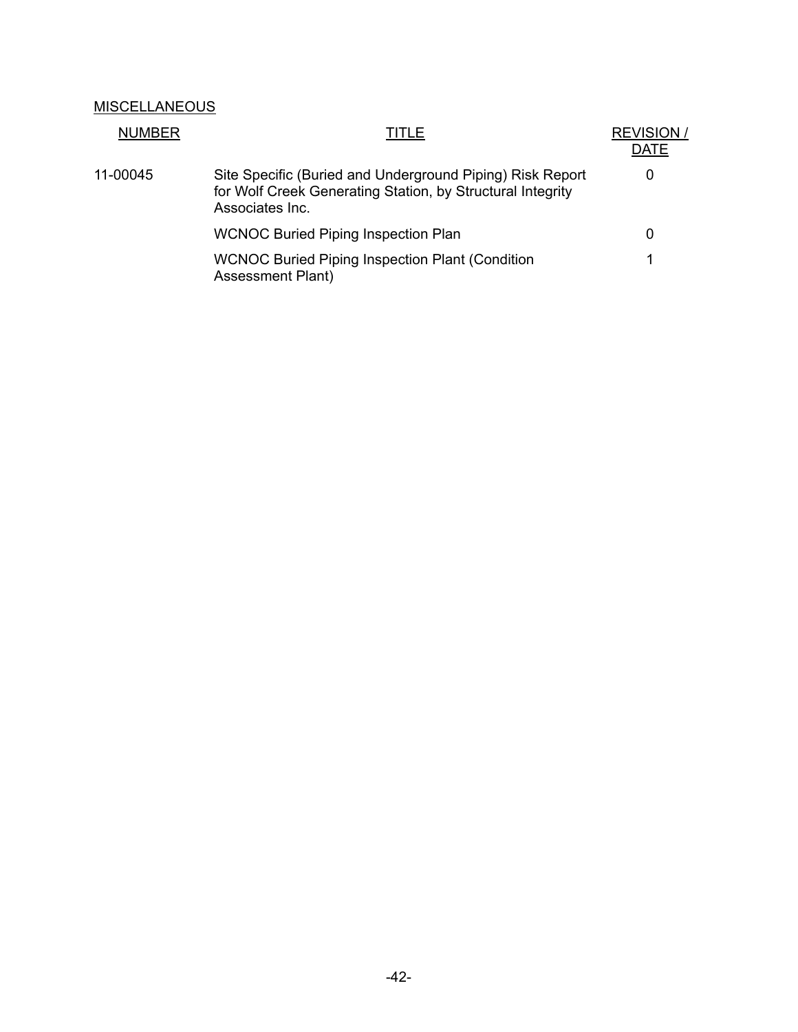# **MISCELLANEOUS**

| <b>NUMBER</b> | TITLE                                                                                                                                      | <b>REVISION</b> /<br>DATE |
|---------------|--------------------------------------------------------------------------------------------------------------------------------------------|---------------------------|
| 11-00045      | Site Specific (Buried and Underground Piping) Risk Report<br>for Wolf Creek Generating Station, by Structural Integrity<br>Associates Inc. | $\mathbf{0}$              |
|               | <b>WCNOC Buried Piping Inspection Plan</b>                                                                                                 | 0                         |
|               | <b>WCNOC Buried Piping Inspection Plant (Condition)</b><br><b>Assessment Plant)</b>                                                        | 1                         |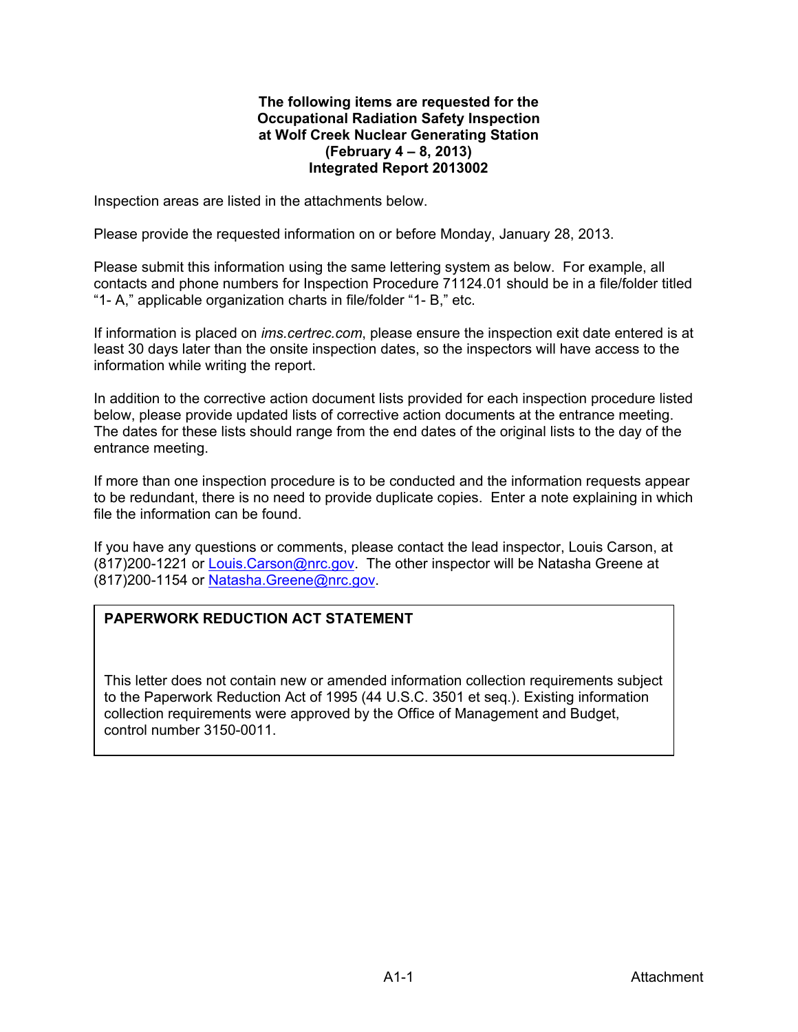#### **The following items are requested for the Occupational Radiation Safety Inspection at Wolf Creek Nuclear Generating Station (February 4 – 8, 2013) Integrated Report 2013002**

Inspection areas are listed in the attachments below.

Please provide the requested information on or before Monday, January 28, 2013.

Please submit this information using the same lettering system as below. For example, all contacts and phone numbers for Inspection Procedure 71124.01 should be in a file/folder titled "1- A," applicable organization charts in file/folder "1- B," etc.

If information is placed on *ims.certrec.com*, please ensure the inspection exit date entered is at least 30 days later than the onsite inspection dates, so the inspectors will have access to the information while writing the report.

In addition to the corrective action document lists provided for each inspection procedure listed below, please provide updated lists of corrective action documents at the entrance meeting. The dates for these lists should range from the end dates of the original lists to the day of the entrance meeting.

If more than one inspection procedure is to be conducted and the information requests appear to be redundant, there is no need to provide duplicate copies. Enter a note explaining in which file the information can be found.

If you have any questions or comments, please contact the lead inspector, Louis Carson, at (817)200-1221 or Louis.Carson@nrc.gov. The other inspector will be Natasha Greene at (817)200-1154 or Natasha.Greene@nrc.gov.

# **PAPERWORK REDUCTION ACT STATEMENT**

This letter does not contain new or amended information collection requirements subject to the Paperwork Reduction Act of 1995 (44 U.S.C. 3501 et seq.). Existing information collection requirements were approved by the Office of Management and Budget, control number 3150-0011.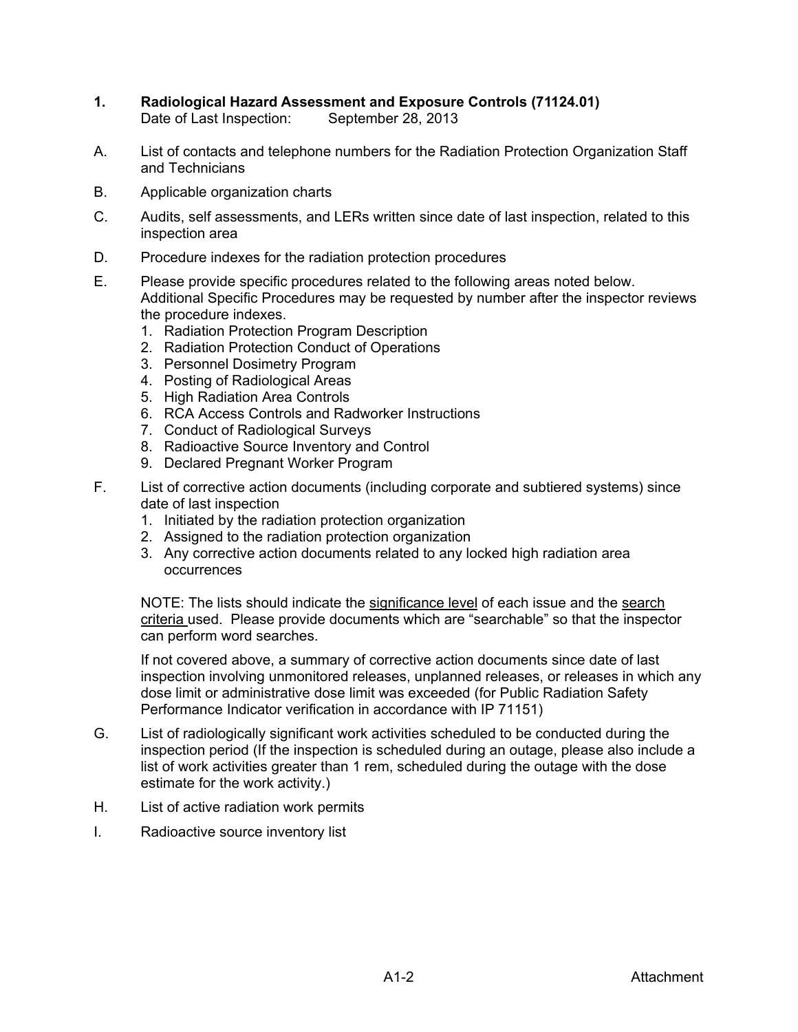- **1. Radiological Hazard Assessment and Exposure Controls (71124.01)**  Date of Last Inspection: September 28, 2013
- A. List of contacts and telephone numbers for the Radiation Protection Organization Staff and Technicians
- B. Applicable organization charts
- C. Audits, self assessments, and LERs written since date of last inspection, related to this inspection area
- D. Procedure indexes for the radiation protection procedures
- E. Please provide specific procedures related to the following areas noted below. Additional Specific Procedures may be requested by number after the inspector reviews the procedure indexes.
	- 1. Radiation Protection Program Description
	- 2. Radiation Protection Conduct of Operations
	- 3. Personnel Dosimetry Program
	- 4. Posting of Radiological Areas
	- 5. High Radiation Area Controls
	- 6. RCA Access Controls and Radworker Instructions
	- 7. Conduct of Radiological Surveys
	- 8. Radioactive Source Inventory and Control
	- 9. Declared Pregnant Worker Program
- F. List of corrective action documents (including corporate and subtiered systems) since date of last inspection
	- 1. Initiated by the radiation protection organization
	- 2. Assigned to the radiation protection organization
	- 3. Any corrective action documents related to any locked high radiation area occurrences

 NOTE: The lists should indicate the significance level of each issue and the search criteria used. Please provide documents which are "searchable" so that the inspector can perform word searches.

If not covered above, a summary of corrective action documents since date of last inspection involving unmonitored releases, unplanned releases, or releases in which any dose limit or administrative dose limit was exceeded (for Public Radiation Safety Performance Indicator verification in accordance with IP 71151)

- G. List of radiologically significant work activities scheduled to be conducted during the inspection period (If the inspection is scheduled during an outage, please also include a list of work activities greater than 1 rem, scheduled during the outage with the dose estimate for the work activity.)
- H. List of active radiation work permits
- I. Radioactive source inventory list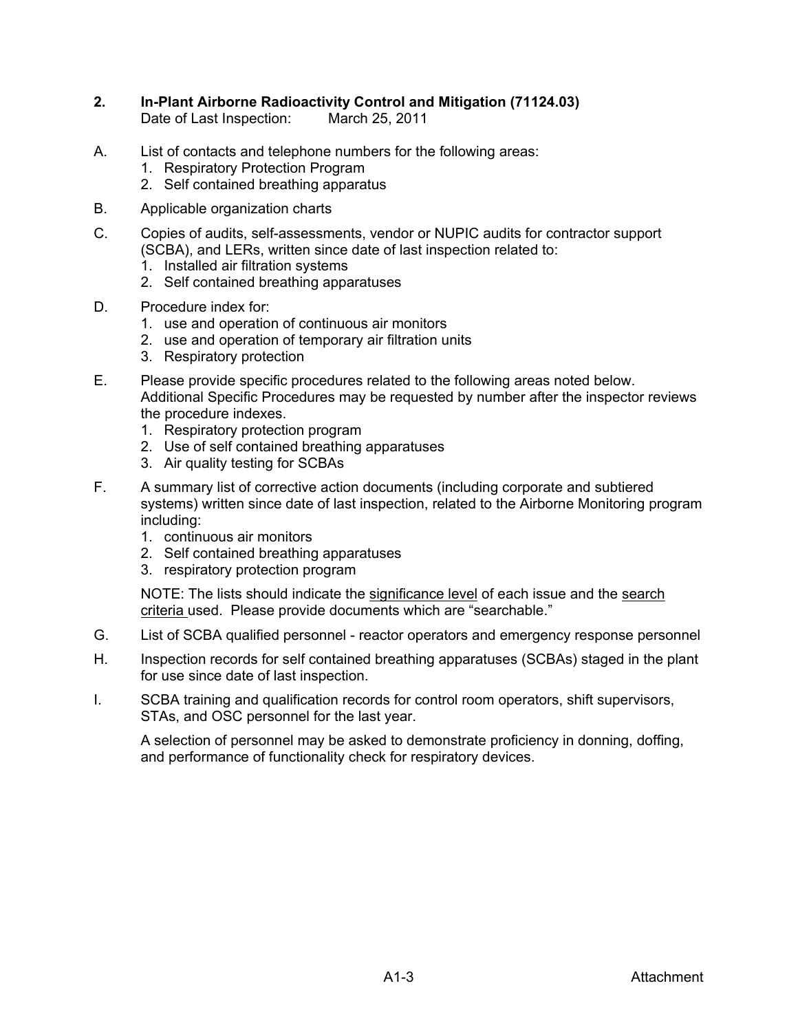- **2. In-Plant Airborne Radioactivity Control and Mitigation (71124.03)**  Date of Last Inspection: March 25, 2011
- A. List of contacts and telephone numbers for the following areas:
	- 1. Respiratory Protection Program
	- 2. Self contained breathing apparatus
- B. Applicable organization charts
- C. Copies of audits, self-assessments, vendor or NUPIC audits for contractor support (SCBA), and LERs, written since date of last inspection related to:
	- 1. Installed air filtration systems
	- 2. Self contained breathing apparatuses
- D. Procedure index for:
	- 1. use and operation of continuous air monitors
	- 2. use and operation of temporary air filtration units
	- 3. Respiratory protection
- E. Please provide specific procedures related to the following areas noted below. Additional Specific Procedures may be requested by number after the inspector reviews the procedure indexes.
	- 1. Respiratory protection program
	- 2. Use of self contained breathing apparatuses
	- 3. Air quality testing for SCBAs
- F. A summary list of corrective action documents (including corporate and subtiered systems) written since date of last inspection, related to the Airborne Monitoring program including:
	- 1. continuous air monitors
	- 2. Self contained breathing apparatuses
	- 3. respiratory protection program

NOTE: The lists should indicate the significance level of each issue and the search criteria used. Please provide documents which are "searchable."

- G. List of SCBA qualified personnel reactor operators and emergency response personnel
- H. Inspection records for self contained breathing apparatuses (SCBAs) staged in the plant for use since date of last inspection.
- I. SCBA training and qualification records for control room operators, shift supervisors, STAs, and OSC personnel for the last year.

 A selection of personnel may be asked to demonstrate proficiency in donning, doffing, and performance of functionality check for respiratory devices.